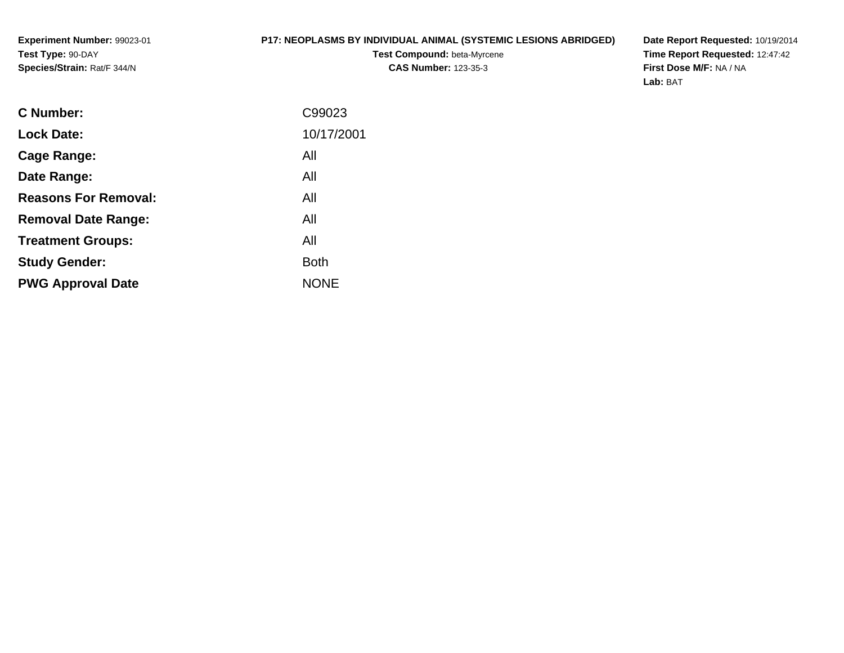### **P17: NEOPLASMS BY INDIVIDUAL ANIMAL (SYSTEMIC LESIONS ABRIDGED)**

**Test Compound:** beta-Myrcene**CAS Number:** 123-35-3

**Date Report Requested:** 10/19/2014 **Time Report Requested:** 12:47:42**First Dose M/F:** NA / NA**Lab:** BAT

| C Number:                   | C99023      |
|-----------------------------|-------------|
| <b>Lock Date:</b>           | 10/17/2001  |
| Cage Range:                 | All         |
| Date Range:                 | All         |
| <b>Reasons For Removal:</b> | All         |
| <b>Removal Date Range:</b>  | All         |
| <b>Treatment Groups:</b>    | All         |
| <b>Study Gender:</b>        | <b>Both</b> |
| <b>PWG Approval Date</b>    | <b>NONE</b> |
|                             |             |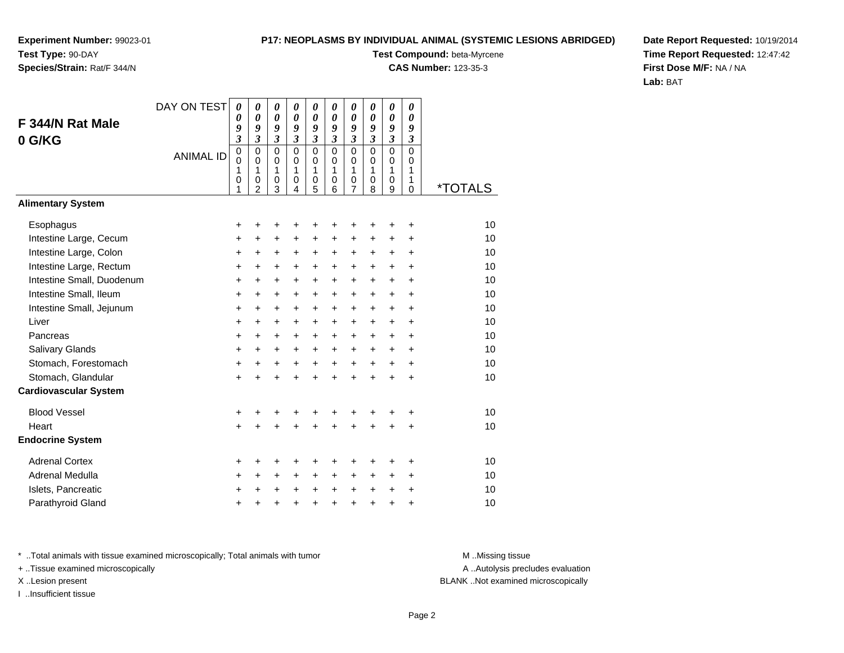## **Species/Strain:** Rat/F 344/N

### **P17: NEOPLASMS BY INDIVIDUAL ANIMAL (SYSTEMIC LESIONS ABRIDGED)**

**Test Compound:** beta-Myrcene

**CAS Number:** 123-35-3

**Date Report Requested:** 10/19/2014**Time Report Requested:** 12:47:42**First Dose M/F:** NA / NA**Lab:** BAT

|                              | DAY ON TEST      | $\boldsymbol{\theta}$<br>$\boldsymbol{\theta}$ | $\boldsymbol{\theta}$<br>0  | 0<br>$\boldsymbol{\theta}$ | 0<br>0                     | 0<br>$\boldsymbol{\theta}$ | 0<br>$\boldsymbol{\theta}$ | 0<br>0                     | 0<br>$\boldsymbol{\theta}$ | 0<br>$\boldsymbol{\theta}$ | 0<br>0                     |         |
|------------------------------|------------------|------------------------------------------------|-----------------------------|----------------------------|----------------------------|----------------------------|----------------------------|----------------------------|----------------------------|----------------------------|----------------------------|---------|
| F 344/N Rat Male             |                  | 9                                              | 9                           | 9                          | 9                          | 9                          | 9                          | 9                          | 9                          | 9                          | 9                          |         |
| 0 G/KG                       |                  | $\mathfrak{z}$                                 | $\overline{\mathbf{3}}$     | $\mathfrak{z}$             | $\overline{\mathbf{3}}$    | $\overline{\mathbf{3}}$    | $\overline{\mathbf{3}}$    | $\mathfrak{z}$             | $\overline{\mathbf{3}}$    | $\overline{\mathbf{3}}$    | $\mathfrak{z}$             |         |
|                              | <b>ANIMAL ID</b> | $\mathbf 0$<br>$\mathbf 0$                     | $\mathbf 0$<br>$\mathbf 0$  | $\mathbf 0$<br>$\mathbf 0$ | $\mathbf 0$<br>$\mathbf 0$ | $\mathbf 0$<br>$\mathbf 0$ | $\mathbf 0$<br>$\mathbf 0$ | $\mathsf 0$<br>$\mathsf 0$ | $\mathbf 0$<br>$\mathbf 0$ | $\mathbf 0$<br>0           | $\mathbf 0$<br>$\mathbf 0$ |         |
|                              |                  | 1                                              | 1                           | 1                          | 1                          | 1                          | 1                          | 1                          | 1                          | 1                          | 1                          |         |
|                              |                  | 0<br>1                                         | $\pmb{0}$<br>$\overline{2}$ | $\,0\,$<br>3               | 0<br>4                     | 0<br>5                     | 0<br>6                     | 0<br>$\overline{7}$        | 0<br>8                     | 0<br>9                     | 1<br>0                     | *TOTALS |
| <b>Alimentary System</b>     |                  |                                                |                             |                            |                            |                            |                            |                            |                            |                            |                            |         |
| Esophagus                    |                  | +                                              |                             |                            | +                          | +                          | +                          | +                          |                            | +                          | +                          | 10      |
| Intestine Large, Cecum       |                  | +                                              | +                           | $\ddot{}$                  | $\ddot{}$                  | $\ddot{}$                  | $\ddot{}$                  | +                          | +                          | +                          | +                          | 10      |
| Intestine Large, Colon       |                  | $\ddot{}$                                      | +                           | +                          | +                          | $\ddot{}$                  | $\ddot{}$                  | $\ddot{}$                  | $\pm$                      | $\ddot{}$                  | $\ddot{}$                  | 10      |
| Intestine Large, Rectum      |                  | $\ddot{}$                                      | $\ddot{}$                   | $\ddot{}$                  | $\ddot{}$                  | $\ddot{}$                  | $\ddot{}$                  | $\ddot{}$                  | $\pm$                      | $+$                        | $\ddot{}$                  | 10      |
| Intestine Small, Duodenum    |                  | $\ddot{}$                                      | $\ddot{}$                   | $\ddot{}$                  | $\ddot{}$                  | $\ddot{}$                  | $\ddot{}$                  | $\ddot{}$                  | $\ddot{}$                  | $\ddot{}$                  | $\ddot{}$                  | 10      |
| Intestine Small, Ileum       |                  | $\ddot{}$                                      | $\ddot{}$                   | $\ddot{}$                  | $\ddot{}$                  | $\ddot{}$                  | $\ddot{}$                  | $\ddot{}$                  | $\pm$                      | $\ddot{}$                  | $\ddot{}$                  | 10      |
| Intestine Small, Jejunum     |                  | $\ddot{}$                                      | $\ddot{}$                   | +                          | $\ddot{}$                  | +                          | $\ddot{}$                  | $\pm$                      | $\pm$                      | $+$                        | $\ddot{}$                  | 10      |
| Liver                        |                  | $\ddot{}$                                      | $\ddot{}$                   | $\ddot{}$                  | $\ddot{}$                  | $\ddot{}$                  | $\ddot{}$                  | $\ddot{}$                  | +                          | $\ddot{}$                  | $\ddot{}$                  | 10      |
| Pancreas                     |                  | $\ddot{}$                                      | $+$                         | $\ddot{}$                  | $\ddot{}$                  | $\ddot{}$                  | $\ddot{}$                  | +                          | $\ddot{}$                  | $+$                        | $\ddot{}$                  | 10      |
| Salivary Glands              |                  | $\pmb{+}$                                      | $\ddot{}$                   | $\ddot{}$                  | $\ddot{}$                  | $\ddot{}$                  | $\ddot{}$                  | $\ddot{}$                  | $\ddot{}$                  | $\ddot{}$                  | $\ddot{}$                  | 10      |
| Stomach, Forestomach         |                  | $\ddot{}$                                      | $\ddot{}$                   | $\ddot{}$                  | $\ddot{}$                  | $\ddot{}$                  | $\ddot{}$                  | $+$                        | $+$                        | $+$                        | $\ddot{}$                  | 10      |
| Stomach, Glandular           |                  | $\ddot{}$                                      | $\ddot{}$                   | $\ddot{}$                  | $\ddot{}$                  | $\ddot{}$                  | $\ddot{}$                  | $\ddot{}$                  | $\ddot{}$                  | $\ddot{}$                  | $\ddot{}$                  | 10      |
| <b>Cardiovascular System</b> |                  |                                                |                             |                            |                            |                            |                            |                            |                            |                            |                            |         |
| <b>Blood Vessel</b>          |                  | $\pmb{+}$                                      |                             | +                          | +                          | +                          | +                          |                            |                            |                            | +                          | 10      |
| Heart                        |                  | $+$                                            |                             | $\ddot{}$                  | $\ddot{}$                  | $\ddot{}$                  | $\ddot{}$                  | $\ddot{}$                  | $\ddot{}$                  | +                          | $\ddot{}$                  | 10      |
| <b>Endocrine System</b>      |                  |                                                |                             |                            |                            |                            |                            |                            |                            |                            |                            |         |
| <b>Adrenal Cortex</b>        |                  | +                                              |                             | +                          | +                          | +                          | +                          |                            |                            | +                          | +                          | 10      |
| Adrenal Medulla              |                  | +                                              | $\ddot{}$                   | +                          | +                          | +                          | $\ddot{}$                  | $\ddot{}$                  | $\pm$                      | $\ddot{}$                  | $\ddot{}$                  | 10      |
| Islets, Pancreatic           |                  | +                                              |                             | $\pm$                      | +                          | +                          | $\ddot{}$                  | $\ddot{}$                  | $\ddot{}$                  | $\ddot{}$                  | +                          | 10      |
| Parathyroid Gland            |                  | $\ddot{}$                                      | +                           | +                          | +                          | +                          | $\ddot{}$                  | +                          | $\ddot{}$                  | +                          | +                          | 10      |

\* ..Total animals with tissue examined microscopically; Total animals with tumor **M** . Missing tissue M ..Missing tissue

+ ..Tissue examined microscopically

I ..Insufficient tissue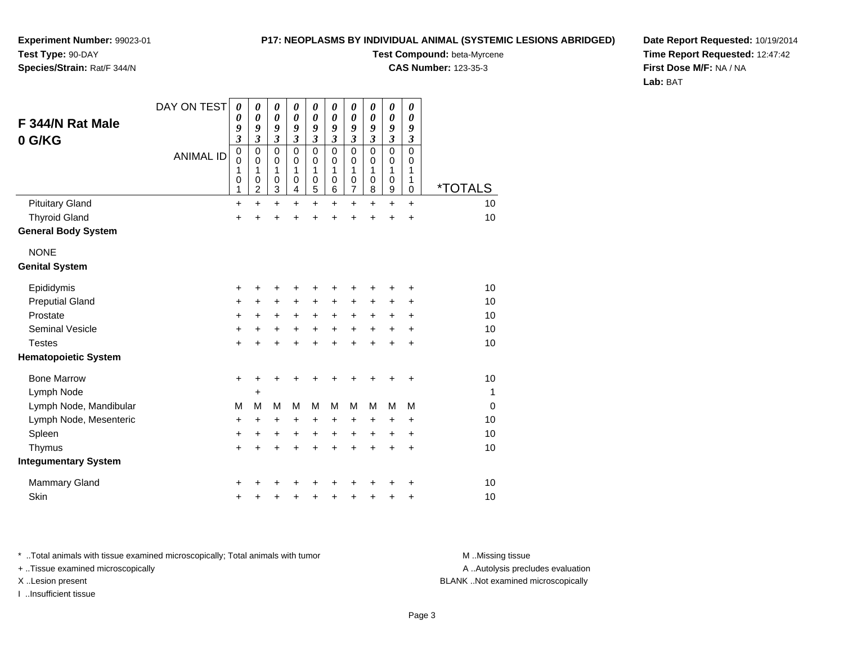### **P17: NEOPLASMS BY INDIVIDUAL ANIMAL (SYSTEMIC LESIONS ABRIDGED)**

**Experiment Number:** 99023-01**Test Type:** 90-DAY**Species/Strain:** Rat/F 344/N

**Test Compound:** beta-Myrcene

**CAS Number:** 123-35-3

**Date Report Requested:** 10/19/2014**Time Report Requested:** 12:47:42**First Dose M/F:** NA / NA**Lab:** BAT

| F 344/N Rat Male<br>0 G/KG           | DAY ON TEST<br><b>ANIMAL ID</b> | 0<br>0<br>9<br>$\overline{\mathbf{3}}$<br>$\mathbf 0$<br>$\mathbf 0$<br>1<br>0<br>1 | $\boldsymbol{\theta}$<br>0<br>9<br>$\mathfrak{z}$<br>$\mathbf 0$<br>$\mathbf 0$<br>1<br>$\pmb{0}$<br>$\overline{c}$ | 0<br>$\boldsymbol{\theta}$<br>9<br>$\boldsymbol{\beta}$<br>$\mathbf 0$<br>$\mathbf 0$<br>1<br>$\mathbf 0$<br>$\overline{3}$ | 0<br>$\boldsymbol{\theta}$<br>9<br>$\boldsymbol{\mathfrak{z}}$<br>$\mathbf 0$<br>$\mathbf 0$<br>1<br>$\boldsymbol{0}$<br>$\overline{\mathbf{4}}$ | $\pmb{\theta}$<br>$\boldsymbol{\theta}$<br>9<br>$\mathfrak{z}$<br>$\mathbf 0$<br>$\mathbf 0$<br>1<br>$\mathbf 0$<br>$\overline{5}$ | 0<br>$\boldsymbol{\theta}$<br>9<br>$\mathfrak{z}$<br>$\Omega$<br>$\Omega$<br>1<br>0<br>6 | $\boldsymbol{\theta}$<br>0<br>9<br>$\boldsymbol{\beta}$<br>$\mathbf 0$<br>$\mathbf 0$<br>1<br>$\boldsymbol{0}$<br>$\overline{7}$ | $\boldsymbol{\theta}$<br>0<br>9<br>$\mathfrak{z}$<br>$\mathbf 0$<br>$\mathbf 0$<br>1<br>$\mathbf 0$<br>8 | $\pmb{\theta}$<br>$\boldsymbol{\theta}$<br>9<br>$\overline{\mathbf{3}}$<br>$\mathbf 0$<br>0<br>1<br>$\pmb{0}$<br>$\overline{9}$ | 0<br>0<br>9<br>$\mathfrak{z}$<br>$\mathbf 0$<br>$\mathbf 0$<br>1<br>1<br>$\pmb{0}$ | <i><b>*TOTALS</b></i> |
|--------------------------------------|---------------------------------|-------------------------------------------------------------------------------------|---------------------------------------------------------------------------------------------------------------------|-----------------------------------------------------------------------------------------------------------------------------|--------------------------------------------------------------------------------------------------------------------------------------------------|------------------------------------------------------------------------------------------------------------------------------------|------------------------------------------------------------------------------------------|----------------------------------------------------------------------------------------------------------------------------------|----------------------------------------------------------------------------------------------------------|---------------------------------------------------------------------------------------------------------------------------------|------------------------------------------------------------------------------------|-----------------------|
| <b>Pituitary Gland</b>               |                                 | $\ddot{}$                                                                           | $\ddot{}$                                                                                                           | $\ddot{}$                                                                                                                   | +                                                                                                                                                | $\ddot{}$                                                                                                                          | $\ddot{}$                                                                                | $\ddot{}$                                                                                                                        | $\ddot{}$                                                                                                | $\ddot{}$                                                                                                                       | $\ddot{}$                                                                          | 10                    |
| <b>Thyroid Gland</b>                 |                                 | $\ddot{}$                                                                           |                                                                                                                     | Ŧ.                                                                                                                          |                                                                                                                                                  | $\ddot{}$                                                                                                                          | ÷                                                                                        | $\ddot{}$                                                                                                                        | ÷                                                                                                        | $\ddot{}$                                                                                                                       | $\ddot{}$                                                                          | 10                    |
| <b>General Body System</b>           |                                 |                                                                                     |                                                                                                                     |                                                                                                                             |                                                                                                                                                  |                                                                                                                                    |                                                                                          |                                                                                                                                  |                                                                                                          |                                                                                                                                 |                                                                                    |                       |
| <b>NONE</b><br><b>Genital System</b> |                                 |                                                                                     |                                                                                                                     |                                                                                                                             |                                                                                                                                                  |                                                                                                                                    |                                                                                          |                                                                                                                                  |                                                                                                          |                                                                                                                                 |                                                                                    |                       |
| Epididymis                           |                                 | +                                                                                   |                                                                                                                     | +                                                                                                                           |                                                                                                                                                  | +                                                                                                                                  | +                                                                                        | +                                                                                                                                |                                                                                                          | +                                                                                                                               | ٠                                                                                  | 10                    |
| <b>Preputial Gland</b>               |                                 | +                                                                                   | +                                                                                                                   | +                                                                                                                           | +                                                                                                                                                | +                                                                                                                                  | +                                                                                        | +                                                                                                                                | +                                                                                                        | $\pm$                                                                                                                           | +                                                                                  | 10                    |
| Prostate                             |                                 | $\ddot{}$                                                                           | $\ddot{}$                                                                                                           | +                                                                                                                           | +                                                                                                                                                | $\ddot{}$                                                                                                                          | $\ddot{}$                                                                                | $\ddot{}$                                                                                                                        | $\ddot{}$                                                                                                | $\pm$                                                                                                                           | $\ddot{}$                                                                          | 10                    |
| <b>Seminal Vesicle</b>               |                                 | $\ddot{}$                                                                           | $\ddot{}$                                                                                                           | $\ddot{}$                                                                                                                   | $\ddot{}$                                                                                                                                        | $+$                                                                                                                                | $\ddot{}$                                                                                | $\ddot{}$                                                                                                                        | $\ddot{}$                                                                                                | $\ddot{}$                                                                                                                       | $\ddot{}$                                                                          | 10                    |
| <b>Testes</b>                        |                                 | +                                                                                   |                                                                                                                     |                                                                                                                             |                                                                                                                                                  | $\ddot{}$                                                                                                                          | $\ddot{}$                                                                                | $\ddot{}$                                                                                                                        | $\ddot{}$                                                                                                | $\ddot{}$                                                                                                                       | $\ddot{}$                                                                          | 10                    |
| <b>Hematopoietic System</b>          |                                 |                                                                                     |                                                                                                                     |                                                                                                                             |                                                                                                                                                  |                                                                                                                                    |                                                                                          |                                                                                                                                  |                                                                                                          |                                                                                                                                 |                                                                                    |                       |
| <b>Bone Marrow</b>                   |                                 | $\ddot{}$                                                                           |                                                                                                                     |                                                                                                                             |                                                                                                                                                  | +                                                                                                                                  | +                                                                                        | +                                                                                                                                | +                                                                                                        | +                                                                                                                               | +                                                                                  | 10                    |
| Lymph Node                           |                                 |                                                                                     | +                                                                                                                   |                                                                                                                             |                                                                                                                                                  |                                                                                                                                    |                                                                                          |                                                                                                                                  |                                                                                                          |                                                                                                                                 |                                                                                    | $\mathbf{1}$          |
| Lymph Node, Mandibular               |                                 | M                                                                                   | M                                                                                                                   | M                                                                                                                           | М                                                                                                                                                | M                                                                                                                                  | М                                                                                        | M                                                                                                                                | M                                                                                                        | M                                                                                                                               | M                                                                                  | $\Omega$              |
| Lymph Node, Mesenteric               |                                 | +                                                                                   | +                                                                                                                   | +                                                                                                                           | +                                                                                                                                                | +                                                                                                                                  | +                                                                                        | +                                                                                                                                | $\ddot{}$                                                                                                | +                                                                                                                               | $\ddot{}$                                                                          | 10                    |
| Spleen                               |                                 | +                                                                                   | ٠                                                                                                                   | +                                                                                                                           | +                                                                                                                                                | +                                                                                                                                  | $\ddot{}$                                                                                | $\pm$                                                                                                                            | $\ddot{}$                                                                                                | $\pm$                                                                                                                           | $\ddot{}$                                                                          | 10                    |
| Thymus                               |                                 | $\ddot{}$                                                                           |                                                                                                                     | +                                                                                                                           | +                                                                                                                                                | $\ddot{}$                                                                                                                          | $\ddot{}$                                                                                | $\ddot{}$                                                                                                                        | $\ddot{}$                                                                                                | $\ddot{}$                                                                                                                       | $\ddot{}$                                                                          | 10                    |
| <b>Integumentary System</b>          |                                 |                                                                                     |                                                                                                                     |                                                                                                                             |                                                                                                                                                  |                                                                                                                                    |                                                                                          |                                                                                                                                  |                                                                                                          |                                                                                                                                 |                                                                                    |                       |
| <b>Mammary Gland</b>                 |                                 | +                                                                                   |                                                                                                                     |                                                                                                                             |                                                                                                                                                  |                                                                                                                                    |                                                                                          | +                                                                                                                                |                                                                                                          |                                                                                                                                 | ٠                                                                                  | 10                    |
| Skin                                 |                                 | +                                                                                   |                                                                                                                     | +                                                                                                                           |                                                                                                                                                  | +                                                                                                                                  | +                                                                                        | $\pmb{+}$                                                                                                                        | +                                                                                                        | +                                                                                                                               | +                                                                                  | 10                    |

\* ..Total animals with tissue examined microscopically; Total animals with tumor **M** . Missing tissue M ..Missing tissue

+ ..Tissue examined microscopically

I ..Insufficient tissue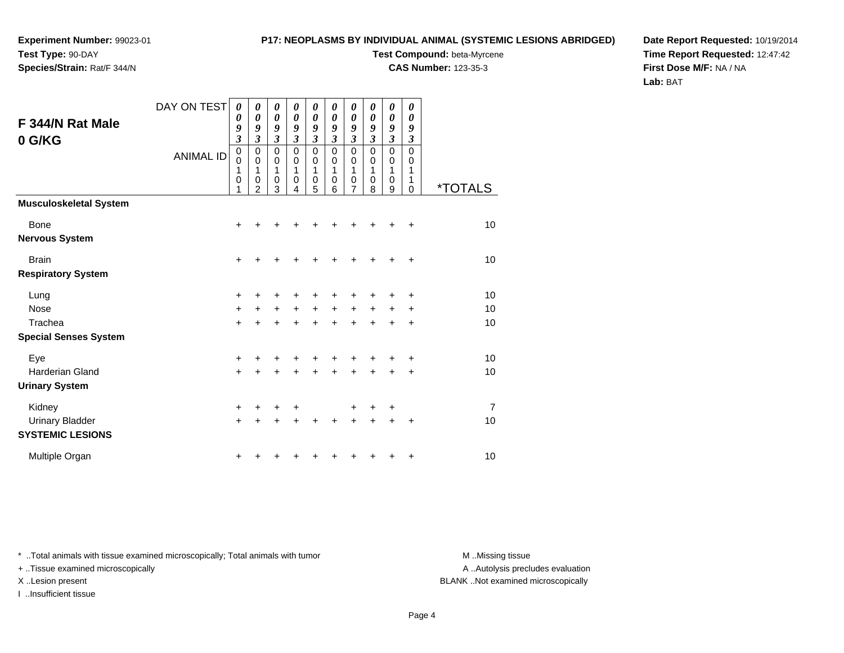**Species/Strain:** Rat/F 344/N

### **P17: NEOPLASMS BY INDIVIDUAL ANIMAL (SYSTEMIC LESIONS ABRIDGED)**

**Test Compound:** beta-Myrcene

**CAS Number:** 123-35-3

**Date Report Requested:** 10/19/2014**Time Report Requested:** 12:47:42**First Dose M/F:** NA / NA**Lab:** BAT

|                               | DAY ON TEST      | 0<br>0           | 0<br>0              | 0<br>$\boldsymbol{\theta}$ | 0<br>$\boldsymbol{\theta}$ | 0<br>0    | 0<br>$\boldsymbol{\theta}$ | 0<br>$\boldsymbol{\theta}$ | 0<br>$\boldsymbol{\theta}$ | 0<br>0           | 0<br>$\boldsymbol{\theta}$ |                       |
|-------------------------------|------------------|------------------|---------------------|----------------------------|----------------------------|-----------|----------------------------|----------------------------|----------------------------|------------------|----------------------------|-----------------------|
| F 344/N Rat Male              |                  | 9                | 9                   | 9                          | 9                          | 9         | 9                          | 9                          | 9                          | 9                | 9                          |                       |
| 0 G/KG                        |                  | 3                | 3                   | $\mathfrak{z}$             | $\mathfrak{z}$             | 3         | $\mathfrak{z}$             | $\mathfrak{z}$             | $\mathfrak{z}$             | $\mathfrak{z}$   | $\boldsymbol{\beta}$       |                       |
|                               | <b>ANIMAL ID</b> | 0<br>$\mathbf 0$ | 0<br>$\mathbf 0$    | 0<br>0                     | $\pmb{0}$<br>0             | 0<br>0    | 0<br>0                     | 0<br>0                     | 0<br>0                     | $\mathbf 0$<br>0 | $\mathbf 0$<br>0           |                       |
|                               |                  | 1                | 1                   | 1                          | 1                          | 1         | 1                          | 1                          | 1                          | 1                | 1                          |                       |
|                               |                  | 0<br>1           | 0<br>$\overline{2}$ | 0<br>3                     | $\mathbf 0$<br>4           | 0<br>5    | 0<br>6                     | 0<br>7                     | 0<br>8                     | 0<br>9           | 1<br>$\mathbf 0$           | <i><b>*TOTALS</b></i> |
| <b>Musculoskeletal System</b> |                  |                  |                     |                            |                            |           |                            |                            |                            |                  |                            |                       |
| <b>Bone</b>                   |                  | $\ddot{}$        |                     |                            |                            |           |                            |                            |                            |                  | +                          | 10                    |
| <b>Nervous System</b>         |                  |                  |                     |                            |                            |           |                            |                            |                            |                  |                            |                       |
| <b>Brain</b>                  |                  | +                |                     |                            |                            |           |                            |                            | +                          | +                | +                          | 10                    |
| <b>Respiratory System</b>     |                  |                  |                     |                            |                            |           |                            |                            |                            |                  |                            |                       |
| Lung                          |                  | ÷                |                     |                            |                            | +         | +                          | +                          | ٠                          | +                | +                          | 10                    |
| <b>Nose</b>                   |                  | $\ddot{}$        |                     | $\ddot{}$                  | $\ddot{}$                  | $\ddot{}$ | $\ddot{}$                  | +                          | $\ddot{}$                  | $\ddot{}$        | $\ddot{}$                  | 10                    |
| Trachea                       |                  | $\ddot{}$        |                     | $\ddot{}$                  | ÷                          | ÷         | $\ddot{}$                  | $\ddot{}$                  | $\ddot{}$                  | ÷                | $\ddot{}$                  | 10                    |
| <b>Special Senses System</b>  |                  |                  |                     |                            |                            |           |                            |                            |                            |                  |                            |                       |
| Eye                           |                  | +                |                     |                            |                            | +         | +                          | +                          | +                          |                  | +                          | 10                    |
| <b>Harderian Gland</b>        |                  | $\ddot{}$        |                     |                            | $\ddot{}$                  | Ŧ.        | $\ddot{}$                  | $\ddot{}$                  | +                          | +                | $\ddot{}$                  | 10                    |
| <b>Urinary System</b>         |                  |                  |                     |                            |                            |           |                            |                            |                            |                  |                            |                       |
| Kidney                        |                  | +                |                     |                            | +                          |           |                            | +                          | +                          | +                |                            | 7                     |
| <b>Urinary Bladder</b>        |                  | $\ddot{}$        | $\ddot{}$           | ÷                          | $\ddot{}$                  | $\ddot{}$ | $\ddot{}$                  | $\ddot{}$                  | $\ddot{}$                  | $\ddot{}$        | $\ddot{}$                  | 10                    |
| <b>SYSTEMIC LESIONS</b>       |                  |                  |                     |                            |                            |           |                            |                            |                            |                  |                            |                       |
| Multiple Organ                |                  | +                |                     |                            |                            |           |                            |                            |                            |                  | +                          | 10                    |

\* ..Total animals with tissue examined microscopically; Total animals with tumor **M** . Missing tissue M ..Missing tissue

+ ..Tissue examined microscopically

I ..Insufficient tissue

A ..Autolysis precludes evaluation

X ..Lesion present BLANK ..Not examined microscopically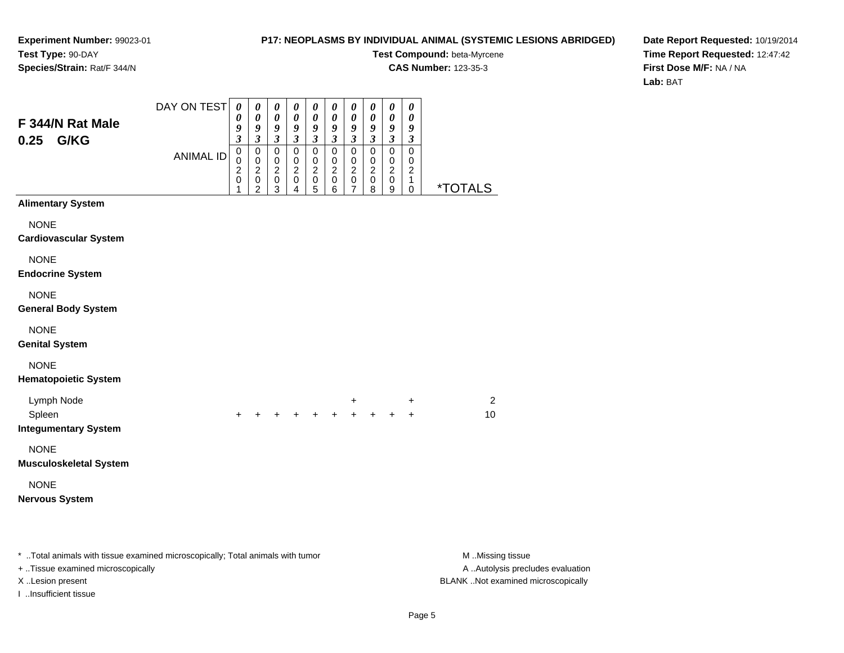### **P17: NEOPLASMS BY INDIVIDUAL ANIMAL (SYSTEMIC LESIONS ABRIDGED)**

**Test Compound:** beta-Myrcene**CAS Number:** 123-35-3

**Date Report Requested:** 10/19/2014**Time Report Requested:** 12:47:42**First Dose M/F:** NA / NA**Lab:** BAT

| F 344/N Rat Male<br>G/KG<br>0.25                                               | DAY ON TEST      | $\boldsymbol{\theta}$<br>0<br>9<br>$\overline{\mathbf{3}}$ | 0<br>0<br>9<br>$\mathfrak{z}$                                                 | $\boldsymbol{\theta}$<br>$\pmb{\theta}$<br>$\boldsymbol{g}$<br>$\mathfrak{z}$ | 0<br>$\pmb{\theta}$<br>9<br>$\mathfrak{z}$                              | $\pmb{\theta}$<br>0<br>9<br>$\mathfrak{z}$                               | $\boldsymbol{\theta}$<br>$\boldsymbol{\theta}$<br>$\boldsymbol{g}$<br>$\mathfrak{z}$ | $\boldsymbol{\theta}$<br>0<br>$\boldsymbol{g}$<br>$\mathfrak{z}$ | $\boldsymbol{\theta}$<br>$\boldsymbol{\theta}$<br>9<br>$\mathfrak{z}$ | $\pmb{\theta}$<br>$\boldsymbol{\theta}$<br>$\boldsymbol{g}$<br>$\overline{\mathbf{3}}$ | 0<br>0<br>9<br>$\boldsymbol{\beta}$                                       |                       |
|--------------------------------------------------------------------------------|------------------|------------------------------------------------------------|-------------------------------------------------------------------------------|-------------------------------------------------------------------------------|-------------------------------------------------------------------------|--------------------------------------------------------------------------|--------------------------------------------------------------------------------------|------------------------------------------------------------------|-----------------------------------------------------------------------|----------------------------------------------------------------------------------------|---------------------------------------------------------------------------|-----------------------|
|                                                                                | <b>ANIMAL ID</b> | 0<br>0<br>$\overline{c}$<br>0<br>1                         | $\mathbf 0$<br>$\mathbf 0$<br>$\boldsymbol{2}$<br>$\pmb{0}$<br>$\overline{c}$ | $\mathbf 0$<br>$\pmb{0}$<br>$\boldsymbol{2}$<br>$\pmb{0}$<br>3                | $\mathbf 0$<br>$\,0\,$<br>$\overline{c}$<br>$\pmb{0}$<br>$\overline{4}$ | $\mathbf 0$<br>$\,0\,$<br>$\overline{c}$<br>$\mbox{O}$<br>$\overline{5}$ | $\mathbf 0$<br>$\mathbf 0$<br>$\overline{c}$<br>$\mathbf 0$<br>6                     | $\mathbf 0$<br>$\pmb{0}$<br>$\overline{c}$<br>$\pmb{0}$<br>7     | $\mathbf 0$<br>$\,0\,$<br>$\overline{c}$<br>$\pmb{0}$<br>8            | $\mathbf 0$<br>$\,0\,$<br>$\overline{c}$<br>$\pmb{0}$<br>9                             | $\mathbf 0$<br>$\pmb{0}$<br>$\boldsymbol{2}$<br>$\mathbf{1}$<br>$\pmb{0}$ | <i><b>*TOTALS</b></i> |
| <b>Alimentary System</b>                                                       |                  |                                                            |                                                                               |                                                                               |                                                                         |                                                                          |                                                                                      |                                                                  |                                                                       |                                                                                        |                                                                           |                       |
| <b>NONE</b><br><b>Cardiovascular System</b>                                    |                  |                                                            |                                                                               |                                                                               |                                                                         |                                                                          |                                                                                      |                                                                  |                                                                       |                                                                                        |                                                                           |                       |
| <b>NONE</b><br><b>Endocrine System</b>                                         |                  |                                                            |                                                                               |                                                                               |                                                                         |                                                                          |                                                                                      |                                                                  |                                                                       |                                                                                        |                                                                           |                       |
| <b>NONE</b><br><b>General Body System</b>                                      |                  |                                                            |                                                                               |                                                                               |                                                                         |                                                                          |                                                                                      |                                                                  |                                                                       |                                                                                        |                                                                           |                       |
| <b>NONE</b><br><b>Genital System</b>                                           |                  |                                                            |                                                                               |                                                                               |                                                                         |                                                                          |                                                                                      |                                                                  |                                                                       |                                                                                        |                                                                           |                       |
| <b>NONE</b><br><b>Hematopoietic System</b>                                     |                  |                                                            |                                                                               |                                                                               |                                                                         |                                                                          |                                                                                      |                                                                  |                                                                       |                                                                                        |                                                                           |                       |
| Lymph Node<br>Spleen<br><b>Integumentary System</b>                            |                  |                                                            |                                                                               |                                                                               |                                                                         |                                                                          |                                                                                      | $\ddot{}$                                                        |                                                                       |                                                                                        | +<br>$+$                                                                  | $\overline{c}$<br>10  |
| <b>NONE</b><br><b>Musculoskeletal System</b>                                   |                  |                                                            |                                                                               |                                                                               |                                                                         |                                                                          |                                                                                      |                                                                  |                                                                       |                                                                                        |                                                                           |                       |
| <b>NONE</b><br><b>Nervous System</b>                                           |                  |                                                            |                                                                               |                                                                               |                                                                         |                                                                          |                                                                                      |                                                                  |                                                                       |                                                                                        |                                                                           |                       |
| * Total animals with tissue examined microscopically; Total animals with tumor |                  |                                                            |                                                                               |                                                                               |                                                                         |                                                                          |                                                                                      |                                                                  |                                                                       |                                                                                        |                                                                           | M Missing tissue      |

+ ..Tissue examined microscopically

I ..Insufficient tissue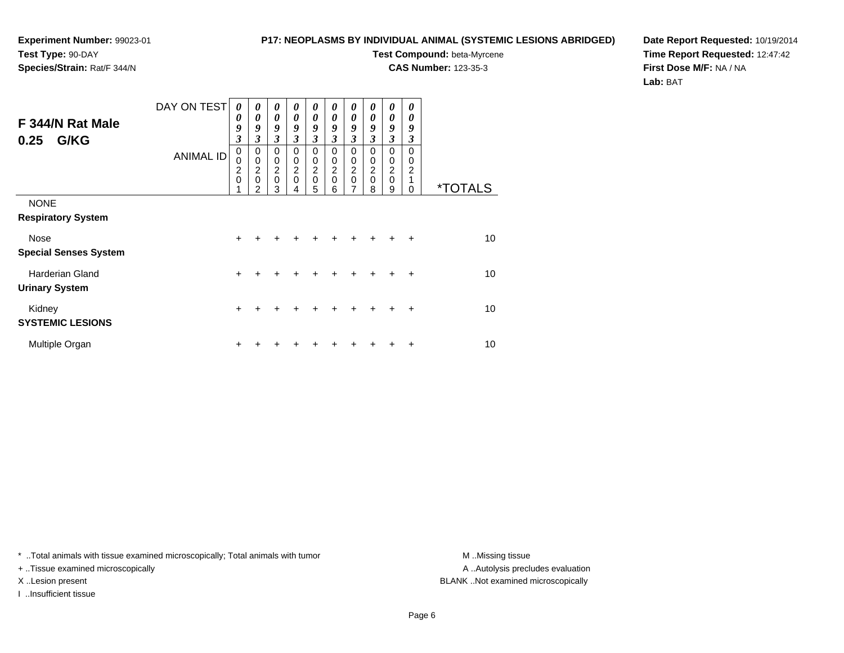**Species/Strain:** Rat/F 344/N

### **P17: NEOPLASMS BY INDIVIDUAL ANIMAL (SYSTEMIC LESIONS ABRIDGED)**

**Test Compound:** beta-Myrcene

**CAS Number:** 123-35-3

**Date Report Requested:** 10/19/2014**Time Report Requested:** 12:47:42**First Dose M/F:** NA / NA**Lab:** BAT

| F 344/N Rat Male<br>G/KG<br>0.25                | DAY ON TEST<br><b>ANIMAL ID</b> | $\boldsymbol{\theta}$<br>0<br>9<br>3<br>$\mathbf 0$<br>0 | 0<br>0<br>9<br>3<br>$\mathbf 0$<br>$\pmb{0}$ | $\boldsymbol{\theta}$<br>$\boldsymbol{\theta}$<br>9<br>3<br>$\mathbf 0$<br>0 | 0<br>0<br>9<br>3<br>$\Omega$<br>0<br>$\overline{c}$ | $\boldsymbol{\theta}$<br>0<br>9<br>3<br>$\Omega$<br>0 | 0<br>$\boldsymbol{\theta}$<br>9<br>3<br>$\Omega$<br>0<br>$\overline{c}$ | $\boldsymbol{\theta}$<br>0<br>9<br>3<br>$\mathbf 0$<br>0 | 0<br>0<br>9<br>3<br>0<br>0<br>$\boldsymbol{2}$ | $\boldsymbol{\theta}$<br>$\boldsymbol{\theta}$<br>9<br>$\mathfrak{z}$<br>$\mathbf 0$<br>0 | 0<br>0<br>9<br>3<br>0<br>0<br>$\overline{2}$ |                       |
|-------------------------------------------------|---------------------------------|----------------------------------------------------------|----------------------------------------------|------------------------------------------------------------------------------|-----------------------------------------------------|-------------------------------------------------------|-------------------------------------------------------------------------|----------------------------------------------------------|------------------------------------------------|-------------------------------------------------------------------------------------------|----------------------------------------------|-----------------------|
|                                                 |                                 | $\frac{2}{0}$                                            | $\frac{2}{0}$<br>っ                           | $\frac{2}{0}$<br>3                                                           | $\mathbf 0$                                         | $\frac{2}{0}$<br>5                                    | $\mathbf 0$<br>6                                                        | $\frac{2}{0}$<br>7                                       | $\mathbf 0$<br>8                               | $\frac{2}{0}$<br>9                                                                        | 1<br>$\Omega$                                | <i><b>*TOTALS</b></i> |
| <b>NONE</b><br><b>Respiratory System</b>        |                                 |                                                          |                                              |                                                                              |                                                     |                                                       |                                                                         |                                                          |                                                |                                                                                           |                                              |                       |
| Nose<br><b>Special Senses System</b>            |                                 | +                                                        |                                              |                                                                              |                                                     |                                                       |                                                                         |                                                          |                                                |                                                                                           | ÷                                            | 10                    |
| <b>Harderian Gland</b><br><b>Urinary System</b> |                                 | $\ddot{}$                                                |                                              |                                                                              |                                                     |                                                       |                                                                         |                                                          |                                                |                                                                                           | ÷                                            | 10                    |
| Kidney<br><b>SYSTEMIC LESIONS</b>               |                                 | +                                                        |                                              |                                                                              |                                                     |                                                       |                                                                         |                                                          |                                                |                                                                                           | $\ddot{}$                                    | 10                    |
| Multiple Organ                                  |                                 | +                                                        |                                              |                                                                              |                                                     |                                                       |                                                                         |                                                          |                                                |                                                                                           | ٠                                            | 10                    |

\* ..Total animals with tissue examined microscopically; Total animals with tumor **M** . Missing tissue M ..Missing tissue

+ ..Tissue examined microscopically

I ..Insufficient tissue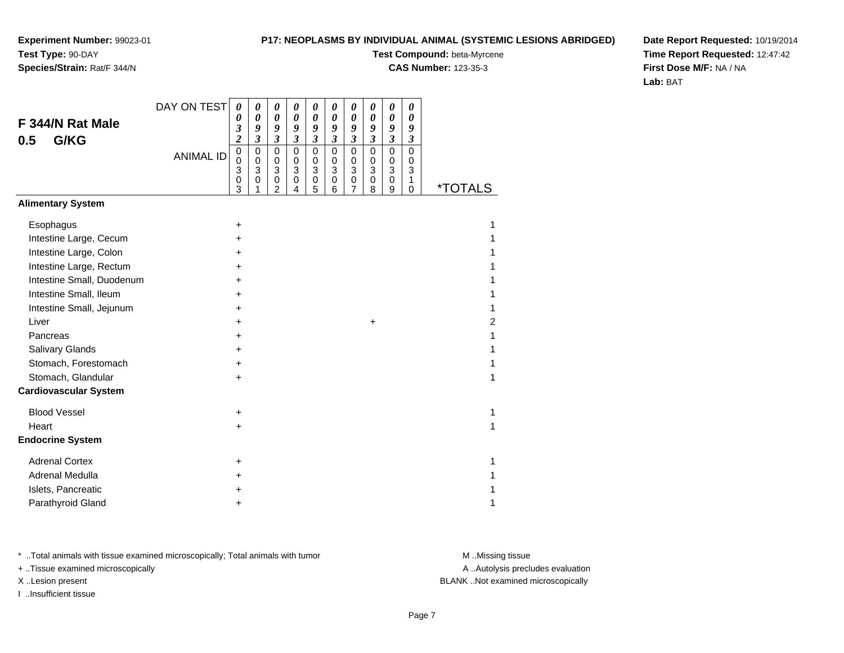### **P17: NEOPLASMS BY INDIVIDUAL ANIMAL (SYSTEMIC LESIONS ABRIDGED)**

**Test Compound:** beta-Myrcene

**CAS Number:** 123-35-3

**Date Report Requested:** 10/19/2014**Time Report Requested:** 12:47:42**First Dose M/F:** NA / NA**Lab:** BAT

|                              | DAY ON TEST      | 0                                      | 0                                                 | 0                                                    | 0                                                 | 0                                                 | $\boldsymbol{\theta}$                     | 0                            | 0                                                  | 0                                                    | 0                                         |                       |
|------------------------------|------------------|----------------------------------------|---------------------------------------------------|------------------------------------------------------|---------------------------------------------------|---------------------------------------------------|-------------------------------------------|------------------------------|----------------------------------------------------|------------------------------------------------------|-------------------------------------------|-----------------------|
| F 344/N Rat Male             |                  | 0<br>3                                 | $\boldsymbol{\theta}$<br>9                        | $\boldsymbol{\theta}$<br>9                           | $\boldsymbol{\theta}$<br>9                        | 0<br>9                                            | 0<br>9                                    | $\boldsymbol{\theta}$<br>9   | $\boldsymbol{\theta}$<br>9                         | $\boldsymbol{\theta}$<br>9                           | $\boldsymbol{\theta}$<br>9                |                       |
| G/KG<br>0.5                  |                  | $\overline{\mathbf{c}}$                | $\mathfrak{z}$                                    | $\mathfrak{z}$                                       | $\boldsymbol{\mathfrak{z}}$                       | $\mathfrak{z}$                                    | $\overline{\mathbf{3}}$                   | $\overline{\mathbf{3}}$      | $\mathfrak{z}$                                     | $\mathfrak{z}$                                       | $\mathfrak{z}$                            |                       |
|                              | <b>ANIMAL ID</b> | $\mathbf 0$<br>$\Omega$<br>3<br>0<br>3 | $\mathbf 0$<br>$\mathbf 0$<br>3<br>$\pmb{0}$<br>1 | $\mathbf 0$<br>$\mathbf 0$<br>$\mathbf{3}$<br>0<br>2 | $\mathbf 0$<br>$\mathbf 0$<br>3<br>$\pmb{0}$<br>4 | $\mathbf 0$<br>$\Omega$<br>$\mathbf{3}$<br>0<br>5 | $\mathbf 0$<br>$\mathbf 0$<br>3<br>0<br>6 | 0<br>$\Omega$<br>3<br>0<br>7 | $\mathbf 0$<br>0<br>$\mathbf{3}$<br>$\pmb{0}$<br>8 | $\mathbf 0$<br>$\mathbf 0$<br>$\mathbf{3}$<br>0<br>9 | $\mathbf 0$<br>0<br>3<br>1<br>$\mathbf 0$ | <i><b>*TOTALS</b></i> |
| <b>Alimentary System</b>     |                  |                                        |                                                   |                                                      |                                                   |                                                   |                                           |                              |                                                    |                                                      |                                           |                       |
| Esophagus                    |                  | +                                      |                                                   |                                                      |                                                   |                                                   |                                           |                              |                                                    |                                                      |                                           | 1                     |
| Intestine Large, Cecum       |                  | $\ddot{}$                              |                                                   |                                                      |                                                   |                                                   |                                           |                              |                                                    |                                                      |                                           |                       |
| Intestine Large, Colon       |                  | $\pm$                                  |                                                   |                                                      |                                                   |                                                   |                                           |                              |                                                    |                                                      |                                           |                       |
| Intestine Large, Rectum      |                  | $\ddot{}$                              |                                                   |                                                      |                                                   |                                                   |                                           |                              |                                                    |                                                      |                                           |                       |
| Intestine Small, Duodenum    |                  | +                                      |                                                   |                                                      |                                                   |                                                   |                                           |                              |                                                    |                                                      |                                           |                       |
| Intestine Small, Ileum       |                  | +                                      |                                                   |                                                      |                                                   |                                                   |                                           |                              |                                                    |                                                      |                                           |                       |
| Intestine Small, Jejunum     |                  | $\ddot{}$                              |                                                   |                                                      |                                                   |                                                   |                                           |                              |                                                    |                                                      |                                           |                       |
| Liver                        |                  | +                                      |                                                   |                                                      |                                                   |                                                   |                                           |                              | $\ddot{}$                                          |                                                      |                                           | 2                     |
| Pancreas                     |                  | +                                      |                                                   |                                                      |                                                   |                                                   |                                           |                              |                                                    |                                                      |                                           |                       |
| <b>Salivary Glands</b>       |                  | $\pm$                                  |                                                   |                                                      |                                                   |                                                   |                                           |                              |                                                    |                                                      |                                           |                       |
| Stomach, Forestomach         |                  | +                                      |                                                   |                                                      |                                                   |                                                   |                                           |                              |                                                    |                                                      |                                           |                       |
| Stomach, Glandular           |                  | $\pm$                                  |                                                   |                                                      |                                                   |                                                   |                                           |                              |                                                    |                                                      |                                           | 1                     |
| <b>Cardiovascular System</b> |                  |                                        |                                                   |                                                      |                                                   |                                                   |                                           |                              |                                                    |                                                      |                                           |                       |
| <b>Blood Vessel</b>          |                  | +                                      |                                                   |                                                      |                                                   |                                                   |                                           |                              |                                                    |                                                      |                                           | 1                     |
| Heart                        |                  | +                                      |                                                   |                                                      |                                                   |                                                   |                                           |                              |                                                    |                                                      |                                           | 1                     |
| <b>Endocrine System</b>      |                  |                                        |                                                   |                                                      |                                                   |                                                   |                                           |                              |                                                    |                                                      |                                           |                       |
| <b>Adrenal Cortex</b>        |                  | $\ddot{}$                              |                                                   |                                                      |                                                   |                                                   |                                           |                              |                                                    |                                                      |                                           |                       |
| Adrenal Medulla              |                  | +                                      |                                                   |                                                      |                                                   |                                                   |                                           |                              |                                                    |                                                      |                                           |                       |
| Islets, Pancreatic           |                  | +                                      |                                                   |                                                      |                                                   |                                                   |                                           |                              |                                                    |                                                      |                                           |                       |
| Parathyroid Gland            |                  | +                                      |                                                   |                                                      |                                                   |                                                   |                                           |                              |                                                    |                                                      |                                           | 1                     |

\* ..Total animals with tissue examined microscopically; Total animals with tumor **M** . Missing tissue M ..Missing tissue

+ ..Tissue examined microscopically

I ..Insufficient tissue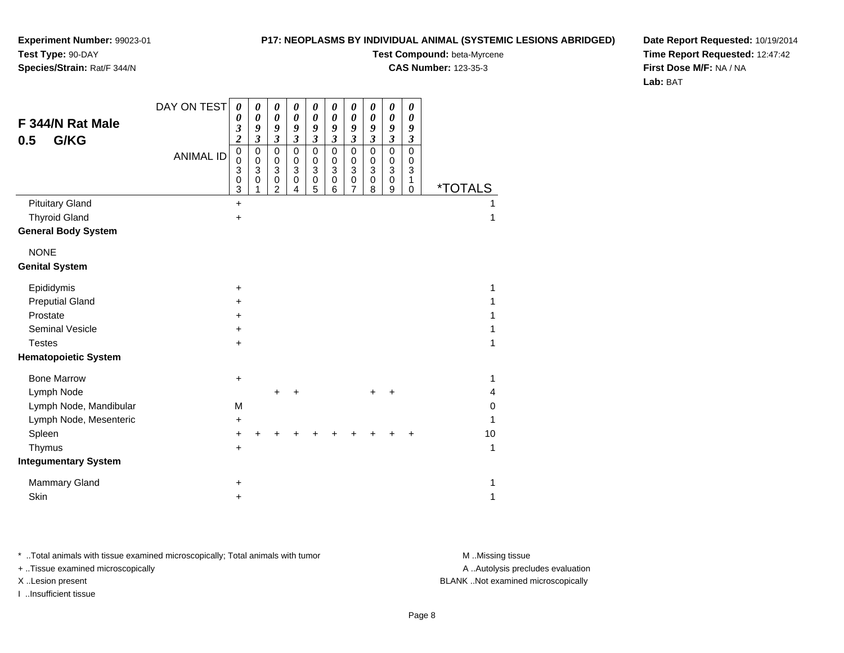**Species/Strain:** Rat/F 344/N

### **P17: NEOPLASMS BY INDIVIDUAL ANIMAL (SYSTEMIC LESIONS ABRIDGED)**

**Test Compound:** beta-Myrcene

**CAS Number:** 123-35-3

**Date Report Requested:** 10/19/2014**Time Report Requested:** 12:47:42**First Dose M/F:** NA / NA**Lab:** BAT

| F 344/N Rat Male<br>G/KG<br>0.5 | DAY ON TEST      | 0<br>0<br>3<br>$\overline{\mathbf{c}}$    | 0<br>$\boldsymbol{\theta}$<br>9<br>$\overline{\mathbf{3}}$ | 0<br>$\boldsymbol{\theta}$<br>9<br>$\mathfrak{z}$                       | 0<br>$\boldsymbol{\theta}$<br>9<br>$\boldsymbol{\beta}$       | 0<br>0<br>9<br>$\mathfrak{z}$                                             | $\pmb{\theta}$<br>0<br>9<br>$\boldsymbol{\beta}$                          | 0<br>0<br>9<br>$\boldsymbol{\beta}$                               | $\pmb{\theta}$<br>$\boldsymbol{\theta}$<br>9<br>$\boldsymbol{\mathfrak{z}}$ | 0<br>0<br>9<br>3                             | 0<br>0<br>9<br>3                |                       |  |
|---------------------------------|------------------|-------------------------------------------|------------------------------------------------------------|-------------------------------------------------------------------------|---------------------------------------------------------------|---------------------------------------------------------------------------|---------------------------------------------------------------------------|-------------------------------------------------------------------|-----------------------------------------------------------------------------|----------------------------------------------|---------------------------------|-----------------------|--|
|                                 | <b>ANIMAL ID</b> | $\mathbf 0$<br>0<br>3<br>$\mathbf 0$<br>3 | $\mathbf 0$<br>$\,0\,$<br>$\overline{3}$<br>$\pmb{0}$      | $\mathbf 0$<br>$\pmb{0}$<br>$\ensuremath{\mathsf{3}}$<br>$\pmb{0}$<br>2 | $\pmb{0}$<br>$\,0\,$<br>$\overline{3}$<br>$\overline{0}$<br>4 | $\mathbf 0$<br>$\pmb{0}$<br>$\ensuremath{\mathsf{3}}$<br>$\mathsf 0$<br>5 | $\mathbf 0$<br>$\mathbf 0$<br>$\ensuremath{\mathsf{3}}$<br>$\pmb{0}$<br>6 | $\mathbf 0$<br>0<br>$\ensuremath{\mathsf{3}}$<br>$\mathbf 0$<br>7 | $\mathsf 0$<br>0<br>$\overline{3}$<br>$\mathbf 0$<br>8                      | $\mathbf 0$<br>0<br>$\overline{3}$<br>0<br>9 | $\mathbf 0$<br>0<br>3<br>1<br>0 | <i><b>*TOTALS</b></i> |  |
| <b>Pituitary Gland</b>          |                  | $\ddot{}$                                 |                                                            |                                                                         |                                                               |                                                                           |                                                                           |                                                                   |                                                                             |                                              |                                 |                       |  |
| <b>Thyroid Gland</b>            |                  | $\ddot{}$                                 |                                                            |                                                                         |                                                               |                                                                           |                                                                           |                                                                   |                                                                             |                                              |                                 | 1                     |  |
| <b>General Body System</b>      |                  |                                           |                                                            |                                                                         |                                                               |                                                                           |                                                                           |                                                                   |                                                                             |                                              |                                 |                       |  |
| <b>NONE</b>                     |                  |                                           |                                                            |                                                                         |                                                               |                                                                           |                                                                           |                                                                   |                                                                             |                                              |                                 |                       |  |
| <b>Genital System</b>           |                  |                                           |                                                            |                                                                         |                                                               |                                                                           |                                                                           |                                                                   |                                                                             |                                              |                                 |                       |  |
| Epididymis                      |                  | $\ddot{}$                                 |                                                            |                                                                         |                                                               |                                                                           |                                                                           |                                                                   |                                                                             |                                              |                                 | 1                     |  |
| <b>Preputial Gland</b>          |                  | $\pm$                                     |                                                            |                                                                         |                                                               |                                                                           |                                                                           |                                                                   |                                                                             |                                              |                                 |                       |  |
| Prostate                        |                  | +                                         |                                                            |                                                                         |                                                               |                                                                           |                                                                           |                                                                   |                                                                             |                                              |                                 | 1                     |  |
| <b>Seminal Vesicle</b>          |                  | +                                         |                                                            |                                                                         |                                                               |                                                                           |                                                                           |                                                                   |                                                                             |                                              |                                 | 1                     |  |
| <b>Testes</b>                   |                  | +                                         |                                                            |                                                                         |                                                               |                                                                           |                                                                           |                                                                   |                                                                             |                                              |                                 | 1                     |  |
| <b>Hematopoietic System</b>     |                  |                                           |                                                            |                                                                         |                                                               |                                                                           |                                                                           |                                                                   |                                                                             |                                              |                                 |                       |  |
| <b>Bone Marrow</b>              |                  | $\ddot{}$                                 |                                                            |                                                                         |                                                               |                                                                           |                                                                           |                                                                   |                                                                             |                                              |                                 | 1                     |  |
| Lymph Node                      |                  |                                           |                                                            | $\ddot{}$                                                               | $\ddot{}$                                                     |                                                                           |                                                                           |                                                                   |                                                                             |                                              |                                 | 4                     |  |
| Lymph Node, Mandibular          |                  | M                                         |                                                            |                                                                         |                                                               |                                                                           |                                                                           |                                                                   |                                                                             |                                              |                                 | 0                     |  |
| Lymph Node, Mesenteric          |                  | $\ddot{}$                                 |                                                            |                                                                         |                                                               |                                                                           |                                                                           |                                                                   |                                                                             |                                              |                                 | 1                     |  |
| Spleen                          |                  | +                                         | ÷                                                          |                                                                         |                                                               |                                                                           |                                                                           |                                                                   |                                                                             |                                              | +                               | 10                    |  |
| Thymus                          |                  | $\ddot{}$                                 |                                                            |                                                                         |                                                               |                                                                           |                                                                           |                                                                   |                                                                             |                                              |                                 | 1                     |  |
| <b>Integumentary System</b>     |                  |                                           |                                                            |                                                                         |                                                               |                                                                           |                                                                           |                                                                   |                                                                             |                                              |                                 |                       |  |
| Mammary Gland                   |                  | +                                         |                                                            |                                                                         |                                                               |                                                                           |                                                                           |                                                                   |                                                                             |                                              |                                 | 1                     |  |
| Skin                            |                  | $\ddot{}$                                 |                                                            |                                                                         |                                                               |                                                                           |                                                                           |                                                                   |                                                                             |                                              |                                 | 1                     |  |

\* ..Total animals with tissue examined microscopically; Total animals with tumor **M** . Missing tissue M ..Missing tissue

+ ..Tissue examined microscopically

I ..Insufficient tissue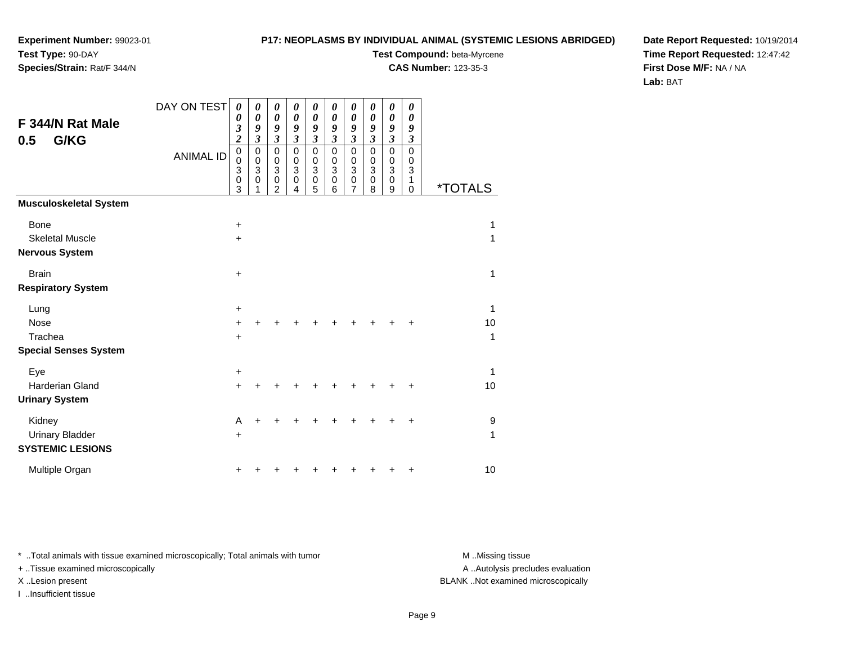**Species/Strain:** Rat/F 344/N

### **P17: NEOPLASMS BY INDIVIDUAL ANIMAL (SYSTEMIC LESIONS ABRIDGED)**

**Test Compound:** beta-Myrcene**CAS Number:** 123-35-3

**Date Report Requested:** 10/19/2014**Time Report Requested:** 12:47:42**First Dose M/F:** NA / NA**Lab:** BAT

| F 344/N Rat Male<br>G/KG<br>0.5 | DAY ON TEST      | 0<br>0<br>3<br>$\overline{\mathbf{c}}$ | 0<br>$\boldsymbol{\theta}$<br>9<br>$\boldsymbol{\beta}$          | 0<br>0<br>9<br>3                             | 0<br>$\boldsymbol{\theta}$<br>9<br>$\boldsymbol{\beta}$ | 0<br>0<br>9<br>3                                        | 0<br>0<br>9<br>3              | 0<br>$\boldsymbol{\theta}$<br>9<br>3      | 0<br>0<br>9<br>$\boldsymbol{\mathfrak{z}}$                        | 0<br>$\boldsymbol{\theta}$<br>9<br>$\boldsymbol{\beta}$           | 0<br>0<br>9<br>3                |                       |
|---------------------------------|------------------|----------------------------------------|------------------------------------------------------------------|----------------------------------------------|---------------------------------------------------------|---------------------------------------------------------|-------------------------------|-------------------------------------------|-------------------------------------------------------------------|-------------------------------------------------------------------|---------------------------------|-----------------------|
|                                 | <b>ANIMAL ID</b> | $\pmb{0}$<br>0<br>3<br>0<br>3          | $\pmb{0}$<br>$\pmb{0}$<br>$\ensuremath{\mathsf{3}}$<br>$\pmb{0}$ | $\mathbf 0$<br>0<br>3<br>0<br>$\overline{2}$ | $\mathbf 0$<br>$\pmb{0}$<br>3<br>$\mathbf 0$<br>4       | $\mathbf 0$<br>0<br>$\ensuremath{\mathsf{3}}$<br>0<br>5 | $\pmb{0}$<br>0<br>3<br>0<br>6 | $\mathbf 0$<br>$\mathbf 0$<br>3<br>0<br>7 | $\mathbf 0$<br>0<br>$\ensuremath{\mathsf{3}}$<br>$\mathbf 0$<br>8 | $\mathbf 0$<br>$\mathbf 0$<br>$\ensuremath{\mathsf{3}}$<br>0<br>9 | $\mathbf 0$<br>0<br>3<br>1<br>0 | <i><b>*TOTALS</b></i> |
| Musculoskeletal System          |                  |                                        |                                                                  |                                              |                                                         |                                                         |                               |                                           |                                                                   |                                                                   |                                 |                       |
| <b>Bone</b>                     |                  | $\ddot{}$                              |                                                                  |                                              |                                                         |                                                         |                               |                                           |                                                                   |                                                                   |                                 | 1                     |
| <b>Skeletal Muscle</b>          |                  | $\ddot{}$                              |                                                                  |                                              |                                                         |                                                         |                               |                                           |                                                                   |                                                                   |                                 | 1                     |
| Nervous System                  |                  |                                        |                                                                  |                                              |                                                         |                                                         |                               |                                           |                                                                   |                                                                   |                                 |                       |
| <b>Brain</b>                    |                  | $\ddot{}$                              |                                                                  |                                              |                                                         |                                                         |                               |                                           |                                                                   |                                                                   |                                 | 1                     |
| <b>Respiratory System</b>       |                  |                                        |                                                                  |                                              |                                                         |                                                         |                               |                                           |                                                                   |                                                                   |                                 |                       |
| Lung                            |                  | $\ddot{}$                              |                                                                  |                                              |                                                         |                                                         |                               |                                           |                                                                   |                                                                   |                                 | 1                     |
| Nose                            |                  | +                                      |                                                                  |                                              |                                                         |                                                         |                               |                                           |                                                                   |                                                                   |                                 | 10                    |
| Trachea                         |                  | $\ddot{}$                              |                                                                  |                                              |                                                         |                                                         |                               |                                           |                                                                   |                                                                   |                                 | 1                     |
| <b>Special Senses System</b>    |                  |                                        |                                                                  |                                              |                                                         |                                                         |                               |                                           |                                                                   |                                                                   |                                 |                       |
| Eye                             |                  | $\ddot{}$                              |                                                                  |                                              |                                                         |                                                         |                               |                                           |                                                                   |                                                                   |                                 | 1                     |
| <b>Harderian Gland</b>          |                  | $\ddot{}$                              |                                                                  |                                              |                                                         |                                                         |                               |                                           |                                                                   |                                                                   | +                               | 10                    |
| <b>Urinary System</b>           |                  |                                        |                                                                  |                                              |                                                         |                                                         |                               |                                           |                                                                   |                                                                   |                                 |                       |
| Kidney                          |                  | A                                      |                                                                  |                                              |                                                         |                                                         |                               |                                           |                                                                   |                                                                   | +                               | 9                     |
| <b>Urinary Bladder</b>          |                  | $\ddot{}$                              |                                                                  |                                              |                                                         |                                                         |                               |                                           |                                                                   |                                                                   |                                 | 1                     |
| <b>SYSTEMIC LESIONS</b>         |                  |                                        |                                                                  |                                              |                                                         |                                                         |                               |                                           |                                                                   |                                                                   |                                 |                       |
| Multiple Organ                  |                  | ٠                                      |                                                                  |                                              |                                                         |                                                         |                               |                                           |                                                                   |                                                                   | +                               | 10                    |

\* ..Total animals with tissue examined microscopically; Total animals with tumor **M** . Missing tissue M ..Missing tissue

+ ..Tissue examined microscopically

I ..Insufficient tissue

A ..Autolysis precludes evaluation

X ..Lesion present BLANK ..Not examined microscopically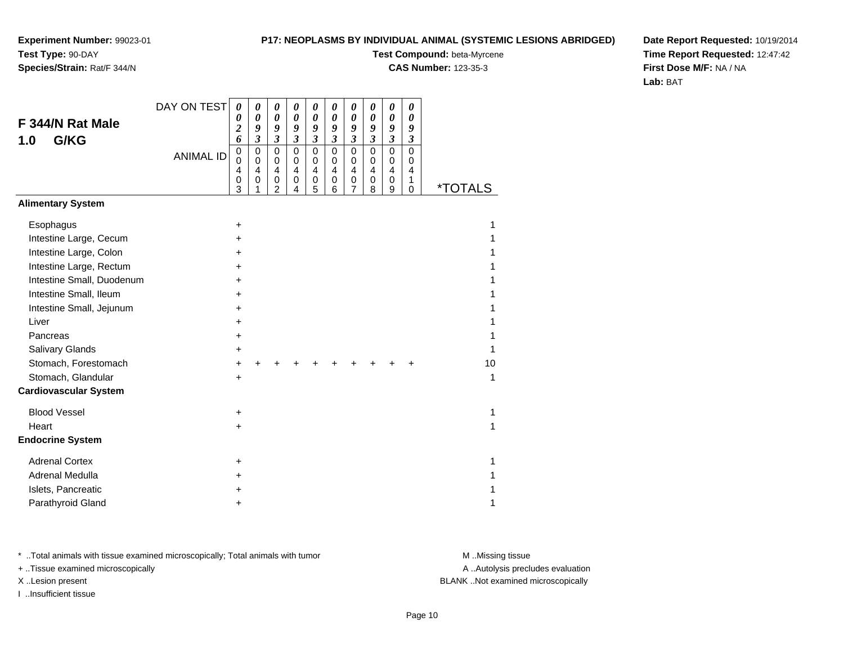### **P17: NEOPLASMS BY INDIVIDUAL ANIMAL (SYSTEMIC LESIONS ABRIDGED)**

**Test Compound:** beta-Myrcene

**CAS Number:** 123-35-3

**Date Report Requested:** 10/19/2014**Time Report Requested:** 12:47:42**First Dose M/F:** NA / NA**Lab:** BAT

|                              | DAY ON TEST      | 0                                                             | 0                                                 | 0                                                                   | 0                                                      | 0                                         | $\boldsymbol{\theta}$                                | 0                               | 0                                                      | 0                                                      | 0                                                |                       |
|------------------------------|------------------|---------------------------------------------------------------|---------------------------------------------------|---------------------------------------------------------------------|--------------------------------------------------------|-------------------------------------------|------------------------------------------------------|---------------------------------|--------------------------------------------------------|--------------------------------------------------------|--------------------------------------------------|-----------------------|
| F 344/N Rat Male             |                  | 0<br>$\overline{\mathbf{c}}$                                  | 0<br>9                                            | $\boldsymbol{\theta}$<br>9                                          | $\boldsymbol{\theta}$<br>9                             | 0<br>9                                    | 0<br>9                                               | 0<br>9                          | $\boldsymbol{\theta}$<br>9                             | 0<br>9                                                 | 0<br>9                                           |                       |
| G/KG<br>1.0                  |                  | 6                                                             | $\mathfrak{z}$                                    | $\mathfrak{z}$                                                      | $\boldsymbol{\mathfrak{z}}$                            | $\mathfrak{z}$                            | $\mathfrak{z}$                                       | $\mathfrak{z}$                  | $\boldsymbol{\beta}$                                   | $\boldsymbol{\beta}$                                   | $\boldsymbol{\beta}$                             |                       |
|                              | <b>ANIMAL ID</b> | $\mathbf 0$<br>$\Omega$<br>$\overline{4}$<br>$\mathbf 0$<br>3 | $\mathbf 0$<br>$\mathbf 0$<br>$\overline{4}$<br>0 | $\mathbf 0$<br>$\mathbf 0$<br>$\overline{4}$<br>0<br>$\overline{2}$ | $\mathbf 0$<br>$\mathbf 0$<br>$\overline{4}$<br>0<br>4 | $\mathbf 0$<br>$\mathbf 0$<br>4<br>0<br>5 | $\pmb{0}$<br>$\mathbf 0$<br>$\overline{4}$<br>0<br>6 | $\mathbf 0$<br>0<br>4<br>0<br>7 | $\mathbf 0$<br>$\mathbf 0$<br>$\overline{4}$<br>0<br>8 | $\mathbf 0$<br>$\mathbf 0$<br>$\overline{4}$<br>0<br>9 | $\Omega$<br>$\mathbf 0$<br>4<br>1<br>$\mathbf 0$ | <i><b>*TOTALS</b></i> |
| <b>Alimentary System</b>     |                  |                                                               |                                                   |                                                                     |                                                        |                                           |                                                      |                                 |                                                        |                                                        |                                                  |                       |
| Esophagus                    |                  | $\ddot{}$                                                     |                                                   |                                                                     |                                                        |                                           |                                                      |                                 |                                                        |                                                        |                                                  | 1                     |
| Intestine Large, Cecum       |                  | +                                                             |                                                   |                                                                     |                                                        |                                           |                                                      |                                 |                                                        |                                                        |                                                  |                       |
| Intestine Large, Colon       |                  |                                                               |                                                   |                                                                     |                                                        |                                           |                                                      |                                 |                                                        |                                                        |                                                  |                       |
| Intestine Large, Rectum      |                  | $\div$                                                        |                                                   |                                                                     |                                                        |                                           |                                                      |                                 |                                                        |                                                        |                                                  |                       |
| Intestine Small, Duodenum    |                  | +                                                             |                                                   |                                                                     |                                                        |                                           |                                                      |                                 |                                                        |                                                        |                                                  |                       |
| Intestine Small, Ileum       |                  | +                                                             |                                                   |                                                                     |                                                        |                                           |                                                      |                                 |                                                        |                                                        |                                                  |                       |
| Intestine Small, Jejunum     |                  |                                                               |                                                   |                                                                     |                                                        |                                           |                                                      |                                 |                                                        |                                                        |                                                  |                       |
| Liver                        |                  | +                                                             |                                                   |                                                                     |                                                        |                                           |                                                      |                                 |                                                        |                                                        |                                                  |                       |
| Pancreas                     |                  | $\ddot{}$                                                     |                                                   |                                                                     |                                                        |                                           |                                                      |                                 |                                                        |                                                        |                                                  |                       |
| <b>Salivary Glands</b>       |                  | +                                                             |                                                   |                                                                     |                                                        |                                           |                                                      |                                 |                                                        |                                                        |                                                  | 1                     |
| Stomach, Forestomach         |                  | $\ddot{}$                                                     |                                                   |                                                                     |                                                        |                                           |                                                      |                                 |                                                        |                                                        |                                                  | 10                    |
| Stomach, Glandular           |                  | $\ddot{}$                                                     |                                                   |                                                                     |                                                        |                                           |                                                      |                                 |                                                        |                                                        |                                                  | 1                     |
| <b>Cardiovascular System</b> |                  |                                                               |                                                   |                                                                     |                                                        |                                           |                                                      |                                 |                                                        |                                                        |                                                  |                       |
| <b>Blood Vessel</b>          |                  | +                                                             |                                                   |                                                                     |                                                        |                                           |                                                      |                                 |                                                        |                                                        |                                                  | 1                     |
| Heart                        |                  | $\ddot{}$                                                     |                                                   |                                                                     |                                                        |                                           |                                                      |                                 |                                                        |                                                        |                                                  | 1                     |
| <b>Endocrine System</b>      |                  |                                                               |                                                   |                                                                     |                                                        |                                           |                                                      |                                 |                                                        |                                                        |                                                  |                       |
| <b>Adrenal Cortex</b>        |                  | $\pm$                                                         |                                                   |                                                                     |                                                        |                                           |                                                      |                                 |                                                        |                                                        |                                                  | 1                     |
| Adrenal Medulla              |                  |                                                               |                                                   |                                                                     |                                                        |                                           |                                                      |                                 |                                                        |                                                        |                                                  |                       |
| Islets, Pancreatic           |                  |                                                               |                                                   |                                                                     |                                                        |                                           |                                                      |                                 |                                                        |                                                        |                                                  |                       |
| Parathyroid Gland            |                  | ٠                                                             |                                                   |                                                                     |                                                        |                                           |                                                      |                                 |                                                        |                                                        |                                                  | 1                     |

\* ..Total animals with tissue examined microscopically; Total animals with tumor **M** . Missing tissue M ..Missing tissue

+ ..Tissue examined microscopically

I ..Insufficient tissue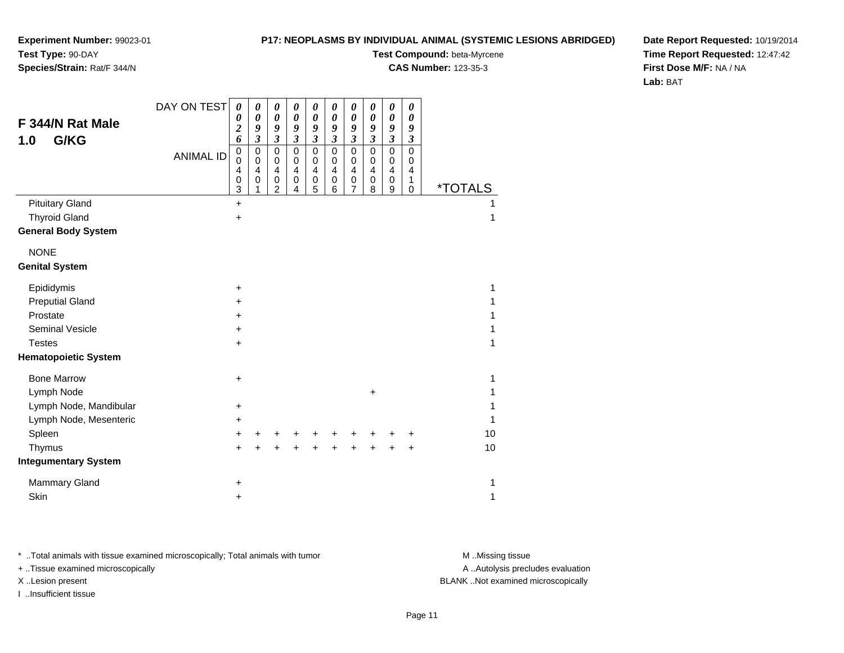## **Species/Strain:** Rat/F 344/N

### **P17: NEOPLASMS BY INDIVIDUAL ANIMAL (SYSTEMIC LESIONS ABRIDGED)**

**Test Compound:** beta-Myrcene

**CAS Number:** 123-35-3

**Date Report Requested:** 10/19/2014**Time Report Requested:** 12:47:42**First Dose M/F:** NA / NA**Lab:** BAT

|                             | DAY ON TEST      | $\boldsymbol{\theta}$ | 0                                                           | 0                                                          | 0                                                        | 0                                                          | 0                                                                | 0                           | $\boldsymbol{\theta}$                                        | $\pmb{\theta}$                                             | $\boldsymbol{\theta}$       |                       |
|-----------------------------|------------------|-----------------------|-------------------------------------------------------------|------------------------------------------------------------|----------------------------------------------------------|------------------------------------------------------------|------------------------------------------------------------------|-----------------------------|--------------------------------------------------------------|------------------------------------------------------------|-----------------------------|-----------------------|
| F 344/N Rat Male            |                  | 0<br>$\overline{c}$   | $\boldsymbol{\theta}$<br>9                                  | $\boldsymbol{\theta}$<br>9                                 | $\pmb{\theta}$<br>9                                      | $\boldsymbol{\theta}$<br>9                                 | $\boldsymbol{\theta}$<br>9                                       | 0<br>9                      | $\boldsymbol{\theta}$<br>9                                   | 0<br>9                                                     | 0<br>9                      |                       |
| G/KG<br>1.0                 |                  | 6                     | $\mathfrak{z}$                                              | $\mathfrak{z}$                                             | $\mathfrak{z}$                                           | $\mathfrak{z}$                                             | $\boldsymbol{\beta}$                                             | $\boldsymbol{\mathfrak{z}}$ | $\boldsymbol{\mathfrak{z}}$                                  | $\overline{\mathbf{3}}$                                    | $\boldsymbol{\mathfrak{z}}$ |                       |
|                             | <b>ANIMAL ID</b> | 0<br>0<br>4<br>0      | $\mathbf 0$<br>$\mathbf 0$<br>$\overline{4}$<br>$\mathbf 0$ | $\mathbf 0$<br>$\mathbf 0$<br>$\overline{\mathbf{4}}$<br>0 | $\mathsf 0$<br>0<br>$\overline{\mathbf{4}}$<br>$\pmb{0}$ | $\mathbf 0$<br>0<br>$\overline{\mathbf{4}}$<br>$\mathbf 0$ | $\mathbf 0$<br>$\pmb{0}$<br>$\overline{\mathbf{4}}$<br>$\pmb{0}$ | 0<br>0<br>4<br>0            | $\mathbf 0$<br>$\,0\,$<br>$\overline{\mathbf{4}}$<br>$\,0\,$ | $\mathbf 0$<br>0<br>$\overline{\mathbf{4}}$<br>$\mathbf 0$ | 0<br>0<br>4<br>1            |                       |
|                             |                  | 3                     | 1                                                           | $\overline{2}$                                             | 4                                                        | 5                                                          | 6                                                                | 7                           | 8                                                            | 9                                                          | 0                           | <i><b>*TOTALS</b></i> |
| <b>Pituitary Gland</b>      |                  | $\ddot{}$             |                                                             |                                                            |                                                          |                                                            |                                                                  |                             |                                                              |                                                            |                             |                       |
| <b>Thyroid Gland</b>        |                  | $\ddot{}$             |                                                             |                                                            |                                                          |                                                            |                                                                  |                             |                                                              |                                                            |                             | 1                     |
| <b>General Body System</b>  |                  |                       |                                                             |                                                            |                                                          |                                                            |                                                                  |                             |                                                              |                                                            |                             |                       |
| <b>NONE</b>                 |                  |                       |                                                             |                                                            |                                                          |                                                            |                                                                  |                             |                                                              |                                                            |                             |                       |
| <b>Genital System</b>       |                  |                       |                                                             |                                                            |                                                          |                                                            |                                                                  |                             |                                                              |                                                            |                             |                       |
| Epididymis                  |                  | $\ddot{}$             |                                                             |                                                            |                                                          |                                                            |                                                                  |                             |                                                              |                                                            |                             | 1                     |
| <b>Preputial Gland</b>      |                  | ٠                     |                                                             |                                                            |                                                          |                                                            |                                                                  |                             |                                                              |                                                            |                             | 1                     |
| Prostate                    |                  | +                     |                                                             |                                                            |                                                          |                                                            |                                                                  |                             |                                                              |                                                            |                             | 1                     |
| <b>Seminal Vesicle</b>      |                  | +                     |                                                             |                                                            |                                                          |                                                            |                                                                  |                             |                                                              |                                                            |                             | 1                     |
| <b>Testes</b>               |                  | $\ddot{}$             |                                                             |                                                            |                                                          |                                                            |                                                                  |                             |                                                              |                                                            |                             | 1                     |
| <b>Hematopoietic System</b> |                  |                       |                                                             |                                                            |                                                          |                                                            |                                                                  |                             |                                                              |                                                            |                             |                       |
| <b>Bone Marrow</b>          |                  | $\ddot{}$             |                                                             |                                                            |                                                          |                                                            |                                                                  |                             |                                                              |                                                            |                             | 1                     |
| Lymph Node                  |                  |                       |                                                             |                                                            |                                                          |                                                            |                                                                  |                             | $\pm$                                                        |                                                            |                             | 1                     |
| Lymph Node, Mandibular      |                  | $\ddot{}$             |                                                             |                                                            |                                                          |                                                            |                                                                  |                             |                                                              |                                                            |                             | 1                     |
| Lymph Node, Mesenteric      |                  | +                     |                                                             |                                                            |                                                          |                                                            |                                                                  |                             |                                                              |                                                            |                             | 1                     |
| Spleen                      |                  | $\ddot{}$             | +                                                           |                                                            |                                                          |                                                            |                                                                  |                             |                                                              |                                                            | +                           | 10                    |
| Thymus                      |                  | ÷                     | ÷                                                           |                                                            |                                                          |                                                            |                                                                  |                             |                                                              |                                                            | +                           | 10                    |
| <b>Integumentary System</b> |                  |                       |                                                             |                                                            |                                                          |                                                            |                                                                  |                             |                                                              |                                                            |                             |                       |
| Mammary Gland               |                  | +                     |                                                             |                                                            |                                                          |                                                            |                                                                  |                             |                                                              |                                                            |                             | 1                     |
| Skin                        |                  | +                     |                                                             |                                                            |                                                          |                                                            |                                                                  |                             |                                                              |                                                            |                             | 1                     |

\* ..Total animals with tissue examined microscopically; Total animals with tumor **M** . Missing tissue M ..Missing tissue

+ ..Tissue examined microscopically

I ..Insufficient tissue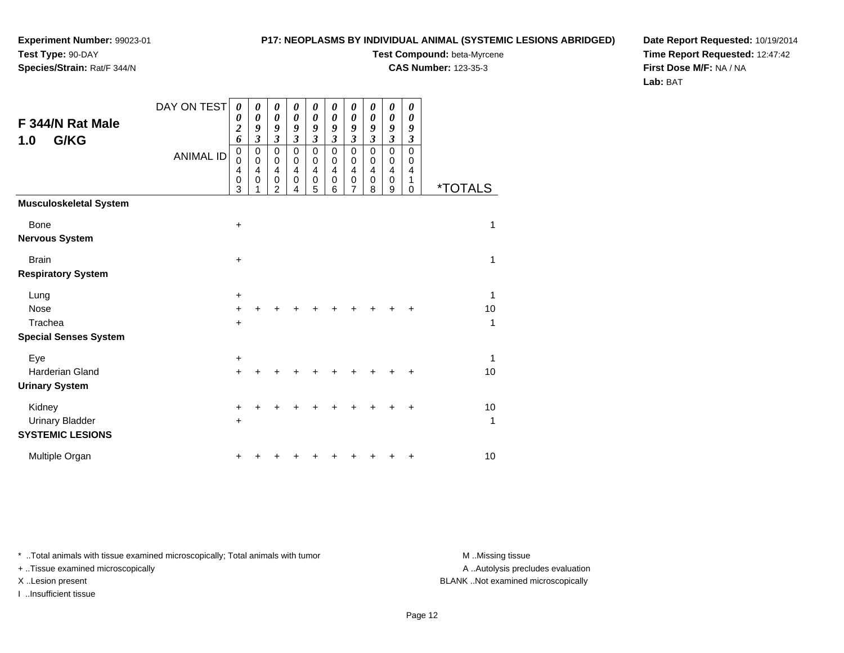**Species/Strain:** Rat/F 344/N

### **P17: NEOPLASMS BY INDIVIDUAL ANIMAL (SYSTEMIC LESIONS ABRIDGED)**

**Test Compound:** beta-Myrcene

**CAS Number:** 123-35-3

**Date Report Requested:** 10/19/2014**Time Report Requested:** 12:47:42**First Dose M/F:** NA / NA**Lab:** BAT

| F 344/N Rat Male<br>G/KG<br>1.0                             | DAY ON TEST<br><b>ANIMAL ID</b> | 0<br>0<br>$\overline{c}$<br>6<br>0<br>0<br>4<br>0<br>3 | 0<br>$\boldsymbol{\theta}$<br>9<br>$\mathfrak{z}$<br>0<br>$\mathbf 0$<br>4<br>0 | 0<br>0<br>9<br>3<br>0<br>$\mathbf 0$<br>4<br>0<br>$\overline{2}$ | 0<br>$\boldsymbol{\theta}$<br>9<br>$\boldsymbol{\beta}$<br>$\pmb{0}$<br>$\mathbf 0$<br>$\overline{\mathbf{4}}$<br>$\mathbf 0$<br>4 | 0<br>$\boldsymbol{\theta}$<br>9<br>$\boldsymbol{\beta}$<br>$\mathbf 0$<br>0<br>$\overline{\mathbf{4}}$<br>$\pmb{0}$<br>5 | 0<br>$\boldsymbol{\theta}$<br>9<br>$\boldsymbol{\beta}$<br>$\mathbf 0$<br>$\pmb{0}$<br>$\overline{\mathbf{4}}$<br>$\,0\,$<br>6 | 0<br>0<br>9<br>3<br>$\mathbf 0$<br>0<br>4<br>0<br>7 | 0<br>0<br>9<br>3<br>$\mathbf 0$<br>0<br>4<br>0<br>8 | 0<br>0<br>9<br>3<br>$\mathbf 0$<br>0<br>4<br>0<br>9 | 0<br>0<br>9<br>3<br>0<br>0<br>4<br>1<br>0 | <i><b>*TOTALS</b></i> |
|-------------------------------------------------------------|---------------------------------|--------------------------------------------------------|---------------------------------------------------------------------------------|------------------------------------------------------------------|------------------------------------------------------------------------------------------------------------------------------------|--------------------------------------------------------------------------------------------------------------------------|--------------------------------------------------------------------------------------------------------------------------------|-----------------------------------------------------|-----------------------------------------------------|-----------------------------------------------------|-------------------------------------------|-----------------------|
| <b>Musculoskeletal System</b>                               |                                 |                                                        |                                                                                 |                                                                  |                                                                                                                                    |                                                                                                                          |                                                                                                                                |                                                     |                                                     |                                                     |                                           |                       |
| <b>Bone</b><br><b>Nervous System</b>                        |                                 | $\ddot{}$                                              |                                                                                 |                                                                  |                                                                                                                                    |                                                                                                                          |                                                                                                                                |                                                     |                                                     |                                                     |                                           | 1                     |
| <b>Brain</b><br><b>Respiratory System</b>                   |                                 | $\ddot{}$                                              |                                                                                 |                                                                  |                                                                                                                                    |                                                                                                                          |                                                                                                                                |                                                     |                                                     |                                                     |                                           | 1                     |
| Lung<br><b>Nose</b>                                         |                                 | $\ddot{}$<br>$\ddot{}$                                 |                                                                                 |                                                                  |                                                                                                                                    |                                                                                                                          |                                                                                                                                |                                                     |                                                     |                                                     | +                                         | 1<br>10               |
| Trachea<br><b>Special Senses System</b>                     |                                 | $\ddot{}$                                              |                                                                                 |                                                                  |                                                                                                                                    |                                                                                                                          |                                                                                                                                |                                                     |                                                     |                                                     |                                           | 1                     |
| Eye<br><b>Harderian Gland</b><br><b>Urinary System</b>      |                                 | $\ddot{}$<br>$\ddot{}$                                 |                                                                                 |                                                                  |                                                                                                                                    |                                                                                                                          |                                                                                                                                |                                                     |                                                     |                                                     | +                                         | 1<br>10               |
| Kidney<br><b>Urinary Bladder</b><br><b>SYSTEMIC LESIONS</b> |                                 | +<br>$\ddot{}$                                         |                                                                                 |                                                                  |                                                                                                                                    |                                                                                                                          |                                                                                                                                |                                                     |                                                     |                                                     | +                                         | 10<br>1               |
| Multiple Organ                                              |                                 | +                                                      |                                                                                 |                                                                  |                                                                                                                                    |                                                                                                                          |                                                                                                                                |                                                     |                                                     |                                                     | +                                         | 10                    |

\* ..Total animals with tissue examined microscopically; Total animals with tumor **M** . Missing tissue M ..Missing tissue

+ ..Tissue examined microscopically

I ..Insufficient tissue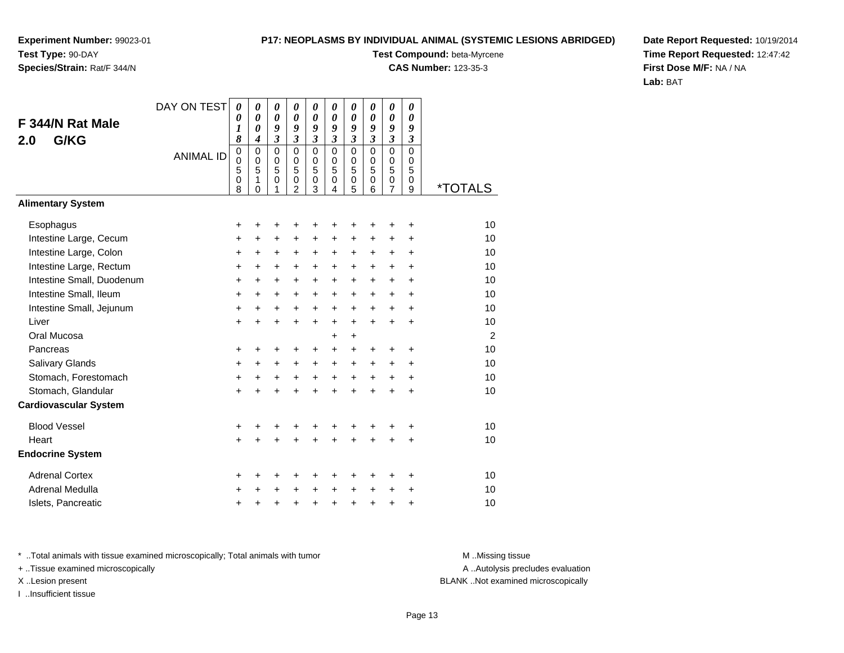## **Species/Strain:** Rat/F 344/N

### **P17: NEOPLASMS BY INDIVIDUAL ANIMAL (SYSTEMIC LESIONS ABRIDGED)**

**Test Compound:** beta-Myrcene

**CAS Number:** 123-35-3

**Date Report Requested:** 10/19/2014**Time Report Requested:** 12:47:42**First Dose M/F:** NA / NA**Lab:** BAT

|                              | DAY ON TEST      | 0                                    | 0                                    | 0                          | 0                                                      | 0                                                              | 0                                         | 0                               | 0                          | $\boldsymbol{\theta}$                                            | 0                                     |                       |
|------------------------------|------------------|--------------------------------------|--------------------------------------|----------------------------|--------------------------------------------------------|----------------------------------------------------------------|-------------------------------------------|---------------------------------|----------------------------|------------------------------------------------------------------|---------------------------------------|-----------------------|
| F 344/N Rat Male             |                  | 0<br>$\boldsymbol{l}$                | 0<br>$\boldsymbol{\theta}$           | $\boldsymbol{\theta}$<br>9 | $\boldsymbol{\theta}$<br>9                             | $\boldsymbol{\theta}$<br>9                                     | $\boldsymbol{\theta}$<br>9                | $\boldsymbol{\theta}$<br>9      | $\boldsymbol{\theta}$<br>9 | $\boldsymbol{\theta}$<br>9                                       | $\boldsymbol{\theta}$<br>9            |                       |
| G/KG<br>2.0                  |                  | 8                                    | $\overline{\boldsymbol{4}}$          | $\mathfrak{z}$             | $\mathfrak{z}$                                         | $\mathfrak{z}$                                                 | $\mathfrak{z}$                            | $\mathfrak{z}$                  | $\mathfrak{z}$             | $\mathfrak{z}$                                                   | $\mathfrak{z}$                        |                       |
|                              | <b>ANIMAL ID</b> | $\mathbf 0$<br>$\mathbf 0$<br>5<br>0 | $\mathbf 0$<br>$\mathbf 0$<br>5<br>1 | $\mathbf 0$<br>0<br>5<br>0 | $\mathbf 0$<br>$\mathbf 0$<br>5<br>0<br>$\overline{2}$ | $\mathbf 0$<br>$\mathbf 0$<br>5<br>$\pmb{0}$<br>$\overline{3}$ | $\mathbf 0$<br>$\mathbf 0$<br>5<br>0<br>4 | $\mathbf 0$<br>0<br>5<br>0<br>5 | $\mathbf 0$<br>0<br>5<br>0 | $\mathbf 0$<br>$\mathbf 0$<br>5<br>$\mathbf 0$<br>$\overline{7}$ | $\overline{0}$<br>$\pmb{0}$<br>5<br>0 | <i><b>*TOTALS</b></i> |
| <b>Alimentary System</b>     |                  | 8                                    | 0                                    | 1                          |                                                        |                                                                |                                           |                                 | 6                          |                                                                  | 9                                     |                       |
| Esophagus                    |                  | +                                    | +                                    | +                          | +                                                      | +                                                              | +                                         | +                               |                            |                                                                  | ٠                                     | 10                    |
| Intestine Large, Cecum       |                  | +                                    | +                                    | +                          | +                                                      | +                                                              | $\pm$                                     | +                               | +                          | $\ddot{}$                                                        | +                                     | 10                    |
| Intestine Large, Colon       |                  | $\ddot{}$                            | +                                    | +                          | +                                                      | $\pm$                                                          | $\ddot{}$                                 | $\pm$                           | $\pm$                      | +                                                                | +                                     | 10                    |
| Intestine Large, Rectum      |                  | $\ddot{}$                            | +                                    | $\ddot{}$                  | $\ddot{}$                                              | $\ddot{}$                                                      | $\ddot{}$                                 | $\ddot{}$                       | $\ddot{}$                  | $\ddot{}$                                                        | $\ddot{}$                             | 10                    |
| Intestine Small, Duodenum    |                  | $\ddot{}$                            | $\ddot{}$                            | $\ddot{}$                  | $\ddot{}$                                              | $\ddot{}$                                                      | $+$                                       | $+$                             | $\ddot{}$                  | $\ddot{}$                                                        | $\ddot{}$                             | 10                    |
| Intestine Small, Ileum       |                  | $\ddot{}$                            | $\ddot{}$                            | +                          | $\ddot{}$                                              | $\ddot{}$                                                      | $\ddot{}$                                 | $\ddot{}$                       | $\ddot{}$                  | $\ddot{}$                                                        | $\ddot{}$                             | 10                    |
| Intestine Small, Jejunum     |                  | +                                    | +                                    | $\ddot{}$                  | $\ddot{}$                                              | $\ddot{}$                                                      | $\ddot{}$                                 | $\ddot{}$                       | $\ddot{}$                  | $\ddot{}$                                                        | $\ddot{}$                             | 10                    |
| Liver                        |                  | +                                    | $\ddot{}$                            | $\ddot{}$                  | $\ddot{}$                                              | $\ddot{}$                                                      | $\ddot{}$                                 | $+$                             | $+$                        | $\ddot{}$                                                        | $\ddot{}$                             | 10                    |
| Oral Mucosa                  |                  |                                      |                                      |                            |                                                        |                                                                | +                                         | $\ddot{}$                       |                            |                                                                  |                                       | 2                     |
| Pancreas                     |                  | +                                    | +                                    | +                          | +                                                      | +                                                              | +                                         | +                               | +                          | ÷                                                                | +                                     | 10                    |
| Salivary Glands              |                  | $\ddot{}$                            | +                                    | $\ddot{}$                  | +                                                      | $\ddot{}$                                                      | $+$                                       | $\ddot{}$                       | $\ddot{}$                  | $\ddot{}$                                                        | $\ddot{}$                             | 10                    |
| Stomach, Forestomach         |                  | +                                    | +                                    | +                          | $\ddot{}$                                              | $\ddot{}$                                                      | $+$                                       | $+$                             | $+$                        | $\ddot{}$                                                        | $\ddot{}$                             | 10                    |
| Stomach, Glandular           |                  | $\ddot{}$                            |                                      | $\ddot{}$                  | $\ddot{}$                                              | $\ddot{}$                                                      | $\ddot{}$                                 | $\ddot{}$                       | $\ddot{}$                  | $\ddot{}$                                                        | $\ddot{}$                             | 10                    |
| <b>Cardiovascular System</b> |                  |                                      |                                      |                            |                                                        |                                                                |                                           |                                 |                            |                                                                  |                                       |                       |
| <b>Blood Vessel</b>          |                  | $\ddot{}$                            | +                                    | +                          | +                                                      | +                                                              | +                                         | +                               | +                          |                                                                  | +                                     | 10                    |
| Heart                        |                  | $\ddot{}$                            |                                      | $\ddot{}$                  | ÷                                                      | $\ddot{}$                                                      |                                           | $\ddot{}$                       | $\ddot{}$                  |                                                                  | $\ddot{}$                             | 10                    |
| <b>Endocrine System</b>      |                  |                                      |                                      |                            |                                                        |                                                                |                                           |                                 |                            |                                                                  |                                       |                       |
| <b>Adrenal Cortex</b>        |                  | +                                    | ٠                                    | +                          | +                                                      | +                                                              | +                                         | ٠                               | +                          | ٠                                                                | ٠                                     | 10                    |
| <b>Adrenal Medulla</b>       |                  | +                                    | +                                    | +                          | +                                                      | $\pm$                                                          | $\pm$                                     | $\ddot{}$                       | $\ddot{}$                  | +                                                                | ٠                                     | 10                    |
| Islets, Pancreatic           |                  | +                                    | +                                    | +                          | +                                                      | +                                                              | +                                         | $\ddot{}$                       | +                          | +                                                                | +                                     | 10                    |

\* ..Total animals with tissue examined microscopically; Total animals with tumor **M** . Missing tissue M ..Missing tissue

+ ..Tissue examined microscopically

I ..Insufficient tissue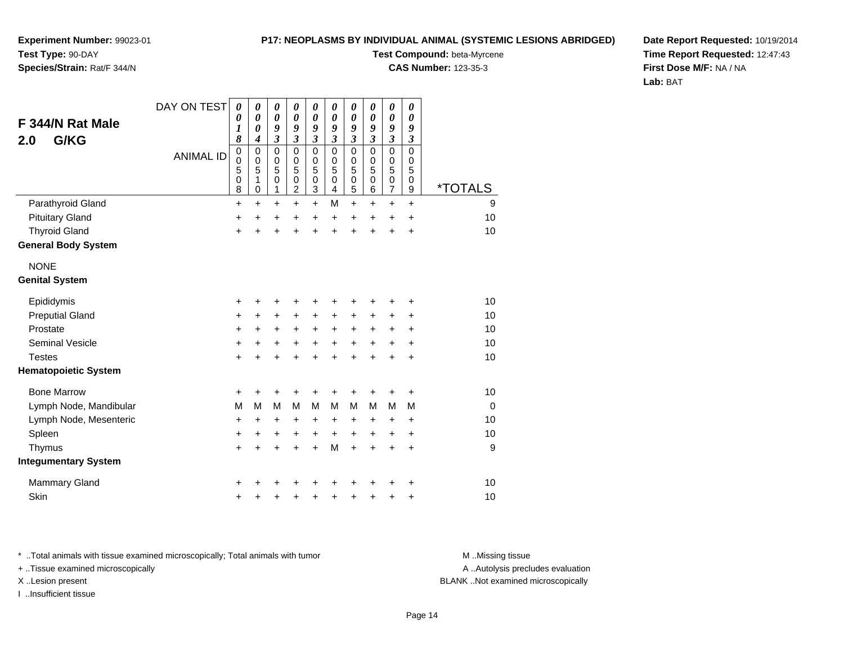### **P17: NEOPLASMS BY INDIVIDUAL ANIMAL (SYSTEMIC LESIONS ABRIDGED)**

**Experiment Number:** 99023-01**Test Type:** 90-DAY

## **Species/Strain:** Rat/F 344/N

**Test Compound:** beta-Myrcene

**CAS Number:** 123-35-3

**Date Report Requested:** 10/19/2014**Time Report Requested:** 12:47:43**First Dose M/F:** NA / NA**Lab:** BAT

| F 344/N Rat Male<br>G/KG<br>2.0 | DAY ON TEST<br><b>ANIMAL ID</b> | $\boldsymbol{\theta}$<br>0<br>$\boldsymbol{l}$<br>8<br>$\mathbf 0$ | 0<br>$\boldsymbol{\theta}$<br>0<br>4<br>$\mathbf 0$ | 0<br>$\boldsymbol{\theta}$<br>9<br>$\overline{\mathbf{3}}$<br>$\mathbf 0$ | 0<br>0<br>9<br>$\overline{\mathbf{3}}$<br>$\Omega$ | $\boldsymbol{\theta}$<br>$\boldsymbol{\theta}$<br>9<br>$\mathfrak{z}$<br>$\mathbf 0$ | $\boldsymbol{\theta}$<br>0<br>9<br>$\mathfrak{z}$<br>$\Omega$ | $\boldsymbol{\theta}$<br>$\boldsymbol{\theta}$<br>9<br>$\boldsymbol{\mathfrak{z}}$<br>$\mathbf 0$ | 0<br>0<br>9<br>$\boldsymbol{\beta}$<br>$\Omega$ | $\boldsymbol{\theta}$<br>0<br>9<br>$\mathfrak{z}$<br>$\mathbf 0$ | 0<br>0<br>9<br>$\mathfrak{z}$<br>$\Omega$         |                       |
|---------------------------------|---------------------------------|--------------------------------------------------------------------|-----------------------------------------------------|---------------------------------------------------------------------------|----------------------------------------------------|--------------------------------------------------------------------------------------|---------------------------------------------------------------|---------------------------------------------------------------------------------------------------|-------------------------------------------------|------------------------------------------------------------------|---------------------------------------------------|-----------------------|
|                                 |                                 | $\boldsymbol{0}$<br>5<br>0<br>8                                    | $\mathbf 0$<br>5<br>1<br>0                          | 0<br>5<br>0<br>1                                                          | 0<br>5<br>0<br>$\overline{c}$                      | $\pmb{0}$<br>5<br>$\pmb{0}$<br>$\ensuremath{\mathsf{3}}$                             | 0<br>5<br>$\mathbf 0$<br>4                                    | 0<br>5<br>$\mathbf 0$<br>5                                                                        | $\mathbf 0$<br>5<br>$\mathbf 0$<br>6            | $\boldsymbol{0}$<br>5<br>$\pmb{0}$<br>$\overline{7}$             | $\mathbf 0$<br>$\overline{5}$<br>$\mathbf 0$<br>9 | <i><b>*TOTALS</b></i> |
| Parathyroid Gland               |                                 | +                                                                  | $\ddot{}$                                           | $\ddot{}$                                                                 | $\ddot{}$                                          | $\ddot{}$                                                                            | M                                                             | $\ddot{}$                                                                                         | $\ddot{}$                                       | $\ddot{}$                                                        | $\ddot{}$                                         | 9                     |
| <b>Pituitary Gland</b>          |                                 | $\ddot{}$                                                          | +                                                   | +                                                                         | $\ddot{}$                                          | $\ddot{}$                                                                            | $\ddot{}$                                                     | +                                                                                                 | +                                               | +                                                                | $\ddot{}$                                         | 10                    |
| <b>Thyroid Gland</b>            |                                 | +                                                                  | $\ddot{}$                                           | $\ddot{}$                                                                 | +                                                  | $\ddot{}$                                                                            | $\ddot{}$                                                     | $\ddot{}$                                                                                         | $\ddot{}$                                       | $\ddot{}$                                                        | $\ddot{}$                                         | 10                    |
| <b>General Body System</b>      |                                 |                                                                    |                                                     |                                                                           |                                                    |                                                                                      |                                                               |                                                                                                   |                                                 |                                                                  |                                                   |                       |
| <b>NONE</b>                     |                                 |                                                                    |                                                     |                                                                           |                                                    |                                                                                      |                                                               |                                                                                                   |                                                 |                                                                  |                                                   |                       |
| <b>Genital System</b>           |                                 |                                                                    |                                                     |                                                                           |                                                    |                                                                                      |                                                               |                                                                                                   |                                                 |                                                                  |                                                   |                       |
| Epididymis                      |                                 | +                                                                  | +                                                   | +                                                                         | +                                                  | +                                                                                    | +                                                             | +                                                                                                 | +                                               | +                                                                | +                                                 | 10                    |
| <b>Preputial Gland</b>          |                                 | +                                                                  | $\ddot{}$                                           | $\ddot{}$                                                                 | +                                                  | $\ddot{}$                                                                            | $\ddot{}$                                                     | +                                                                                                 | +                                               | +                                                                | $\ddot{}$                                         | 10                    |
| Prostate                        |                                 | +                                                                  | $\ddot{}$                                           | +                                                                         | $\ddot{}$                                          | $\ddot{}$                                                                            | $\ddot{}$                                                     | $\ddot{}$                                                                                         | $\ddot{}$                                       | +                                                                | +                                                 | 10                    |
| Seminal Vesicle                 |                                 | +                                                                  | +                                                   | $\ddot{}$                                                                 | +                                                  | $\ddot{}$                                                                            | $\ddot{}$                                                     | $\ddot{}$                                                                                         | $\ddot{}$                                       | $\ddot{}$                                                        | $\ddot{}$                                         | 10                    |
| <b>Testes</b>                   |                                 | $\pm$                                                              | +                                                   | +                                                                         | +                                                  | $\ddot{}$                                                                            | $\ddot{}$                                                     | $\ddot{}$                                                                                         | +                                               | +                                                                | $\ddot{}$                                         | 10                    |
| <b>Hematopoietic System</b>     |                                 |                                                                    |                                                     |                                                                           |                                                    |                                                                                      |                                                               |                                                                                                   |                                                 |                                                                  |                                                   |                       |
| <b>Bone Marrow</b>              |                                 | +                                                                  | +                                                   | +                                                                         | +                                                  | +                                                                                    | +                                                             | +                                                                                                 | ٠                                               | +                                                                | +                                                 | 10                    |
| Lymph Node, Mandibular          |                                 | M                                                                  | M                                                   | M                                                                         | M                                                  | M                                                                                    | M                                                             | M                                                                                                 | M                                               | M                                                                | м                                                 | $\Omega$              |
| Lymph Node, Mesenteric          |                                 | +                                                                  | +                                                   | +                                                                         | +                                                  | +                                                                                    | +                                                             | +                                                                                                 | +                                               | +                                                                | +                                                 | 10                    |
| Spleen                          |                                 | $\ddot{}$                                                          | +                                                   | +                                                                         | +                                                  | +                                                                                    | $\ddot{}$                                                     | $\ddot{}$                                                                                         | $\ddot{}$                                       | +                                                                | $\ddot{}$                                         | 10                    |
| Thymus                          |                                 | +                                                                  | +                                                   | +                                                                         | +                                                  | $\ddot{}$                                                                            | M                                                             | $\ddot{}$                                                                                         | +                                               | +                                                                | $\ddot{}$                                         | 9                     |
| <b>Integumentary System</b>     |                                 |                                                                    |                                                     |                                                                           |                                                    |                                                                                      |                                                               |                                                                                                   |                                                 |                                                                  |                                                   |                       |
| <b>Mammary Gland</b>            |                                 | ٠                                                                  |                                                     | +                                                                         | +                                                  | +                                                                                    |                                                               |                                                                                                   |                                                 | +                                                                | +                                                 | 10                    |
| Skin                            |                                 | +                                                                  | +                                                   | +                                                                         | +                                                  | +                                                                                    |                                                               | +                                                                                                 | +                                               | +                                                                | +                                                 | 10                    |

\* ..Total animals with tissue examined microscopically; Total animals with tumor **M** . Missing tissue M ..Missing tissue

+ ..Tissue examined microscopically

I ..Insufficient tissue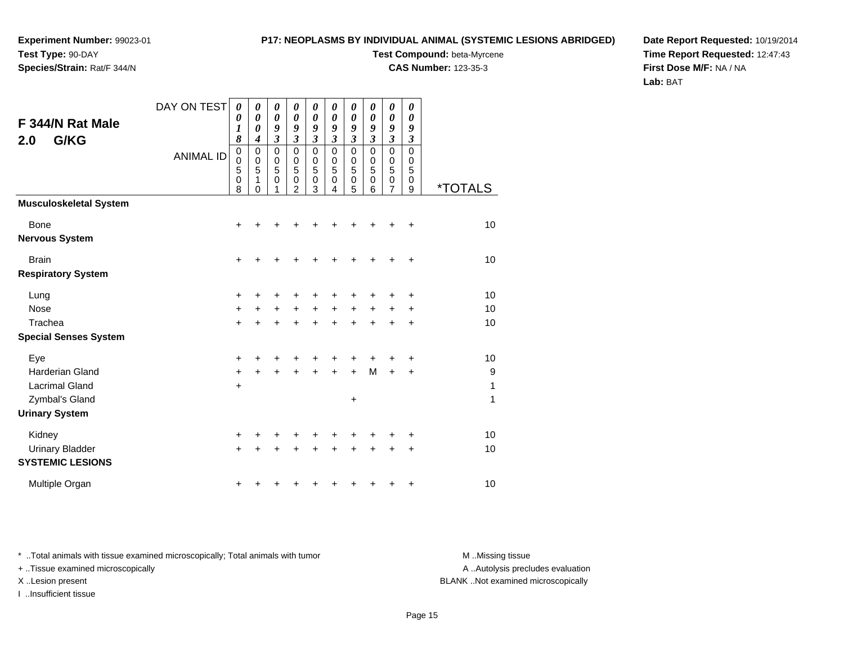# **Species/Strain:** Rat/F 344/N

### **P17: NEOPLASMS BY INDIVIDUAL ANIMAL (SYSTEMIC LESIONS ABRIDGED)**

**Test Compound:** beta-Myrcene

**CAS Number:** 123-35-3

**Date Report Requested:** 10/19/2014**Time Report Requested:** 12:47:43**First Dose M/F:** NA / NA**Lab:** BAT

| F 344/N Rat Male<br>G/KG<br>2.0                                   | DAY ON TEST<br><b>ANIMAL ID</b> | 0<br>0<br>1<br>8<br>0<br>0<br>5<br>0 | $\pmb{\theta}$<br>$\boldsymbol{\theta}$<br>0<br>4<br>0<br>$\mathbf 0$<br>5<br>1 | 0<br>$\boldsymbol{\theta}$<br>9<br>$\overline{\mathbf{3}}$<br>0<br>$\mathbf 0$<br>5<br>0 | 0<br>$\boldsymbol{\theta}$<br>9<br>$\mathfrak{z}$<br>0<br>0<br>5<br>0 | 0<br>$\boldsymbol{\theta}$<br>9<br>$\overline{\mathbf{3}}$<br>0<br>0<br>5<br>0 | 0<br>$\boldsymbol{\theta}$<br>9<br>$\mathfrak{z}$<br>$\mathbf 0$<br>$\mathbf 0$<br>$\overline{5}$<br>$\mathbf 0$ | 0<br>0<br>9<br>$\mathfrak{z}$<br>0<br>0<br>5<br>0 | 0<br>$\boldsymbol{\theta}$<br>9<br>$\mathfrak{z}$<br>0<br>0<br>5<br>0 | 0<br>$\boldsymbol{\theta}$<br>9<br>$\overline{\mathbf{3}}$<br>0<br>0<br>5<br>0 | 0<br>$\boldsymbol{\theta}$<br>9<br>$\boldsymbol{\beta}$<br>0<br>0<br>5<br>0 |                       |
|-------------------------------------------------------------------|---------------------------------|--------------------------------------|---------------------------------------------------------------------------------|------------------------------------------------------------------------------------------|-----------------------------------------------------------------------|--------------------------------------------------------------------------------|------------------------------------------------------------------------------------------------------------------|---------------------------------------------------|-----------------------------------------------------------------------|--------------------------------------------------------------------------------|-----------------------------------------------------------------------------|-----------------------|
|                                                                   |                                 | 8                                    | 0                                                                               | 1                                                                                        | 2                                                                     | 3                                                                              | 4                                                                                                                | 5                                                 | 6                                                                     | 7                                                                              | 9                                                                           | <i><b>*TOTALS</b></i> |
| <b>Musculoskeletal System</b>                                     |                                 |                                      |                                                                                 |                                                                                          |                                                                       |                                                                                |                                                                                                                  |                                                   |                                                                       |                                                                                |                                                                             |                       |
| <b>Bone</b><br><b>Nervous System</b>                              |                                 | $\ddot{}$                            |                                                                                 |                                                                                          |                                                                       | +                                                                              | +                                                                                                                | +                                                 | +                                                                     | +                                                                              | +                                                                           | 10                    |
| <b>Brain</b><br><b>Respiratory System</b>                         |                                 | +                                    |                                                                                 |                                                                                          |                                                                       |                                                                                | +                                                                                                                | +                                                 | +                                                                     | +                                                                              | $\ddot{}$                                                                   | 10                    |
| Lung                                                              |                                 | +                                    |                                                                                 |                                                                                          |                                                                       | +                                                                              | +                                                                                                                | +                                                 | +                                                                     | +                                                                              | +                                                                           | 10                    |
| <b>Nose</b>                                                       |                                 | $\ddot{}$                            |                                                                                 | $\ddot{}$                                                                                | $\ddot{}$                                                             | $\ddot{}$                                                                      | $\ddot{}$                                                                                                        | $\ddot{}$                                         | $\ddot{}$                                                             | +                                                                              | $\ddot{}$                                                                   | 10                    |
| Trachea<br><b>Special Senses System</b>                           |                                 | $\ddot{}$                            |                                                                                 |                                                                                          |                                                                       | $\ddot{}$                                                                      | $\ddot{}$                                                                                                        | $\ddot{}$                                         | $\ddot{}$                                                             | $\ddot{}$                                                                      | $\ddot{}$                                                                   | 10                    |
| Eye                                                               |                                 | +                                    |                                                                                 |                                                                                          |                                                                       | +                                                                              | +                                                                                                                | +                                                 | +                                                                     | +                                                                              | +                                                                           | 10                    |
| <b>Harderian Gland</b><br><b>Lacrimal Gland</b><br>Zymbal's Gland |                                 | $\ddot{}$<br>+                       |                                                                                 |                                                                                          |                                                                       | $\ddot{}$                                                                      | $\ddot{}$                                                                                                        | $\ddot{}$<br>$\ddot{}$                            | M                                                                     | $\ddot{}$                                                                      | ÷                                                                           | 9<br>1<br>1           |
| <b>Urinary System</b>                                             |                                 |                                      |                                                                                 |                                                                                          |                                                                       |                                                                                |                                                                                                                  |                                                   |                                                                       |                                                                                |                                                                             |                       |
| Kidney<br><b>Urinary Bladder</b><br><b>SYSTEMIC LESIONS</b>       |                                 | +<br>+                               |                                                                                 |                                                                                          |                                                                       | +                                                                              | +                                                                                                                | +                                                 | +<br>+                                                                | +                                                                              | +<br>+                                                                      | 10<br>10              |
| Multiple Organ                                                    |                                 | +                                    |                                                                                 |                                                                                          |                                                                       | ٠                                                                              | ٠                                                                                                                | +                                                 | +                                                                     | +                                                                              | +                                                                           | 10                    |

\* ..Total animals with tissue examined microscopically; Total animals with tumor **M** . Missing tissue M ..Missing tissue

+ ..Tissue examined microscopically

I ..Insufficient tissue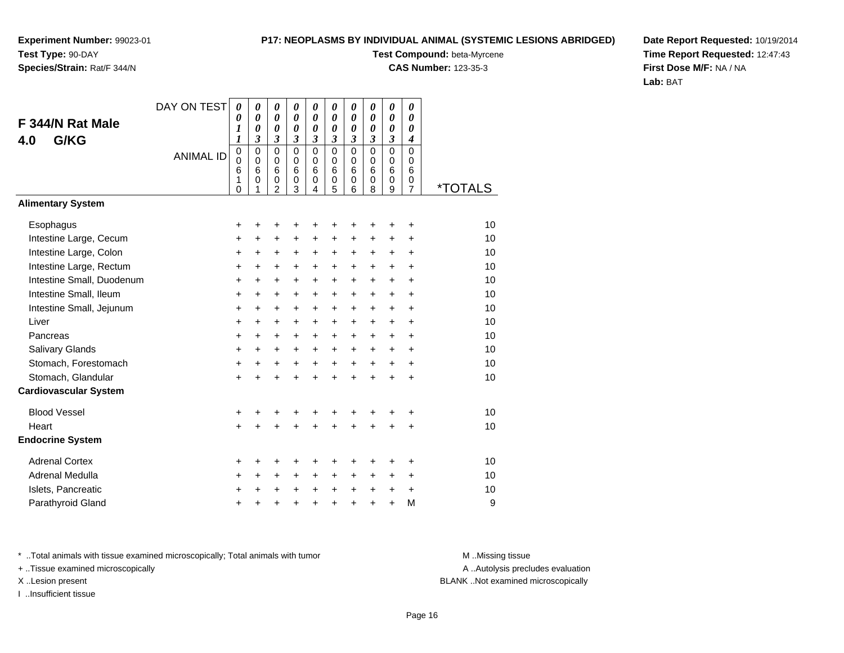### **P17: NEOPLASMS BY INDIVIDUAL ANIMAL (SYSTEMIC LESIONS ABRIDGED)**

**Test Compound:** beta-Myrcene

**CAS Number:** 123-35-3

**Date Report Requested:** 10/19/2014**Time Report Requested:** 12:47:43**First Dose M/F:** NA / NA**Lab:** BAT

|                              | DAY ON TEST      | 0                                         | 0                                              | 0                                                      | 0                                         | 0                                         | 0                                   | 0                                         | 0                                         | 0                                         | 0                                                |                       |
|------------------------------|------------------|-------------------------------------------|------------------------------------------------|--------------------------------------------------------|-------------------------------------------|-------------------------------------------|-------------------------------------|-------------------------------------------|-------------------------------------------|-------------------------------------------|--------------------------------------------------|-----------------------|
| F 344/N Rat Male             |                  | 0<br>1                                    | $\boldsymbol{\theta}$<br>$\boldsymbol{\theta}$ | $\boldsymbol{\theta}$<br>0                             | $\boldsymbol{\theta}$<br>0                | 0<br>0                                    | $\boldsymbol{\theta}$<br>0          | $\boldsymbol{\theta}$<br>0                | 0<br>0                                    | 0<br>0                                    | 0<br>0                                           |                       |
| G/KG<br>4.0                  |                  | $\boldsymbol{l}$                          | $\mathfrak{z}$                                 | 3                                                      | 3                                         | 3                                         | 3                                   | 3                                         | $\mathfrak{z}$                            | 3                                         | $\boldsymbol{4}$                                 |                       |
|                              | <b>ANIMAL ID</b> | $\mathbf 0$<br>$\mathbf 0$<br>6<br>1<br>0 | $\mathbf 0$<br>$\mathbf 0$<br>6<br>0<br>1      | $\mathbf 0$<br>$\mathbf 0$<br>6<br>0<br>$\overline{2}$ | $\mathbf 0$<br>$\mathbf 0$<br>6<br>0<br>3 | $\mathbf 0$<br>$\mathbf 0$<br>6<br>0<br>4 | $\Omega$<br>$\Omega$<br>6<br>0<br>5 | $\mathbf 0$<br>$\mathbf 0$<br>6<br>0<br>6 | $\mathbf 0$<br>$\mathbf 0$<br>6<br>0<br>8 | $\mathbf 0$<br>$\mathbf 0$<br>6<br>0<br>9 | $\Omega$<br>$\Omega$<br>6<br>0<br>$\overline{7}$ | <i><b>*TOTALS</b></i> |
| <b>Alimentary System</b>     |                  |                                           |                                                |                                                        |                                           |                                           |                                     |                                           |                                           |                                           |                                                  |                       |
| Esophagus                    |                  | +                                         | +                                              | +                                                      | +                                         | +                                         | +                                   | +                                         |                                           | +                                         | +                                                | 10                    |
| Intestine Large, Cecum       |                  | $\ddot{}$                                 | $\ddot{}$                                      | +                                                      | $\pm$                                     | +                                         | $\ddot{}$                           | $\ddot{}$                                 | $\ddot{}$                                 | $\ddot{}$                                 | $\ddot{}$                                        | 10                    |
| Intestine Large, Colon       |                  | +                                         | +                                              | +                                                      | +                                         | +                                         | +                                   | +                                         | +                                         | +                                         | +                                                | 10                    |
| Intestine Large, Rectum      |                  | +                                         | +                                              | +                                                      | $\ddot{}$                                 | $\ddot{}$                                 | +                                   | +                                         | $\ddot{}$                                 | $\ddot{}$                                 | $\ddot{}$                                        | 10                    |
| Intestine Small, Duodenum    |                  | $\ddot{}$                                 | $\ddot{}$                                      | $\ddot{}$                                              | $\ddot{}$                                 | $\ddot{}$                                 | $\ddot{}$                           | $\ddot{}$                                 | $\ddot{}$                                 | $\ddot{}$                                 | $\ddot{}$                                        | 10                    |
| Intestine Small, Ileum       |                  | +                                         | +                                              | +                                                      | +                                         | +                                         | +                                   | +                                         | +                                         | +                                         | $\ddot{}$                                        | 10                    |
| Intestine Small, Jejunum     |                  | $\ddot{}$                                 | $\ddot{}$                                      | $\ddot{}$                                              | $\ddot{}$                                 | +                                         | $\ddot{}$                           | $\ddot{}$                                 | $\ddot{}$                                 | $\ddot{}$                                 | $\ddot{}$                                        | 10                    |
| Liver                        |                  | $\ddot{}$                                 | $\ddot{}$                                      | +                                                      | $\ddot{}$                                 | $\ddot{}$                                 | $\ddot{}$                           | $\ddot{}$                                 | $\ddot{}$                                 | $+$                                       | $\ddot{}$                                        | 10                    |
| Pancreas                     |                  | +                                         | +                                              | +                                                      | $\ddot{}$                                 | +                                         | +                                   | +                                         | +                                         | +                                         | +                                                | 10                    |
| Salivary Glands              |                  | $\ddot{}$                                 | $\ddot{}$                                      | $\ddot{}$                                              | $\ddot{}$                                 | $\ddot{}$                                 | $\ddot{}$                           | $\ddot{}$                                 | $\ddot{}$                                 | $\ddot{}$                                 | $\ddot{}$                                        | 10                    |
| Stomach, Forestomach         |                  | $\ddot{}$                                 | +                                              | +                                                      | $\ddot{}$                                 | $\ddot{}$                                 | $\ddot{}$                           | $\ddot{}$                                 | $\ddot{}$                                 | +                                         | $\ddot{}$                                        | 10                    |
| Stomach, Glandular           |                  | $\ddot{}$                                 | $\ddot{}$                                      | $\ddot{}$                                              | $\ddot{}$                                 | $\ddot{}$                                 | +                                   | $\ddot{}$                                 | $\ddot{}$                                 | $\ddot{}$                                 | $\ddot{}$                                        | 10                    |
| <b>Cardiovascular System</b> |                  |                                           |                                                |                                                        |                                           |                                           |                                     |                                           |                                           |                                           |                                                  |                       |
| <b>Blood Vessel</b>          |                  | +                                         | +                                              | +                                                      | +                                         | +                                         | +                                   | +                                         |                                           | +                                         | +                                                | 10                    |
| Heart                        |                  | $\ddot{}$                                 | ÷                                              | $\ddot{}$                                              | $\ddot{}$                                 | $\ddot{}$                                 | $\ddot{}$                           | $\ddot{}$                                 | $\ddot{}$                                 | $\ddot{}$                                 | +                                                | 10                    |
| <b>Endocrine System</b>      |                  |                                           |                                                |                                                        |                                           |                                           |                                     |                                           |                                           |                                           |                                                  |                       |
| <b>Adrenal Cortex</b>        |                  | +                                         | +                                              | +                                                      | +                                         | +                                         | +                                   | +                                         | +                                         | +                                         | +                                                | 10                    |
| Adrenal Medulla              |                  | +                                         | +                                              | $\pm$                                                  | $\ddot{}$                                 | $\ddot{}$                                 | $\ddot{}$                           | $\ddot{}$                                 | $\ddot{}$                                 | $\pm$                                     | $\ddot{}$                                        | 10                    |
| Islets, Pancreatic           |                  | +                                         | +                                              | +                                                      | $\ddot{}$                                 | $\ddot{}$                                 | $\ddot{}$                           | $\ddot{}$                                 | $\ddot{}$                                 | +                                         | +                                                | 10                    |
| Parathyroid Gland            |                  | +                                         | +                                              | +                                                      |                                           | $\ddot{}$                                 | +                                   | $\ddot{}$                                 | $\ddot{}$                                 | +                                         | M                                                | 9                     |

\* ..Total animals with tissue examined microscopically; Total animals with tumor **M** . Missing tissue M ..Missing tissue

+ ..Tissue examined microscopically

I ..Insufficient tissue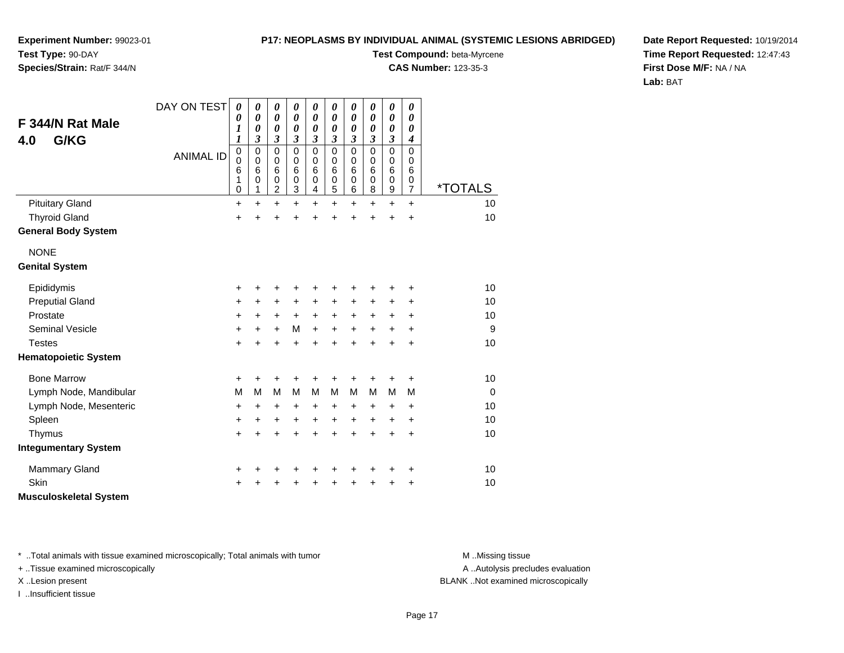### **P17: NEOPLASMS BY INDIVIDUAL ANIMAL (SYSTEMIC LESIONS ABRIDGED)**

**Experiment Number:** 99023-01**Test Type:** 90-DAY**Species/Strain:** Rat/F 344/N

**Test Compound:** beta-Myrcene

**CAS Number:** 123-35-3

**Date Report Requested:** 10/19/2014**Time Report Requested:** 12:47:43**First Dose M/F:** NA / NA**Lab:** BAT

| F 344/N Rat Male<br>G/KG<br>4.0 | DAY ON TEST<br><b>ANIMAL ID</b> | 0<br>0<br>$\boldsymbol{l}$<br>$\boldsymbol{l}$<br>0<br>0<br>6<br>1 | 0<br>0<br>0<br>3<br>$\mathbf 0$<br>$\mathbf 0$<br>6<br>0 | 0<br>$\boldsymbol{\theta}$<br>0<br>$\mathfrak{z}$<br>0<br>0<br>6<br>0 | 0<br>$\boldsymbol{\theta}$<br>0<br>3<br>$\mathbf 0$<br>$\Omega$<br>6<br>0 | 0<br>$\boldsymbol{\theta}$<br>0<br>$\mathfrak{z}$<br>$\mathsf 0$<br>0<br>6<br>$\mathbf 0$ | $\boldsymbol{\theta}$<br>0<br>$\boldsymbol{\theta}$<br>3<br>$\mathbf 0$<br>$\Omega$<br>6<br>$\mathbf 0$ | $\boldsymbol{\theta}$<br>$\boldsymbol{\theta}$<br>$\boldsymbol{\theta}$<br>$\boldsymbol{\beta}$<br>$\mathbf 0$<br>0<br>6<br>$\mathbf 0$ | $\boldsymbol{\theta}$<br>0<br>0<br>3<br>$\mathbf 0$<br>0<br>$6\phantom{1}6$<br>$\mathbf 0$ | $\boldsymbol{\theta}$<br>$\boldsymbol{\theta}$<br>0<br>$\boldsymbol{\beta}$<br>$\mathbf 0$<br>0<br>6<br>$\mathbf 0$ | $\boldsymbol{\theta}$<br>0<br>$\boldsymbol{\theta}$<br>$\boldsymbol{4}$<br>$\mathbf 0$<br>0<br>6<br>0 |                       |
|---------------------------------|---------------------------------|--------------------------------------------------------------------|----------------------------------------------------------|-----------------------------------------------------------------------|---------------------------------------------------------------------------|-------------------------------------------------------------------------------------------|---------------------------------------------------------------------------------------------------------|-----------------------------------------------------------------------------------------------------------------------------------------|--------------------------------------------------------------------------------------------|---------------------------------------------------------------------------------------------------------------------|-------------------------------------------------------------------------------------------------------|-----------------------|
|                                 |                                 | 0                                                                  | 1                                                        | $\overline{c}$                                                        | 3                                                                         | 4                                                                                         | 5                                                                                                       | 6                                                                                                                                       | 8                                                                                          | $\boldsymbol{9}$                                                                                                    | $\overline{7}$                                                                                        | <i><b>*TOTALS</b></i> |
| <b>Pituitary Gland</b>          |                                 | $\ddot{}$                                                          | $\ddot{}$                                                | $\ddot{}$                                                             | $\ddot{}$                                                                 | $\ddot{}$                                                                                 | +                                                                                                       | $\ddot{}$                                                                                                                               | $\ddot{}$                                                                                  | $\ddot{}$                                                                                                           | $\ddot{}$                                                                                             | 10                    |
| <b>Thyroid Gland</b>            |                                 | $\ddot{}$                                                          | ÷                                                        | +                                                                     | $\ddot{}$                                                                 | $\ddot{}$                                                                                 | $\ddot{}$                                                                                               | +                                                                                                                                       |                                                                                            | $\ddot{}$                                                                                                           | $\ddot{}$                                                                                             | 10                    |
| <b>General Body System</b>      |                                 |                                                                    |                                                          |                                                                       |                                                                           |                                                                                           |                                                                                                         |                                                                                                                                         |                                                                                            |                                                                                                                     |                                                                                                       |                       |
| <b>NONE</b>                     |                                 |                                                                    |                                                          |                                                                       |                                                                           |                                                                                           |                                                                                                         |                                                                                                                                         |                                                                                            |                                                                                                                     |                                                                                                       |                       |
| <b>Genital System</b>           |                                 |                                                                    |                                                          |                                                                       |                                                                           |                                                                                           |                                                                                                         |                                                                                                                                         |                                                                                            |                                                                                                                     |                                                                                                       |                       |
| Epididymis                      |                                 | +                                                                  | +                                                        | +                                                                     | +                                                                         | +                                                                                         |                                                                                                         | +                                                                                                                                       |                                                                                            | +                                                                                                                   | +                                                                                                     | 10                    |
| <b>Preputial Gland</b>          |                                 | +                                                                  | +                                                        | +                                                                     | +                                                                         | +                                                                                         | +                                                                                                       | +                                                                                                                                       | +                                                                                          | +                                                                                                                   | +                                                                                                     | 10                    |
| Prostate                        |                                 | +                                                                  | $+$                                                      | +                                                                     | $\ddot{}$                                                                 | $\ddot{}$                                                                                 | $\ddot{}$                                                                                               | $\ddot{}$                                                                                                                               | $\ddot{}$                                                                                  | $\ddot{}$                                                                                                           | $\ddot{}$                                                                                             | 10                    |
| <b>Seminal Vesicle</b>          |                                 | +                                                                  | $\ddot{}$                                                | $\ddot{}$                                                             | M                                                                         | $\ddot{}$                                                                                 | $\ddot{}$                                                                                               | $\ddot{}$                                                                                                                               | $\ddot{}$                                                                                  | $\ddot{}$                                                                                                           | $\ddot{}$                                                                                             | 9                     |
| <b>Testes</b>                   |                                 | $\ddot{}$                                                          | $\ddot{}$                                                | $\ddot{}$                                                             | $\ddot{}$                                                                 | $\ddot{}$                                                                                 | $\ddot{}$                                                                                               | $\ddot{}$                                                                                                                               | ÷                                                                                          | $\ddot{}$                                                                                                           | $\ddot{}$                                                                                             | 10                    |
| <b>Hematopoietic System</b>     |                                 |                                                                    |                                                          |                                                                       |                                                                           |                                                                                           |                                                                                                         |                                                                                                                                         |                                                                                            |                                                                                                                     |                                                                                                       |                       |
| <b>Bone Marrow</b>              |                                 | +                                                                  | +                                                        | +                                                                     | +                                                                         | +                                                                                         | +                                                                                                       | +                                                                                                                                       |                                                                                            | +                                                                                                                   | ٠                                                                                                     | 10                    |
| Lymph Node, Mandibular          |                                 | M                                                                  | M                                                        | M                                                                     | М                                                                         | M                                                                                         | М                                                                                                       | M                                                                                                                                       | M                                                                                          | M                                                                                                                   | M                                                                                                     | $\mathbf 0$           |
| Lymph Node, Mesenteric          |                                 | $\ddot{}$                                                          | $\ddot{}$                                                | +                                                                     | $\ddot{}$                                                                 | +                                                                                         | +                                                                                                       | $\ddot{}$                                                                                                                               | +                                                                                          | $\ddot{}$                                                                                                           | $\ddot{}$                                                                                             | 10                    |
| Spleen                          |                                 | +                                                                  | +                                                        | +                                                                     | +                                                                         | +                                                                                         | $\ddot{}$                                                                                               | +                                                                                                                                       | +                                                                                          | +                                                                                                                   | $\ddot{}$                                                                                             | 10                    |
| Thymus                          |                                 | $\ddot{}$                                                          | $\ddot{}$                                                | $\ddot{}$                                                             | $\ddot{}$                                                                 | $\ddot{}$                                                                                 | $\ddot{}$                                                                                               | $\ddot{}$                                                                                                                               | $\ddot{}$                                                                                  | $\ddot{}$                                                                                                           | $\ddot{}$                                                                                             | 10                    |
| <b>Integumentary System</b>     |                                 |                                                                    |                                                          |                                                                       |                                                                           |                                                                                           |                                                                                                         |                                                                                                                                         |                                                                                            |                                                                                                                     |                                                                                                       |                       |
| Mammary Gland                   |                                 | +                                                                  |                                                          | +                                                                     | +                                                                         | +                                                                                         | +                                                                                                       | +                                                                                                                                       |                                                                                            | +                                                                                                                   | +                                                                                                     | 10                    |
| <b>Skin</b>                     |                                 | ٠                                                                  |                                                          | +                                                                     |                                                                           | +                                                                                         |                                                                                                         |                                                                                                                                         |                                                                                            | +                                                                                                                   | ٠                                                                                                     | 10                    |
| <b>Musculoskeletal System</b>   |                                 |                                                                    |                                                          |                                                                       |                                                                           |                                                                                           |                                                                                                         |                                                                                                                                         |                                                                                            |                                                                                                                     |                                                                                                       |                       |

\* ..Total animals with tissue examined microscopically; Total animals with tumor **M** . Missing tissue M ..Missing tissue

+ ..Tissue examined microscopically

I ..Insufficient tissue

A ..Autolysis precludes evaluation

X ..Lesion present BLANK ..Not examined microscopically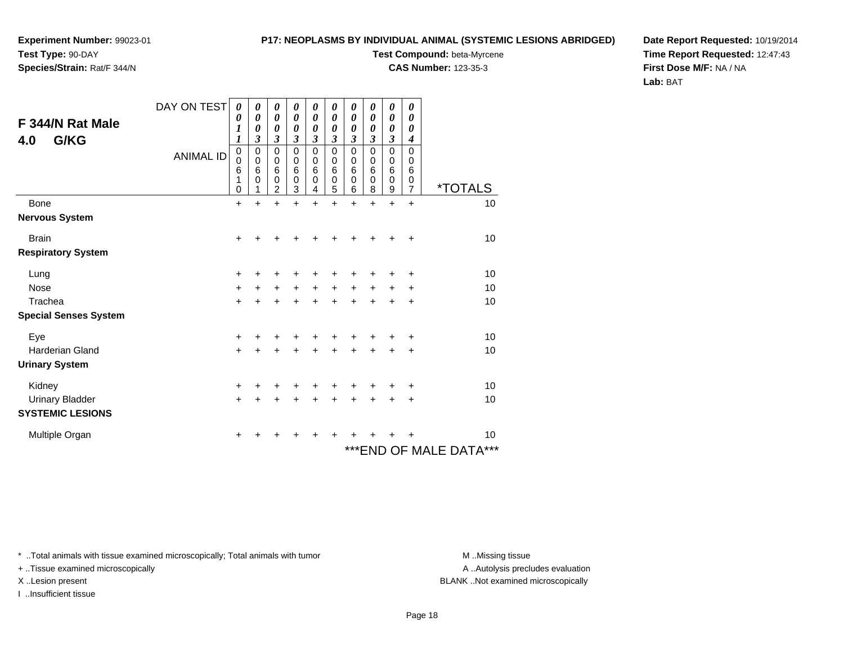## **Species/Strain:** Rat/F 344/N

### **P17: NEOPLASMS BY INDIVIDUAL ANIMAL (SYSTEMIC LESIONS ABRIDGED)**

**Test Compound:** beta-Myrcene

**CAS Number:** 123-35-3

**Date Report Requested:** 10/19/2014**Time Report Requested:** 12:47:43**First Dose M/F:** NA / NA**Lab:** BAT

| F 344/N Rat Male<br>G/KG<br>4.0 | DAY ON TEST<br><b>ANIMAL ID</b> | 0<br>0<br>$\boldsymbol{l}$<br>$\boldsymbol{l}$<br>0<br>$\mathbf 0$<br>6<br>1<br>0 | 0<br>0<br>$\boldsymbol{\theta}$<br>3<br>0<br>0<br>6<br>0<br>1 | 0<br>0<br>$\boldsymbol{\theta}$<br>3<br>0<br>0<br>$6\phantom{1}6$<br>0<br>$\overline{2}$ | 0<br>0<br>0<br>3<br>0<br>0<br>6<br>0<br>3 | 0<br>0<br>$\boldsymbol{\theta}$<br>3<br>0<br>0<br>6<br>0<br>4 | 0<br>0<br>$\boldsymbol{\theta}$<br>3<br>$\mathbf 0$<br>0<br>6<br>0<br>5 | 0<br>$\boldsymbol{\theta}$<br>$\boldsymbol{\theta}$<br>3<br>$\mathbf 0$<br>0<br>$\,6$<br>$\mathbf 0$<br>6 | 0<br>$\boldsymbol{\theta}$<br>0<br>3<br>$\mathbf 0$<br>0<br>6<br>0<br>8 | 0<br>0<br>0<br>3<br>0<br>0<br>$6\phantom{1}6$<br>$\mathbf 0$<br>9 | 0<br>0<br>0<br>4<br>0<br>0<br>6<br>0<br>$\overline{7}$ | <i><b>*TOTALS</b></i>      |
|---------------------------------|---------------------------------|-----------------------------------------------------------------------------------|---------------------------------------------------------------|------------------------------------------------------------------------------------------|-------------------------------------------|---------------------------------------------------------------|-------------------------------------------------------------------------|-----------------------------------------------------------------------------------------------------------|-------------------------------------------------------------------------|-------------------------------------------------------------------|--------------------------------------------------------|----------------------------|
| Bone                            |                                 | $\ddot{}$                                                                         | $\ddot{}$                                                     | $\ddot{}$                                                                                | $\ddot{}$                                 | $\ddot{}$                                                     | $\ddot{}$                                                               | $\ddot{}$                                                                                                 | $\ddot{}$                                                               | $\ddot{}$                                                         | $\ddot{}$                                              | 10                         |
| <b>Nervous System</b>           |                                 |                                                                                   |                                                               |                                                                                          |                                           |                                                               |                                                                         |                                                                                                           |                                                                         |                                                                   |                                                        |                            |
| <b>Brain</b>                    |                                 | +                                                                                 |                                                               |                                                                                          |                                           |                                                               |                                                                         |                                                                                                           |                                                                         |                                                                   | ٠                                                      | 10                         |
| <b>Respiratory System</b>       |                                 |                                                                                   |                                                               |                                                                                          |                                           |                                                               |                                                                         |                                                                                                           |                                                                         |                                                                   |                                                        |                            |
| Lung                            |                                 | +                                                                                 | +                                                             | +                                                                                        |                                           |                                                               |                                                                         |                                                                                                           |                                                                         |                                                                   | +                                                      | 10                         |
| <b>Nose</b>                     |                                 | $+$                                                                               | +                                                             | $\ddot{}$                                                                                | $\ddot{}$                                 | $\ddot{}$                                                     | $\ddot{}$                                                               | $\ddot{}$                                                                                                 | $\ddot{}$                                                               | $\ddot{}$                                                         | +                                                      | 10                         |
| Trachea                         |                                 | $+$                                                                               | $\ddot{}$                                                     | $\ddot{}$                                                                                | $\ddot{}$                                 | $+$                                                           | $\ddot{}$                                                               | $\ddot{}$                                                                                                 | $+$                                                                     | $+$                                                               | $\ddot{}$                                              | 10                         |
| <b>Special Senses System</b>    |                                 |                                                                                   |                                                               |                                                                                          |                                           |                                                               |                                                                         |                                                                                                           |                                                                         |                                                                   |                                                        |                            |
| Eye                             |                                 | $\ddot{}$                                                                         |                                                               |                                                                                          |                                           |                                                               |                                                                         |                                                                                                           |                                                                         |                                                                   | +                                                      | 10                         |
| Harderian Gland                 |                                 | $\ddot{}$                                                                         | $\div$                                                        | $\ddot{}$                                                                                | ÷                                         | $\ddot{}$                                                     | ÷                                                                       | $\ddot{}$                                                                                                 | $\ddot{}$                                                               | $\div$                                                            | +                                                      | 10                         |
| <b>Urinary System</b>           |                                 |                                                                                   |                                                               |                                                                                          |                                           |                                                               |                                                                         |                                                                                                           |                                                                         |                                                                   |                                                        |                            |
| Kidney                          |                                 | +                                                                                 | +                                                             | +                                                                                        |                                           | +                                                             |                                                                         |                                                                                                           |                                                                         |                                                                   | +                                                      | 10                         |
| <b>Urinary Bladder</b>          |                                 | $\ddot{}$                                                                         |                                                               | $\ddot{}$                                                                                |                                           |                                                               |                                                                         | $\ddot{}$                                                                                                 |                                                                         |                                                                   | +                                                      | 10                         |
| <b>SYSTEMIC LESIONS</b>         |                                 |                                                                                   |                                                               |                                                                                          |                                           |                                                               |                                                                         |                                                                                                           |                                                                         |                                                                   |                                                        |                            |
| Multiple Organ                  |                                 | +                                                                                 | +                                                             | +                                                                                        | +                                         | +                                                             | ٠                                                                       | +                                                                                                         |                                                                         |                                                                   | +                                                      | 10                         |
|                                 |                                 |                                                                                   |                                                               |                                                                                          |                                           |                                                               |                                                                         |                                                                                                           |                                                                         |                                                                   |                                                        | ***<br>***END OF MALE DATA |

\* ..Total animals with tissue examined microscopically; Total animals with tumor **M** . Missing tissue M ..Missing tissue

+ ..Tissue examined microscopically

I ..Insufficient tissue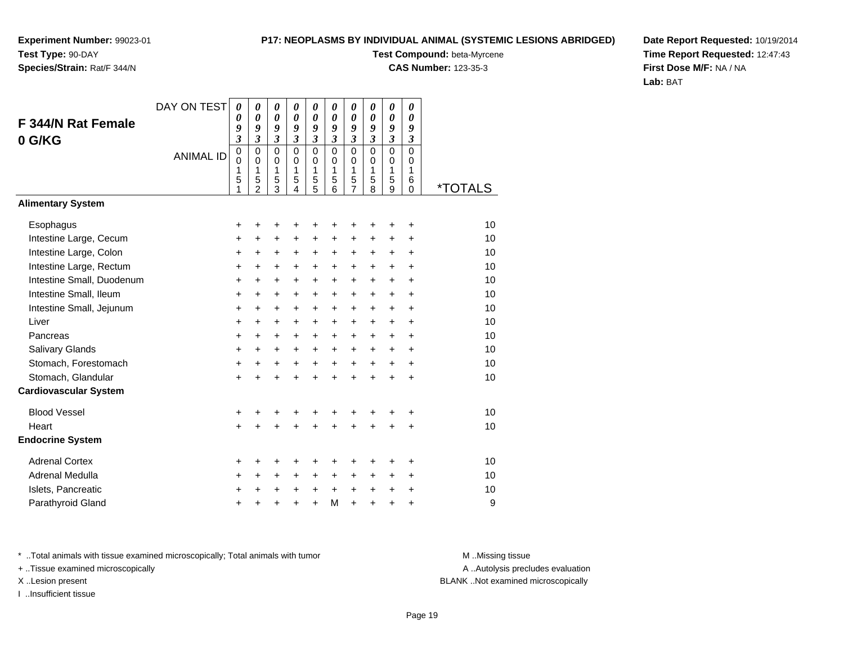**Species/Strain:** Rat/F 344/N

### **P17: NEOPLASMS BY INDIVIDUAL ANIMAL (SYSTEMIC LESIONS ABRIDGED)**

**Test Compound:** beta-Myrcene

**CAS Number:** 123-35-3

**Date Report Requested:** 10/19/2014**Time Report Requested:** 12:47:43**First Dose M/F:** NA / NA**Lab:** BAT

|                              | DAY ON TEST      | 0                                  | 0                                                                 | 0                                                      | 0                                                      | 0                                         | 0                                      | 0                                         | 0                                                 | 0                                                       | 0                                      |                       |
|------------------------------|------------------|------------------------------------|-------------------------------------------------------------------|--------------------------------------------------------|--------------------------------------------------------|-------------------------------------------|----------------------------------------|-------------------------------------------|---------------------------------------------------|---------------------------------------------------------|----------------------------------------|-----------------------|
| F 344/N Rat Female           |                  | 0<br>9                             | 0<br>9                                                            | 0<br>9                                                 | 0<br>9                                                 | 0<br>9                                    | $\boldsymbol{\theta}$<br>9             | 0<br>9                                    | 0<br>9                                            | 0<br>9                                                  | $\boldsymbol{\theta}$<br>9             |                       |
| 0 G/KG                       |                  | 3                                  | $\mathfrak{z}$                                                    | 3                                                      | 3                                                      | 3                                         | $\overline{\mathbf{3}}$                | 3                                         | $\boldsymbol{\mathfrak{z}}$                       | $\mathfrak{z}$                                          | $\mathfrak{z}$                         |                       |
|                              | <b>ANIMAL ID</b> | $\overline{0}$<br>0<br>1<br>5<br>1 | $\mathbf 0$<br>$\mathbf 0$<br>$\mathbf{1}$<br>5<br>$\overline{2}$ | $\mathbf 0$<br>$\mathbf 0$<br>1<br>5<br>$\overline{3}$ | $\mathbf 0$<br>$\mathbf 0$<br>1<br>5<br>$\overline{4}$ | $\mathbf 0$<br>$\mathbf 0$<br>1<br>5<br>5 | $\mathbf 0$<br>$\Omega$<br>1<br>5<br>6 | $\mathbf 0$<br>$\mathbf 0$<br>1<br>5<br>7 | $\mathbf 0$<br>$\Omega$<br>$\mathbf{1}$<br>5<br>8 | $\overline{0}$<br>$\mathbf 0$<br>$\mathbf{1}$<br>5<br>9 | $\mathbf 0$<br>0<br>1<br>6<br>$\Omega$ | <i><b>*TOTALS</b></i> |
| <b>Alimentary System</b>     |                  |                                    |                                                                   |                                                        |                                                        |                                           |                                        |                                           |                                                   |                                                         |                                        |                       |
| Esophagus                    |                  | +                                  | +                                                                 | +                                                      | +                                                      | +                                         | +                                      |                                           |                                                   |                                                         | +                                      | 10                    |
| Intestine Large, Cecum       |                  | +                                  | $\pm$                                                             | $\pm$                                                  | +                                                      | +                                         | +                                      | +                                         | +                                                 | $\pm$                                                   | +                                      | 10                    |
| Intestine Large, Colon       |                  | $\ddot{}$                          | $\ddot{}$                                                         | +                                                      | +                                                      | +                                         | $\ddot{}$                              | +                                         | +                                                 | $\ddot{}$                                               | $\ddot{}$                              | 10                    |
| Intestine Large, Rectum      |                  | +                                  | $\ddot{}$                                                         | +                                                      | +                                                      | +                                         | $\ddot{}$                              | +                                         | $\ddot{}$                                         | $\ddot{}$                                               | $\ddot{}$                              | 10                    |
| Intestine Small, Duodenum    |                  | $\pm$                              | $\ddot{}$                                                         | $\pm$                                                  | $\pm$                                                  | $\pm$                                     | $\ddot{}$                              | +                                         | $\ddot{}$                                         | $+$                                                     | $\ddot{}$                              | 10                    |
| Intestine Small, Ileum       |                  | +                                  | $\ddot{}$                                                         | +                                                      | +                                                      | $\ddot{}$                                 | $\ddot{}$                              | $\ddot{}$                                 | $\ddot{}$                                         | $+$                                                     | $\ddot{}$                              | 10                    |
| Intestine Small, Jejunum     |                  | $\ddot{}$                          | +                                                                 | +                                                      | +                                                      | +                                         | $\ddot{}$                              | +                                         | +                                                 | $\ddot{}$                                               | $\ddot{}$                              | 10                    |
| Liver                        |                  | +                                  | $\ddot{}$                                                         | $\ddot{}$                                              | $\pm$                                                  | $\ddot{}$                                 | +                                      | +                                         | $\ddot{}$                                         | $+$                                                     | $\ddot{}$                              | 10                    |
| Pancreas                     |                  | $\ddot{}$                          | $\ddot{}$                                                         | $\ddot{}$                                              | $\ddot{}$                                              | $\ddot{}$                                 | $\ddot{}$                              | +                                         | $\ddot{}$                                         | $\ddot{}$                                               | $\ddot{}$                              | 10                    |
| Salivary Glands              |                  | +                                  | $\ddot{}$                                                         | +                                                      | +                                                      | +                                         | +                                      | +                                         | +                                                 | $\ddot{}$                                               | +                                      | 10                    |
| Stomach, Forestomach         |                  | $\ddot{}$                          | $\ddot{}$                                                         | +                                                      | +                                                      | $\ddot{}$                                 | $\ddot{}$                              | $\ddot{}$                                 | $\ddot{}$                                         | $+$                                                     | $\ddot{}$                              | 10                    |
| Stomach, Glandular           |                  | $\ddot{}$                          | $\ddot{}$                                                         | $\ddot{}$                                              | $\ddot{}$                                              | $\ddot{}$                                 | Ŧ.                                     | $\ddot{}$                                 | ÷                                                 | $\ddot{}$                                               | $\ddot{}$                              | 10                    |
| <b>Cardiovascular System</b> |                  |                                    |                                                                   |                                                        |                                                        |                                           |                                        |                                           |                                                   |                                                         |                                        |                       |
| <b>Blood Vessel</b>          |                  | +                                  | +                                                                 | +                                                      | +                                                      | +                                         | +                                      | +                                         |                                                   | +                                                       | +                                      | 10                    |
| Heart                        |                  | $\ddot{}$                          |                                                                   | $\ddot{}$                                              | $\ddot{}$                                              | ÷                                         | $\ddot{}$                              | $\ddot{}$                                 |                                                   | $\ddot{}$                                               | $\ddot{}$                              | 10                    |
| <b>Endocrine System</b>      |                  |                                    |                                                                   |                                                        |                                                        |                                           |                                        |                                           |                                                   |                                                         |                                        |                       |
| <b>Adrenal Cortex</b>        |                  | +                                  | +                                                                 | +                                                      | +                                                      | +                                         | +                                      | +                                         | +                                                 | +                                                       | +                                      | 10                    |
| Adrenal Medulla              |                  | +                                  | $\ddot{}$                                                         | $\ddot{}$                                              | $\pm$                                                  | $\ddot{}$                                 | $\ddot{}$                              | +                                         | $\ddot{}$                                         | $\ddot{}$                                               | $\ddot{}$                              | 10                    |
| Islets, Pancreatic           |                  | +                                  | ٠                                                                 | +                                                      | +                                                      | $\ddot{}$                                 | $\ddot{}$                              | $\ddot{}$                                 | $\ddot{}$                                         | $\ddot{}$                                               | +                                      | 10                    |
| Parathyroid Gland            |                  | +                                  |                                                                   | +                                                      | +                                                      | $\ddot{}$                                 | M                                      | $\ddot{}$                                 | $\ddot{}$                                         | $\ddot{}$                                               | +                                      | 9                     |

\* ..Total animals with tissue examined microscopically; Total animals with tumor **M** . Missing tissue M ..Missing tissue

+ ..Tissue examined microscopically

I ..Insufficient tissue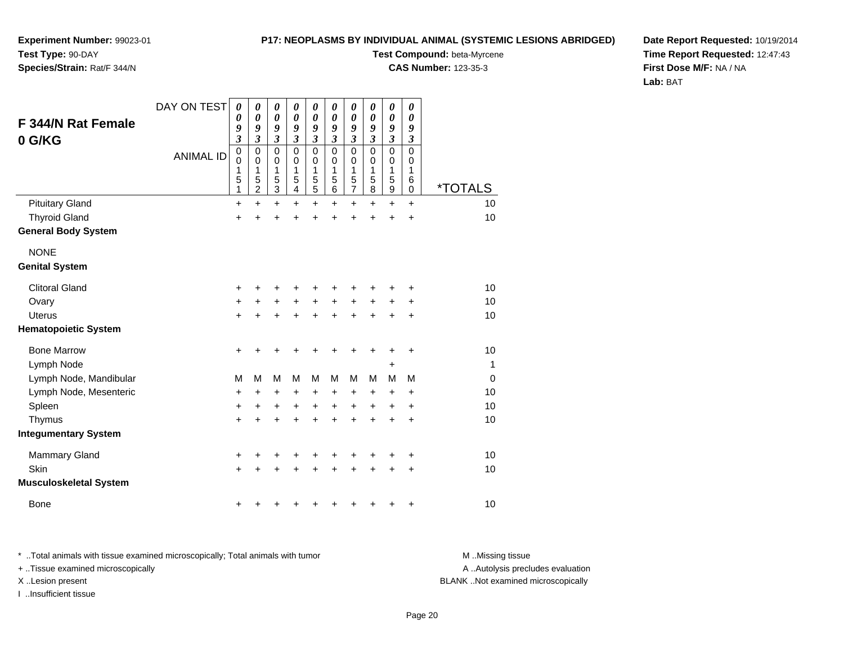### **P17: NEOPLASMS BY INDIVIDUAL ANIMAL (SYSTEMIC LESIONS ABRIDGED)Test Compound:** beta-Myrcene

**CAS Number:** 123-35-3

**Experiment Number:** 99023-01**Test Type:** 90-DAY

### **Species/Strain:** Rat/F 344/N

**Date Report Requested:** 10/19/2014**Time Report Requested:** 12:47:43**First Dose M/F:** NA / NA**Lab:** BAT

| <b>F 344/N Rat Female</b><br>0 G/KG | DAY ON TEST<br><b>ANIMAL ID</b> | $\boldsymbol{\theta}$<br>0<br>9<br>$\boldsymbol{\mathfrak{z}}$<br>$\pmb{0}$<br>$\mathbf 0$ | 0<br>$\pmb{\theta}$<br>9<br>$\overline{\mathbf{3}}$<br>$\mathbf 0$<br>$\mathbf 0$ | $\pmb{\theta}$<br>$\boldsymbol{\theta}$<br>9<br>$\overline{\mathbf{3}}$<br>0<br>0 | $\boldsymbol{\theta}$<br>$\boldsymbol{\theta}$<br>9<br>$\boldsymbol{\beta}$<br>$\mathbf 0$<br>$\mathbf 0$ | 0<br>0<br>9<br>$\boldsymbol{\mathfrak{z}}$<br>$\mathbf 0$<br>0 | 0<br>$\boldsymbol{\theta}$<br>9<br>$\mathfrak{z}$<br>$\mathbf 0$<br>0 | 0<br>0<br>9<br>$\boldsymbol{\beta}$<br>$\mathbf 0$<br>0 | 0<br>0<br>9<br>$\boldsymbol{\beta}$<br>$\mathbf 0$<br>$\mathbf 0$ | 0<br>$\boldsymbol{\theta}$<br>9<br>$\boldsymbol{\beta}$<br>$\mathbf 0$<br>0 | 0<br>0<br>9<br>3<br>$\mathbf 0$<br>0 |                       |
|-------------------------------------|---------------------------------|--------------------------------------------------------------------------------------------|-----------------------------------------------------------------------------------|-----------------------------------------------------------------------------------|-----------------------------------------------------------------------------------------------------------|----------------------------------------------------------------|-----------------------------------------------------------------------|---------------------------------------------------------|-------------------------------------------------------------------|-----------------------------------------------------------------------------|--------------------------------------|-----------------------|
|                                     |                                 | 1<br>5<br>1                                                                                | 1<br>5<br>$\overline{c}$                                                          | 1<br>5<br>3                                                                       | 1<br>5<br>4                                                                                               | 1<br>5<br>5                                                    | 1<br>5<br>6                                                           | 1<br>5<br>$\overline{7}$                                | 1<br>5<br>8                                                       | 1<br>5<br>$\boldsymbol{9}$                                                  | 1<br>6<br>$\mathbf 0$                | <i><b>*TOTALS</b></i> |
| <b>Pituitary Gland</b>              |                                 | +                                                                                          | $\ddot{}$                                                                         | $\ddot{}$                                                                         | $\ddot{}$                                                                                                 | $\ddot{}$                                                      | $\ddot{}$                                                             | $\ddot{}$                                               | $\ddot{}$                                                         | $\ddot{}$                                                                   | $\ddot{}$                            | 10                    |
| <b>Thyroid Gland</b>                |                                 | $\ddot{}$                                                                                  | ÷                                                                                 | $\ddot{}$                                                                         | $\ddot{}$                                                                                                 | ÷                                                              | $\ddot{}$                                                             | $\ddot{}$                                               | $\ddot{}$                                                         | ÷                                                                           | +                                    | 10                    |
| <b>General Body System</b>          |                                 |                                                                                            |                                                                                   |                                                                                   |                                                                                                           |                                                                |                                                                       |                                                         |                                                                   |                                                                             |                                      |                       |
| <b>NONE</b>                         |                                 |                                                                                            |                                                                                   |                                                                                   |                                                                                                           |                                                                |                                                                       |                                                         |                                                                   |                                                                             |                                      |                       |
| <b>Genital System</b>               |                                 |                                                                                            |                                                                                   |                                                                                   |                                                                                                           |                                                                |                                                                       |                                                         |                                                                   |                                                                             |                                      |                       |
| <b>Clitoral Gland</b>               |                                 | $\ddot{}$                                                                                  |                                                                                   | +                                                                                 |                                                                                                           |                                                                | ٠                                                                     | +                                                       | ٠                                                                 | +                                                                           | +                                    | 10                    |
| Ovary                               |                                 | +                                                                                          |                                                                                   | $\ddot{}$                                                                         | $\ddot{}$                                                                                                 | $\ddot{}$                                                      | $\ddot{}$                                                             | $\ddot{}$                                               | $\ddot{}$                                                         | +                                                                           | +                                    | 10                    |
| <b>Uterus</b>                       |                                 | $\ddot{}$                                                                                  | $\ddot{}$                                                                         | $\ddot{}$                                                                         | $\ddot{}$                                                                                                 | $\ddot{}$                                                      | $\ddot{}$                                                             | $\ddot{}$                                               | $\ddot{}$                                                         | $\ddot{}$                                                                   | +                                    | 10                    |
| <b>Hematopoietic System</b>         |                                 |                                                                                            |                                                                                   |                                                                                   |                                                                                                           |                                                                |                                                                       |                                                         |                                                                   |                                                                             |                                      |                       |
| <b>Bone Marrow</b>                  |                                 | $\ddot{}$                                                                                  |                                                                                   | +                                                                                 |                                                                                                           |                                                                | ٠                                                                     | +                                                       | +                                                                 | +                                                                           | +                                    | 10                    |
| Lymph Node                          |                                 |                                                                                            |                                                                                   |                                                                                   |                                                                                                           |                                                                |                                                                       |                                                         |                                                                   | +                                                                           |                                      | 1                     |
| Lymph Node, Mandibular              |                                 | М                                                                                          | M                                                                                 | M                                                                                 | M                                                                                                         | M                                                              | M                                                                     | M                                                       | M                                                                 | M                                                                           | M                                    | 0                     |
| Lymph Node, Mesenteric              |                                 | $\ddot{}$                                                                                  | +                                                                                 | +                                                                                 | +                                                                                                         | +                                                              | $\ddot{}$                                                             | +                                                       | $\ddot{}$                                                         | +                                                                           | +                                    | 10                    |
| Spleen                              |                                 | $\ddot{}$                                                                                  | +                                                                                 | $\ddot{}$                                                                         | $\ddot{}$                                                                                                 | $\ddot{}$                                                      | $\ddot{}$                                                             | $\ddot{}$                                               | $\ddot{}$                                                         | +                                                                           | $\ddot{}$                            | 10                    |
| Thymus                              |                                 | +                                                                                          | +                                                                                 | +                                                                                 | +                                                                                                         | $\ddot{}$                                                      | $\ddot{}$                                                             | $\ddot{}$                                               | $\ddot{}$                                                         | $\ddot{}$                                                                   | $\ddot{}$                            | 10                    |
| <b>Integumentary System</b>         |                                 |                                                                                            |                                                                                   |                                                                                   |                                                                                                           |                                                                |                                                                       |                                                         |                                                                   |                                                                             |                                      |                       |
| Mammary Gland                       |                                 | +                                                                                          | +                                                                                 | +                                                                                 | +                                                                                                         | +                                                              | +                                                                     | +                                                       | +                                                                 | +                                                                           | +                                    | 10                    |
| Skin                                |                                 | $\ddot{}$                                                                                  |                                                                                   | +                                                                                 |                                                                                                           |                                                                | +                                                                     | +                                                       | $\ddot{}$                                                         | +                                                                           | +                                    | 10                    |
| <b>Musculoskeletal System</b>       |                                 |                                                                                            |                                                                                   |                                                                                   |                                                                                                           |                                                                |                                                                       |                                                         |                                                                   |                                                                             |                                      |                       |
| <b>Bone</b>                         |                                 | +                                                                                          |                                                                                   |                                                                                   |                                                                                                           |                                                                |                                                                       | +                                                       | +                                                                 | +                                                                           | +                                    | 10                    |

\* ..Total animals with tissue examined microscopically; Total animals with tumor **M** . Missing tissue M ..Missing tissue

+ ..Tissue examined microscopically

I ..Insufficient tissue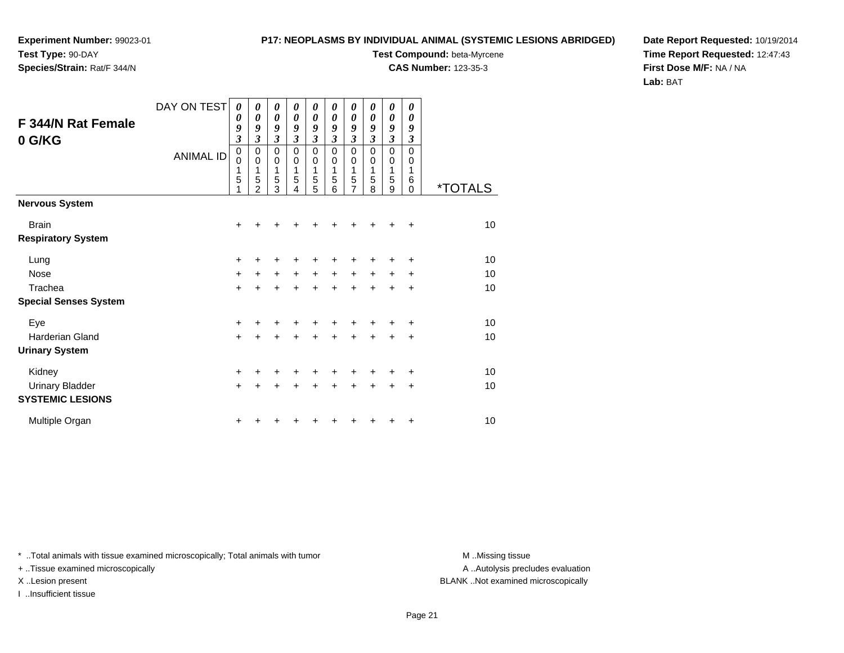# **Species/Strain:** Rat/F 344/N

### **P17: NEOPLASMS BY INDIVIDUAL ANIMAL (SYSTEMIC LESIONS ABRIDGED)**

**Test Compound:** beta-Myrcene

**CAS Number:** 123-35-3

**Date Report Requested:** 10/19/2014**Time Report Requested:** 12:47:43**First Dose M/F:** NA / NA**Lab:** BAT

| F 344/N Rat Female<br>0 G/KG              | DAY ON TEST<br><b>ANIMAL ID</b> | 0<br>0<br>9<br>$\mathfrak{z}$<br>$\mathbf 0$<br>0<br>1<br>5<br>1 | 0<br>0<br>9<br>3<br>0<br>$\mathbf 0$<br>1<br>5<br>$\mathfrak{p}$ | 0<br>0<br>9<br>$\overline{\mathbf{3}}$<br>0<br>0<br>1<br>5<br>3 | 0<br>0<br>9<br>3<br>$\mathbf 0$<br>0<br>1<br>5<br>4 | 0<br>0<br>9<br>3<br>0<br>0<br>1<br>5<br>5 | 0<br>0<br>9<br>3<br>$\Omega$<br>0<br>1<br>5<br>6 | 0<br>$\boldsymbol{\theta}$<br>9<br>3<br>$\mathbf 0$<br>0<br>1<br>5<br>$\overline{7}$ | 0<br>0<br>9<br>$\mathfrak{z}$<br>$\Omega$<br>0<br>1<br>5<br>8 | $\boldsymbol{\theta}$<br>0<br>9<br>$\mathfrak{z}$<br>$\mathbf 0$<br>0<br>1<br>5<br>9 | 0<br>0<br>9<br>$\mathfrak{z}$<br>$\mathbf 0$<br>0<br>1<br>6<br>$\Omega$ | <i><b>*TOTALS</b></i> |
|-------------------------------------------|---------------------------------|------------------------------------------------------------------|------------------------------------------------------------------|-----------------------------------------------------------------|-----------------------------------------------------|-------------------------------------------|--------------------------------------------------|--------------------------------------------------------------------------------------|---------------------------------------------------------------|--------------------------------------------------------------------------------------|-------------------------------------------------------------------------|-----------------------|
| <b>Nervous System</b>                     |                                 |                                                                  |                                                                  |                                                                 |                                                     |                                           |                                                  |                                                                                      |                                                               |                                                                                      |                                                                         |                       |
| <b>Brain</b><br><b>Respiratory System</b> |                                 | +                                                                |                                                                  |                                                                 |                                                     |                                           |                                                  |                                                                                      |                                                               |                                                                                      | +                                                                       | 10                    |
| Lung                                      |                                 | +                                                                |                                                                  |                                                                 |                                                     |                                           |                                                  |                                                                                      |                                                               |                                                                                      | ٠                                                                       | 10                    |
| Nose                                      |                                 | $\ddot{}$                                                        | $\ddot{}$                                                        | +                                                               | $+$                                                 | $\ddot{}$                                 | $\ddot{}$                                        | $\ddot{}$                                                                            | $\ddot{}$                                                     | $\ddot{}$                                                                            | +                                                                       | 10                    |
| Trachea                                   |                                 | $\ddot{}$                                                        | +                                                                | $\ddot{}$                                                       | $\ddot{}$                                           | $\ddot{}$                                 | $\ddot{}$                                        | $\ddot{}$                                                                            | $+$                                                           | $\ddot{}$                                                                            | +                                                                       | 10                    |
| <b>Special Senses System</b>              |                                 |                                                                  |                                                                  |                                                                 |                                                     |                                           |                                                  |                                                                                      |                                                               |                                                                                      |                                                                         |                       |
| Eye                                       |                                 | $\ddot{}$                                                        |                                                                  |                                                                 |                                                     |                                           |                                                  |                                                                                      |                                                               |                                                                                      | ÷                                                                       | 10                    |
| <b>Harderian Gland</b>                    |                                 | $\ddot{}$                                                        | +                                                                | +                                                               | +                                                   | $\ddot{}$                                 | $\ddot{}$                                        | $\ddot{}$                                                                            | $\ddot{}$                                                     | +                                                                                    | +                                                                       | 10                    |
| <b>Urinary System</b>                     |                                 |                                                                  |                                                                  |                                                                 |                                                     |                                           |                                                  |                                                                                      |                                                               |                                                                                      |                                                                         |                       |
| Kidney                                    |                                 | $\ddot{}$                                                        |                                                                  |                                                                 |                                                     | ٠                                         |                                                  |                                                                                      |                                                               |                                                                                      | +                                                                       | 10                    |
| <b>Urinary Bladder</b>                    |                                 | $\ddot{}$                                                        | $\ddot{}$                                                        | $\ddot{}$                                                       | $\ddot{}$                                           | $\ddot{}$                                 | $\ddot{}$                                        | $\ddot{}$                                                                            | $\ddot{}$                                                     | $\ddot{}$                                                                            | $\ddot{}$                                                               | 10                    |
| <b>SYSTEMIC LESIONS</b>                   |                                 |                                                                  |                                                                  |                                                                 |                                                     |                                           |                                                  |                                                                                      |                                                               |                                                                                      |                                                                         |                       |
| Multiple Organ                            |                                 | +                                                                |                                                                  |                                                                 |                                                     |                                           |                                                  |                                                                                      |                                                               |                                                                                      | +                                                                       | 10                    |

\* ..Total animals with tissue examined microscopically; Total animals with tumor **M** . Missing tissue M ..Missing tissue

+ ..Tissue examined microscopically

I ..Insufficient tissue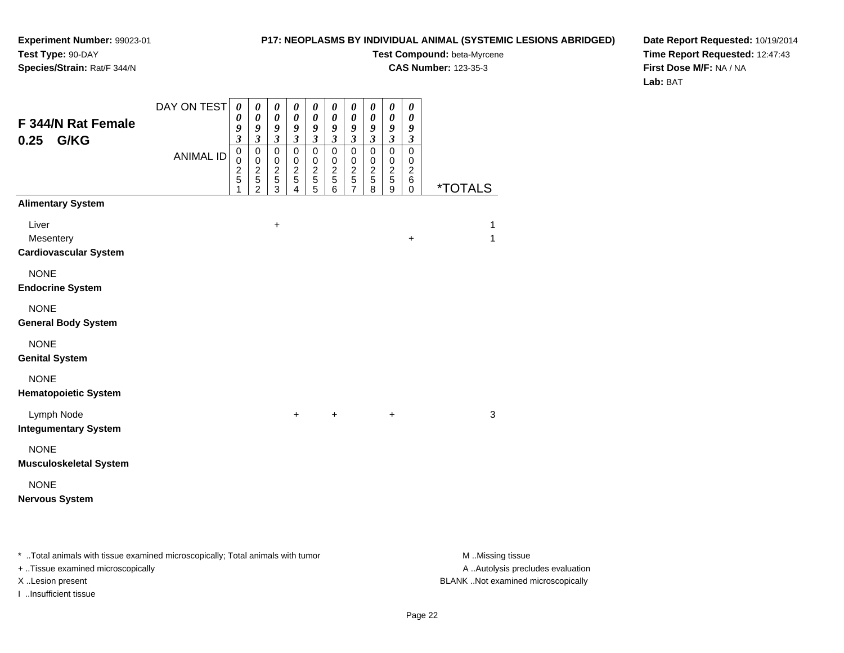### **P17: NEOPLASMS BY INDIVIDUAL ANIMAL (SYSTEMIC LESIONS ABRIDGED)**

**Test Compound:** beta-Myrcene

**CAS Number:** 123-35-3

**Date Report Requested:** 10/19/2014**Time Report Requested:** 12:47:43**First Dose M/F:** NA / NA**Lab:** BAT

| F 344/N Rat Female<br>G/KG<br>0.25                                             | DAY ON TEST<br><b>ANIMAL ID</b> | $\boldsymbol{\theta}$<br>0<br>9<br>$\overline{\mathbf{3}}$<br>$\mathbf 0$<br>$\pmb{0}$<br>$\boldsymbol{2}$<br>5<br>1 | $\boldsymbol{\theta}$<br>$\boldsymbol{\theta}$<br>9<br>$\mathfrak{z}$<br>$\mathbf 0$<br>$\pmb{0}$<br>$\frac{2}{5}$<br>$\overline{2}$ | $\boldsymbol{\theta}$<br>$\boldsymbol{\theta}$<br>9<br>$\mathfrak{z}$<br>$\mathbf 0$<br>$\pmb{0}$<br>$\frac{2}{5}$<br>$\overline{3}$ | 0<br>$\boldsymbol{\theta}$<br>9<br>$\overline{\mathbf{3}}$<br>$\mathbf 0$<br>$\mathbf 0$<br>$\frac{2}{5}$<br>4 | $\boldsymbol{\theta}$<br>$\boldsymbol{\theta}$<br>9<br>$\overline{\mathbf{3}}$<br>$\mathbf 0$<br>$\mathbf 0$<br>$\frac{2}{5}$<br>5 | $\boldsymbol{\theta}$<br>$\boldsymbol{\theta}$<br>9<br>$\mathfrak{z}$<br>$\mathbf 0$<br>$\mathbf 0$<br>$\frac{2}{5}$<br>$6\phantom{1}$ | $\pmb{\theta}$<br>$\pmb{\theta}$<br>9<br>$\boldsymbol{\mathfrak{z}}$<br>$\mathbf 0$<br>$\,0\,$<br>$\frac{2}{5}$<br>$\overline{7}$ | $\boldsymbol{\theta}$<br>$\boldsymbol{\theta}$<br>9<br>$\mathfrak{z}$<br>$\mathsf 0$<br>$\pmb{0}$<br>$\frac{2}{5}$<br>8 | $\boldsymbol{\theta}$<br>$\pmb{\theta}$<br>9<br>$\boldsymbol{\mathfrak{z}}$<br>$\pmb{0}$<br>$\mathbf 0$<br>$\frac{2}{5}$<br>$\overline{9}$ | $\boldsymbol{\theta}$<br>0<br>9<br>$\boldsymbol{\beta}$<br>$\mathbf 0$<br>$\mathbf 0$<br>$\overline{c}$<br>6<br>$\mathbf 0$ | <i><b>*TOTALS</b></i> |
|--------------------------------------------------------------------------------|---------------------------------|----------------------------------------------------------------------------------------------------------------------|--------------------------------------------------------------------------------------------------------------------------------------|--------------------------------------------------------------------------------------------------------------------------------------|----------------------------------------------------------------------------------------------------------------|------------------------------------------------------------------------------------------------------------------------------------|----------------------------------------------------------------------------------------------------------------------------------------|-----------------------------------------------------------------------------------------------------------------------------------|-------------------------------------------------------------------------------------------------------------------------|--------------------------------------------------------------------------------------------------------------------------------------------|-----------------------------------------------------------------------------------------------------------------------------|-----------------------|
| <b>Alimentary System</b><br>Liver<br>Mesentery<br><b>Cardiovascular System</b> |                                 |                                                                                                                      |                                                                                                                                      | $\ddot{}$                                                                                                                            |                                                                                                                |                                                                                                                                    |                                                                                                                                        |                                                                                                                                   |                                                                                                                         |                                                                                                                                            | $\ddot{}$                                                                                                                   | 1<br>$\mathbf{1}$     |
| <b>NONE</b><br><b>Endocrine System</b>                                         |                                 |                                                                                                                      |                                                                                                                                      |                                                                                                                                      |                                                                                                                |                                                                                                                                    |                                                                                                                                        |                                                                                                                                   |                                                                                                                         |                                                                                                                                            |                                                                                                                             |                       |
| <b>NONE</b><br><b>General Body System</b>                                      |                                 |                                                                                                                      |                                                                                                                                      |                                                                                                                                      |                                                                                                                |                                                                                                                                    |                                                                                                                                        |                                                                                                                                   |                                                                                                                         |                                                                                                                                            |                                                                                                                             |                       |
| <b>NONE</b><br><b>Genital System</b>                                           |                                 |                                                                                                                      |                                                                                                                                      |                                                                                                                                      |                                                                                                                |                                                                                                                                    |                                                                                                                                        |                                                                                                                                   |                                                                                                                         |                                                                                                                                            |                                                                                                                             |                       |
| <b>NONE</b><br><b>Hematopoietic System</b>                                     |                                 |                                                                                                                      |                                                                                                                                      |                                                                                                                                      |                                                                                                                |                                                                                                                                    |                                                                                                                                        |                                                                                                                                   |                                                                                                                         |                                                                                                                                            |                                                                                                                             |                       |
| Lymph Node<br><b>Integumentary System</b>                                      |                                 |                                                                                                                      |                                                                                                                                      |                                                                                                                                      | $\ddot{}$                                                                                                      |                                                                                                                                    | $\ddot{}$                                                                                                                              |                                                                                                                                   |                                                                                                                         | +                                                                                                                                          |                                                                                                                             | $\mathbf{3}$          |
| <b>NONE</b><br><b>Musculoskeletal System</b>                                   |                                 |                                                                                                                      |                                                                                                                                      |                                                                                                                                      |                                                                                                                |                                                                                                                                    |                                                                                                                                        |                                                                                                                                   |                                                                                                                         |                                                                                                                                            |                                                                                                                             |                       |
| <b>NONE</b><br><b>Nervous System</b>                                           |                                 |                                                                                                                      |                                                                                                                                      |                                                                                                                                      |                                                                                                                |                                                                                                                                    |                                                                                                                                        |                                                                                                                                   |                                                                                                                         |                                                                                                                                            |                                                                                                                             |                       |

\* ..Total animals with tissue examined microscopically; Total animals with tumor **M** . Missing tissue M ..Missing tissue

+ ..Tissue examined microscopically

I ..Insufficient tissue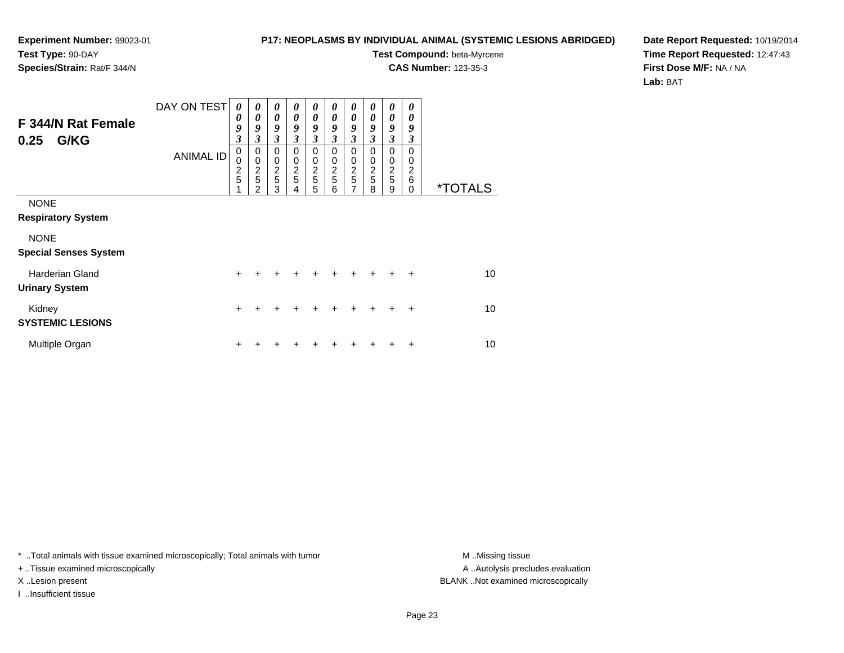### **P17: NEOPLASMS BY INDIVIDUAL ANIMAL (SYSTEMIC LESIONS ABRIDGED)**

**Test Compound:** beta-Myrcene**CAS Number:** 123-35-3

**Date Report Requested:** 10/19/2014**Time Report Requested:** 12:47:43**First Dose M/F:** NA / NA**Lab:** BAT

| F 344/N Rat Female<br>G/KG<br>0.25              | DAY ON TEST      | $\boldsymbol{\theta}$<br>0<br>9<br>3 | $\boldsymbol{\theta}$<br>0<br>9<br>3           | $\boldsymbol{\theta}$<br>$\boldsymbol{\theta}$<br>9<br>$\mathfrak{z}$ | 0<br>0<br>9<br>3                     | $\boldsymbol{\theta}$<br>0<br>9<br>$\mathfrak{z}$ | 0<br>0<br>9<br>3             | $\boldsymbol{\theta}$<br>$\boldsymbol{\theta}$<br>9<br>3 | $\boldsymbol{\theta}$<br>$\boldsymbol{\theta}$<br>9<br>3 | $\boldsymbol{\theta}$<br>$\boldsymbol{\theta}$<br>9<br>$\mathfrak{z}$ | 0<br>0<br>9<br>3                    |                       |
|-------------------------------------------------|------------------|--------------------------------------|------------------------------------------------|-----------------------------------------------------------------------|--------------------------------------|---------------------------------------------------|------------------------------|----------------------------------------------------------|----------------------------------------------------------|-----------------------------------------------------------------------|-------------------------------------|-----------------------|
|                                                 | <b>ANIMAL ID</b> | $\mathbf 0$<br>0<br>$\frac{2}{5}$    | 0<br>$\mathbf 0$<br>$\boldsymbol{2}$<br>5<br>2 | $\mathbf 0$<br>0<br>$rac{2}{5}$<br>3                                  | 0<br>$\mathbf 0$<br>$rac{2}{5}$<br>4 | 0<br>0<br>$\frac{2}{5}$<br>5                      | 0<br>0<br>$\frac{2}{5}$<br>6 | 0<br>$\mathbf 0$<br>$\frac{2}{5}$<br>7                   | 0<br>0<br>$\frac{2}{5}$<br>8                             | $\mathbf 0$<br>$\mathbf 0$<br>$rac{2}{5}$<br>9                        | $\Omega$<br>0<br>2<br>6<br>$\Omega$ | <i><b>*TOTALS</b></i> |
| <b>NONE</b><br><b>Respiratory System</b>        |                  |                                      |                                                |                                                                       |                                      |                                                   |                              |                                                          |                                                          |                                                                       |                                     |                       |
| <b>NONE</b><br><b>Special Senses System</b>     |                  |                                      |                                                |                                                                       |                                      |                                                   |                              |                                                          |                                                          |                                                                       |                                     |                       |
| <b>Harderian Gland</b><br><b>Urinary System</b> |                  | $\ddot{}$                            | +                                              |                                                                       |                                      | ÷                                                 |                              | +                                                        | ÷                                                        |                                                                       |                                     | 10 <sup>1</sup>       |
| Kidney<br><b>SYSTEMIC LESIONS</b>               |                  | $\ddot{}$                            | +                                              |                                                                       |                                      |                                                   |                              | +                                                        | +                                                        | +                                                                     | $\ddot{}$                           | 10                    |
| Multiple Organ                                  |                  | +                                    |                                                |                                                                       |                                      |                                                   |                              |                                                          |                                                          |                                                                       | ÷                                   | 10                    |

\* ..Total animals with tissue examined microscopically; Total animals with tumor **M** . Missing tissue M ..Missing tissue

+ ..Tissue examined microscopically

I ..Insufficient tissue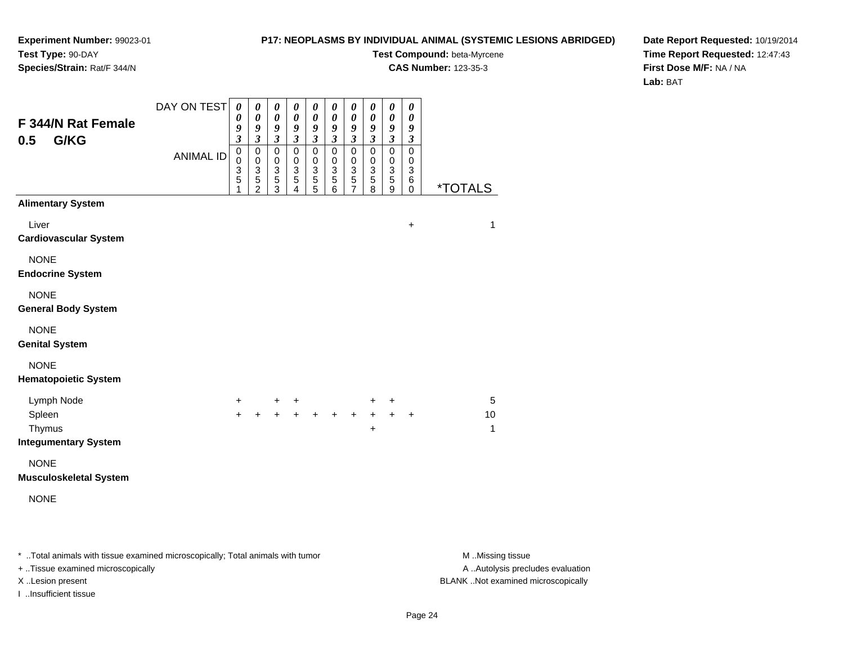### **P17: NEOPLASMS BY INDIVIDUAL ANIMAL (SYSTEMIC LESIONS ABRIDGED)**

**Test Compound:** beta-Myrcene

**CAS Number:** 123-35-3

**Date Report Requested:** 10/19/2014**Time Report Requested:** 12:47:43**First Dose M/F:** NA / NA**Lab:** BAT

| F 344/N Rat Female                         | DAY ON TEST      | $\boldsymbol{\theta}$<br>0                                                             | $\pmb{\theta}$<br>$\pmb{\theta}$                                                                   | $\pmb{\theta}$<br>0                                                       | $\pmb{\theta}$<br>0                                                            | $\pmb{\theta}$<br>$\boldsymbol{\theta}$                                                                    | $\boldsymbol{\theta}$<br>0                                                                          | $\pmb{\theta}$<br>0                                                                                                       | $\boldsymbol{\theta}$<br>0                                              | $\pmb{\theta}$<br>$\boldsymbol{\theta}$                                                                                                    | $\boldsymbol{\theta}$<br>$\boldsymbol{\theta}$                                                       |                       |
|--------------------------------------------|------------------|----------------------------------------------------------------------------------------|----------------------------------------------------------------------------------------------------|---------------------------------------------------------------------------|--------------------------------------------------------------------------------|------------------------------------------------------------------------------------------------------------|-----------------------------------------------------------------------------------------------------|---------------------------------------------------------------------------------------------------------------------------|-------------------------------------------------------------------------|--------------------------------------------------------------------------------------------------------------------------------------------|------------------------------------------------------------------------------------------------------|-----------------------|
| G/KG<br>0.5                                | <b>ANIMAL ID</b> | 9<br>$\overline{\mathbf{3}}$<br>$\mathbf 0$<br>$\mathsf 0$<br>3<br>$\overline{5}$<br>1 | 9<br>$\mathfrak{z}$<br>$\mathbf 0$<br>$\begin{array}{c} 0 \\ 3 \\ 5 \end{array}$<br>$\overline{2}$ | 9<br>$\overline{\mathbf{3}}$<br>$\mathsf 0$<br>0<br>$\,$ 3 $\,$<br>5<br>3 | 9<br>$\mathfrak{z}$<br>$\mathsf 0$<br>0<br>$\ensuremath{\mathsf{3}}$<br>5<br>4 | $\boldsymbol{g}$<br>$\mathfrak{z}$<br>$\mathsf 0$<br>0<br>$\ensuremath{\mathsf{3}}$<br>$\overline{5}$<br>5 | 9<br>$\mathfrak{z}$<br>$\mathbf 0$<br>$\pmb{0}$<br>$\ensuremath{\mathsf{3}}$<br>$\overline{5}$<br>6 | $\boldsymbol{9}$<br>$\overline{\mathbf{3}}$<br>$\mathbf 0$<br>$\pmb{0}$<br>$\sqrt{3}$<br>$\overline{5}$<br>$\overline{7}$ | 9<br>$\mathfrak{z}$<br>$\mathsf 0$<br>$\mathbf 0$<br>$\frac{3}{5}$<br>8 | $\boldsymbol{9}$<br>$\overline{\mathbf{3}}$<br>$\mathsf 0$<br>$\pmb{0}$<br>$\ensuremath{\mathsf{3}}$<br>$\overline{5}$<br>$\boldsymbol{9}$ | 9<br>$\mathfrak{z}$<br>$\mathbf 0$<br>$\pmb{0}$<br>$\ensuremath{\mathsf{3}}$<br>$\,6$<br>$\mathbf 0$ | <i><b>*TOTALS</b></i> |
| <b>Alimentary System</b>                   |                  |                                                                                        |                                                                                                    |                                                                           |                                                                                |                                                                                                            |                                                                                                     |                                                                                                                           |                                                                         |                                                                                                                                            |                                                                                                      |                       |
| Liver<br><b>Cardiovascular System</b>      |                  |                                                                                        |                                                                                                    |                                                                           |                                                                                |                                                                                                            |                                                                                                     |                                                                                                                           |                                                                         |                                                                                                                                            | $\ddot{}$                                                                                            | $\mathbf{1}$          |
| <b>NONE</b><br><b>Endocrine System</b>     |                  |                                                                                        |                                                                                                    |                                                                           |                                                                                |                                                                                                            |                                                                                                     |                                                                                                                           |                                                                         |                                                                                                                                            |                                                                                                      |                       |
| <b>NONE</b><br><b>General Body System</b>  |                  |                                                                                        |                                                                                                    |                                                                           |                                                                                |                                                                                                            |                                                                                                     |                                                                                                                           |                                                                         |                                                                                                                                            |                                                                                                      |                       |
| <b>NONE</b><br><b>Genital System</b>       |                  |                                                                                        |                                                                                                    |                                                                           |                                                                                |                                                                                                            |                                                                                                     |                                                                                                                           |                                                                         |                                                                                                                                            |                                                                                                      |                       |
| <b>NONE</b><br><b>Hematopoietic System</b> |                  |                                                                                        |                                                                                                    |                                                                           |                                                                                |                                                                                                            |                                                                                                     |                                                                                                                           |                                                                         |                                                                                                                                            |                                                                                                      |                       |
| Lymph Node                                 |                  | $+$                                                                                    |                                                                                                    | $\ddot{}$                                                                 | $+$                                                                            |                                                                                                            |                                                                                                     |                                                                                                                           | +                                                                       | $\ddot{}$                                                                                                                                  |                                                                                                      | 5                     |
| Spleen                                     |                  | $\ddot{}$                                                                              | $\ddot{}$                                                                                          | $\ddot{+}$                                                                | $+$                                                                            | $\ddot{}$                                                                                                  | $+$                                                                                                 | $+$                                                                                                                       | $+$                                                                     | $+$                                                                                                                                        | $\ddot{}$                                                                                            | 10                    |
| Thymus<br><b>Integumentary System</b>      |                  |                                                                                        |                                                                                                    |                                                                           |                                                                                |                                                                                                            |                                                                                                     |                                                                                                                           | $\ddot{}$                                                               |                                                                                                                                            |                                                                                                      | $\mathbf{1}$          |
| <b>NONE</b>                                |                  |                                                                                        |                                                                                                    |                                                                           |                                                                                |                                                                                                            |                                                                                                     |                                                                                                                           |                                                                         |                                                                                                                                            |                                                                                                      |                       |
| <b>Musculoskeletal System</b>              |                  |                                                                                        |                                                                                                    |                                                                           |                                                                                |                                                                                                            |                                                                                                     |                                                                                                                           |                                                                         |                                                                                                                                            |                                                                                                      |                       |
| <b>NONE</b>                                |                  |                                                                                        |                                                                                                    |                                                                           |                                                                                |                                                                                                            |                                                                                                     |                                                                                                                           |                                                                         |                                                                                                                                            |                                                                                                      |                       |
|                                            |                  |                                                                                        |                                                                                                    |                                                                           |                                                                                |                                                                                                            |                                                                                                     |                                                                                                                           |                                                                         |                                                                                                                                            |                                                                                                      |                       |
|                                            |                  |                                                                                        |                                                                                                    |                                                                           |                                                                                |                                                                                                            |                                                                                                     |                                                                                                                           |                                                                         |                                                                                                                                            |                                                                                                      |                       |

\* ..Total animals with tissue examined microscopically; Total animals with tumor **M** . Missing tissue M ..Missing tissue

+ ..Tissue examined microscopically

I ..Insufficient tissue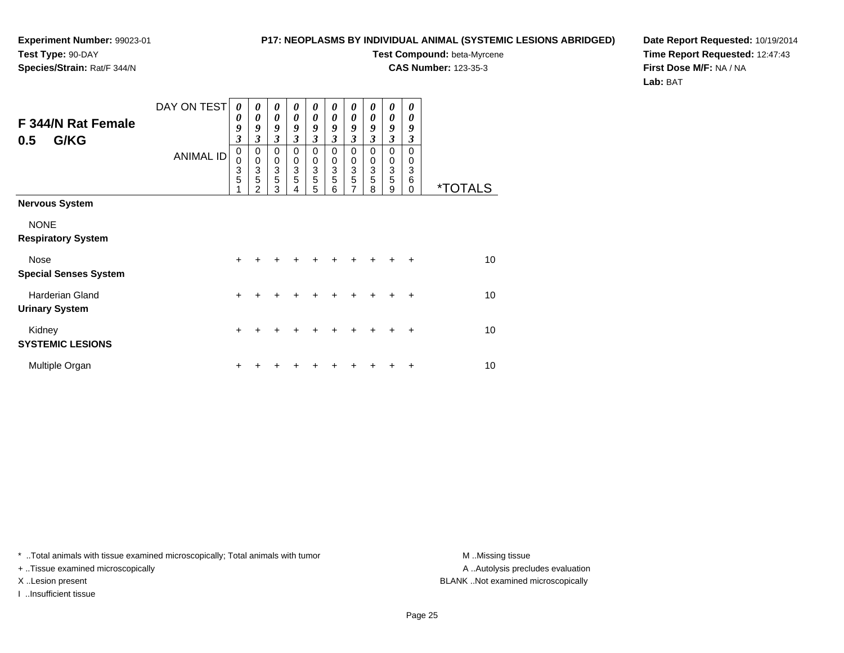### **P17: NEOPLASMS BY INDIVIDUAL ANIMAL (SYSTEMIC LESIONS ABRIDGED)**

**Test Compound:** beta-Myrcene**CAS Number:** 123-35-3

**Date Report Requested:** 10/19/2014**Time Report Requested:** 12:47:43**First Dose M/F:** NA / NA**Lab:** BAT

| F 344/N Rat Female<br>G/KG<br>0.5        | DAY ON TEST<br><b>ANIMAL ID</b> | $\boldsymbol{\theta}$<br>0<br>9<br>$\overline{\mathbf{3}}$<br>0<br>0<br>$\frac{3}{5}$ | 0<br>0<br>9<br>3<br>$\mathbf 0$<br>0<br>3<br>5 | $\boldsymbol{\theta}$<br>$\boldsymbol{\theta}$<br>9<br>$\mathfrak{z}$<br>0<br>0<br>3<br>5 | 0<br>0<br>9<br>3<br>$\Omega$<br>0<br>3<br>5 | $\boldsymbol{\theta}$<br>0<br>9<br>3<br>$\mathbf 0$<br>0<br>$\frac{3}{5}$ | 0<br>0<br>9<br>3<br>0<br>0<br>3<br>5 | 0<br>0<br>9<br>3<br>0<br>0<br>$rac{3}{7}$ | 0<br>0<br>9<br>3<br>0<br>0<br>3<br>5 | 0<br>0<br>9<br>3<br>0<br>0<br>3<br>5 | 0<br>0<br>9<br>3<br>$\Omega$<br>0<br>3<br>6 |                       |
|------------------------------------------|---------------------------------|---------------------------------------------------------------------------------------|------------------------------------------------|-------------------------------------------------------------------------------------------|---------------------------------------------|---------------------------------------------------------------------------|--------------------------------------|-------------------------------------------|--------------------------------------|--------------------------------------|---------------------------------------------|-----------------------|
|                                          |                                 |                                                                                       | 2                                              | 3                                                                                         | 4                                           | 5                                                                         | 6                                    |                                           | 8                                    | 9                                    | 0                                           | <i><b>*TOTALS</b></i> |
| <b>Nervous System</b><br><b>NONE</b>     |                                 |                                                                                       |                                                |                                                                                           |                                             |                                                                           |                                      |                                           |                                      |                                      |                                             |                       |
| <b>Respiratory System</b>                |                                 |                                                                                       |                                                |                                                                                           |                                             |                                                                           |                                      |                                           |                                      |                                      |                                             |                       |
| Nose<br><b>Special Senses System</b>     |                                 | +                                                                                     |                                                |                                                                                           |                                             |                                                                           |                                      |                                           |                                      |                                      | +                                           | 10                    |
| Harderian Gland<br><b>Urinary System</b> |                                 | $+$                                                                                   |                                                | +                                                                                         | +                                           | +                                                                         |                                      |                                           |                                      |                                      | ÷                                           | 10                    |
| Kidney<br><b>SYSTEMIC LESIONS</b>        |                                 | ٠                                                                                     |                                                |                                                                                           |                                             |                                                                           |                                      |                                           |                                      |                                      | +                                           | 10                    |
| Multiple Organ                           |                                 |                                                                                       |                                                |                                                                                           |                                             |                                                                           |                                      |                                           |                                      |                                      | +                                           | 10                    |

\* ..Total animals with tissue examined microscopically; Total animals with tumor **M** . Missing tissue M ..Missing tissue

+ ..Tissue examined microscopically

I ..Insufficient tissue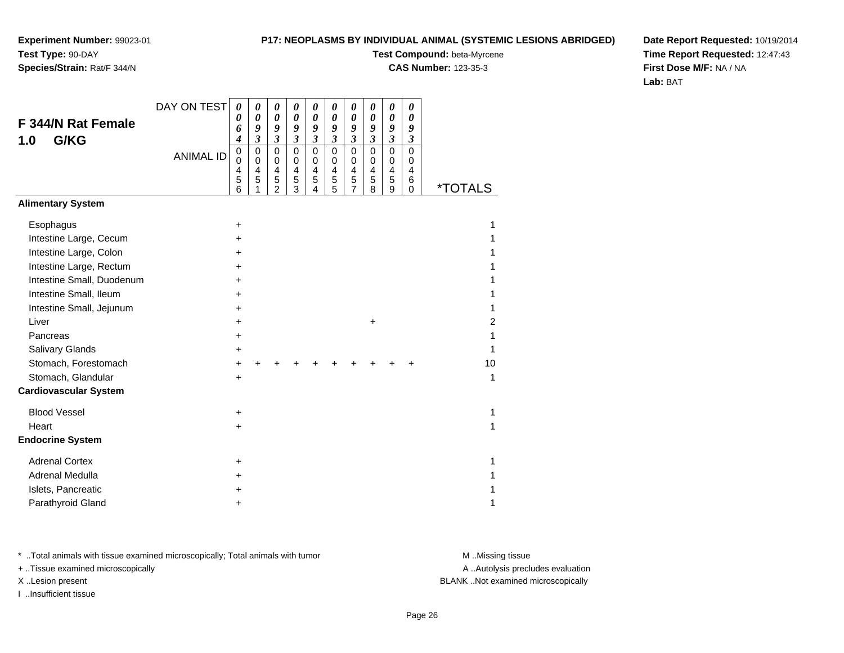## **Species/Strain:** Rat/F 344/N

### **P17: NEOPLASMS BY INDIVIDUAL ANIMAL (SYSTEMIC LESIONS ABRIDGED)**

**Test Compound:** beta-Myrcene

**CAS Number:** 123-35-3

**Date Report Requested:** 10/19/2014**Time Report Requested:** 12:47:43**First Dose M/F:** NA / NA**Lab:** BAT

|                              | DAY ON TEST      | $\boldsymbol{\theta}$                     | $\boldsymbol{\theta}$                                               | 0                                                                                | 0                                                               | 0                                         | $\boldsymbol{\theta}$                                  | 0                                                                      | 0                               | $\boldsymbol{\theta}$                                           | 0                               |                       |
|------------------------------|------------------|-------------------------------------------|---------------------------------------------------------------------|----------------------------------------------------------------------------------|-----------------------------------------------------------------|-------------------------------------------|--------------------------------------------------------|------------------------------------------------------------------------|---------------------------------|-----------------------------------------------------------------|---------------------------------|-----------------------|
| <b>F 344/N Rat Female</b>    |                  | 0<br>6                                    | $\boldsymbol{\theta}$<br>9                                          | 0<br>9                                                                           | 0<br>9                                                          | 0<br>9                                    | $\boldsymbol{\theta}$<br>9                             | $\boldsymbol{\theta}$<br>9                                             | 0<br>9                          | 0<br>9                                                          | 0<br>9                          |                       |
| G/KG<br>1.0                  |                  | $\overline{\boldsymbol{4}}$               | $\mathfrak{z}$                                                      | $\mathfrak{z}$                                                                   | $\boldsymbol{\mathfrak{z}}$                                     | $\mathfrak{z}$                            | $\mathfrak{z}$                                         | $\mathfrak{z}$                                                         | $\boldsymbol{\beta}$            | $\mathfrak{z}$                                                  | $\boldsymbol{\beta}$            |                       |
|                              | <b>ANIMAL ID</b> | $\mathbf 0$<br>$\mathbf 0$<br>4<br>5<br>6 | $\mathbf 0$<br>$\mathbf 0$<br>$\overline{4}$<br>$\overline{5}$<br>1 | $\mathbf 0$<br>$\mathbf 0$<br>$\overline{4}$<br>$\overline{5}$<br>$\overline{2}$ | $\mathbf 0$<br>$\mathbf 0$<br>$\overline{\mathbf{4}}$<br>5<br>3 | $\mathbf 0$<br>$\mathbf 0$<br>4<br>5<br>4 | $\mathbf 0$<br>$\mathbf 0$<br>$\overline{4}$<br>5<br>5 | $\mathbf 0$<br>0<br>$\overline{4}$<br>$\overline{5}$<br>$\overline{7}$ | 0<br>$\mathbf 0$<br>4<br>5<br>8 | $\mathbf 0$<br>$\mathbf 0$<br>$\overline{\mathbf{4}}$<br>5<br>9 | 0<br>$\mathbf 0$<br>4<br>6<br>0 | <i><b>*TOTALS</b></i> |
| <b>Alimentary System</b>     |                  |                                           |                                                                     |                                                                                  |                                                                 |                                           |                                                        |                                                                        |                                 |                                                                 |                                 |                       |
| Esophagus                    |                  | $\ddot{}$                                 |                                                                     |                                                                                  |                                                                 |                                           |                                                        |                                                                        |                                 |                                                                 |                                 | 1                     |
| Intestine Large, Cecum       |                  | +                                         |                                                                     |                                                                                  |                                                                 |                                           |                                                        |                                                                        |                                 |                                                                 |                                 | 1                     |
| Intestine Large, Colon       |                  | +                                         |                                                                     |                                                                                  |                                                                 |                                           |                                                        |                                                                        |                                 |                                                                 |                                 | 1                     |
| Intestine Large, Rectum      |                  | $\ddot{}$                                 |                                                                     |                                                                                  |                                                                 |                                           |                                                        |                                                                        |                                 |                                                                 |                                 |                       |
| Intestine Small, Duodenum    |                  | $\ddot{}$                                 |                                                                     |                                                                                  |                                                                 |                                           |                                                        |                                                                        |                                 |                                                                 |                                 |                       |
| Intestine Small, Ileum       |                  | +                                         |                                                                     |                                                                                  |                                                                 |                                           |                                                        |                                                                        |                                 |                                                                 |                                 |                       |
| Intestine Small, Jejunum     |                  | +                                         |                                                                     |                                                                                  |                                                                 |                                           |                                                        |                                                                        |                                 |                                                                 |                                 | 1                     |
| Liver                        |                  | +                                         |                                                                     |                                                                                  |                                                                 |                                           |                                                        |                                                                        | +                               |                                                                 |                                 | 2                     |
| Pancreas                     |                  | $\ddot{}$                                 |                                                                     |                                                                                  |                                                                 |                                           |                                                        |                                                                        |                                 |                                                                 |                                 |                       |
| <b>Salivary Glands</b>       |                  | +                                         |                                                                     |                                                                                  |                                                                 |                                           |                                                        |                                                                        |                                 |                                                                 |                                 | 1                     |
| Stomach, Forestomach         |                  | $\ddot{}$                                 |                                                                     |                                                                                  |                                                                 |                                           |                                                        |                                                                        |                                 |                                                                 |                                 | 10                    |
| Stomach, Glandular           |                  | $\ddot{}$                                 |                                                                     |                                                                                  |                                                                 |                                           |                                                        |                                                                        |                                 |                                                                 |                                 | 1                     |
| <b>Cardiovascular System</b> |                  |                                           |                                                                     |                                                                                  |                                                                 |                                           |                                                        |                                                                        |                                 |                                                                 |                                 |                       |
| <b>Blood Vessel</b>          |                  | $\ddot{}$                                 |                                                                     |                                                                                  |                                                                 |                                           |                                                        |                                                                        |                                 |                                                                 |                                 | 1                     |
| Heart                        |                  | $\ddot{}$                                 |                                                                     |                                                                                  |                                                                 |                                           |                                                        |                                                                        |                                 |                                                                 |                                 | 1                     |
| <b>Endocrine System</b>      |                  |                                           |                                                                     |                                                                                  |                                                                 |                                           |                                                        |                                                                        |                                 |                                                                 |                                 |                       |
| <b>Adrenal Cortex</b>        |                  | +                                         |                                                                     |                                                                                  |                                                                 |                                           |                                                        |                                                                        |                                 |                                                                 |                                 | 1                     |
| Adrenal Medulla              |                  | +                                         |                                                                     |                                                                                  |                                                                 |                                           |                                                        |                                                                        |                                 |                                                                 |                                 | 1                     |
| Islets, Pancreatic           |                  |                                           |                                                                     |                                                                                  |                                                                 |                                           |                                                        |                                                                        |                                 |                                                                 |                                 |                       |
| Parathyroid Gland            |                  | +                                         |                                                                     |                                                                                  |                                                                 |                                           |                                                        |                                                                        |                                 |                                                                 |                                 | 1                     |

\* ..Total animals with tissue examined microscopically; Total animals with tumor **M** . Missing tissue M ..Missing tissue

+ ..Tissue examined microscopically

I ..Insufficient tissue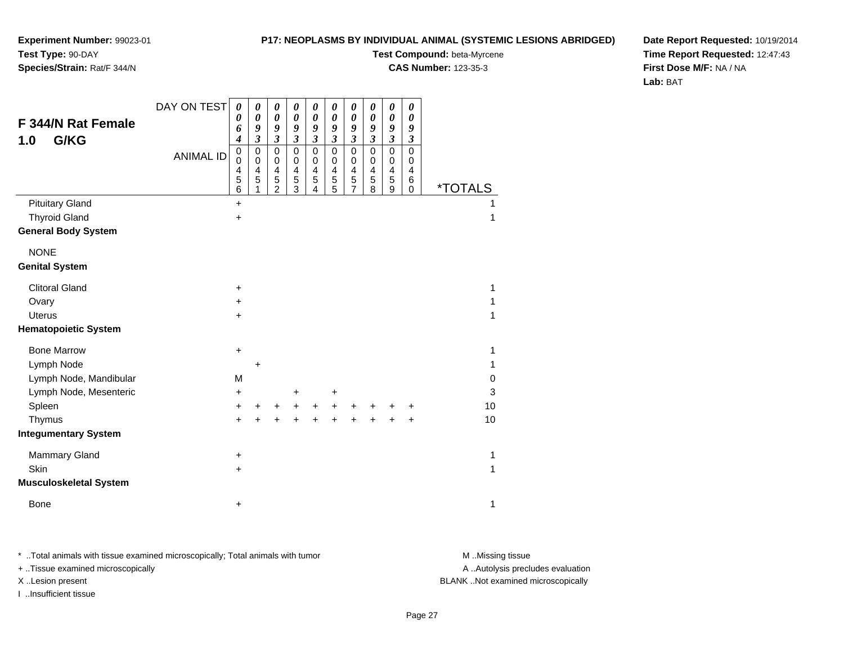## **Species/Strain:** Rat/F 344/N

### **P17: NEOPLASMS BY INDIVIDUAL ANIMAL (SYSTEMIC LESIONS ABRIDGED)**

**Test Compound:** beta-Myrcene

**CAS Number:** 123-35-3

**Date Report Requested:** 10/19/2014**Time Report Requested:** 12:47:43**First Dose M/F:** NA / NA**Lab:** BAT

|                               | DAY ON TEST      | $\boldsymbol{\theta}$    | 0                          | 0                                                       | 0                                  | 0                          | $\boldsymbol{\theta}$              | 0                          | $\boldsymbol{\theta}$      | $\pmb{\theta}$             | 0                          |                       |
|-------------------------------|------------------|--------------------------|----------------------------|---------------------------------------------------------|------------------------------------|----------------------------|------------------------------------|----------------------------|----------------------------|----------------------------|----------------------------|-----------------------|
| <b>F 344/N Rat Female</b>     |                  | 0<br>6                   | $\boldsymbol{\theta}$<br>9 | $\boldsymbol{\theta}$<br>9                              | $\pmb{\theta}$<br>$\boldsymbol{g}$ | $\boldsymbol{\theta}$<br>9 | $\pmb{\theta}$<br>9                | $\pmb{\theta}$<br>9        | $\pmb{\theta}$<br>9        | $\pmb{\theta}$<br>9        | $\boldsymbol{\theta}$<br>9 |                       |
| G/KG<br>1.0                   |                  | 4                        | $\mathfrak{z}$             | $\mathfrak{z}$                                          | $\boldsymbol{\mathfrak{z}}$        | $\mathfrak{z}$             | $\boldsymbol{\mathfrak{z}}$        | $\mathfrak{z}$             | $\mathfrak{z}$             | $\mathfrak{z}$             | $\boldsymbol{\beta}$       |                       |
|                               | <b>ANIMAL ID</b> | $\mathbf 0$<br>$\Omega$  | $\pmb{0}$<br>$\mathbf 0$   | $\mathbf 0$<br>$\pmb{0}$                                | $\mathbf 0$<br>$\mathbf 0$         | $\mathbf 0$<br>$\mathbf 0$ | $\mathbf 0$<br>$\mathbf 0$         | $\mathbf 0$<br>$\mathbf 0$ | $\mathbf 0$<br>$\mathbf 0$ | $\mathbf 0$<br>$\mathbf 0$ | $\Omega$<br>$\mathbf 0$    |                       |
|                               |                  | $\overline{4}$<br>5<br>6 | $\overline{4}$<br>5<br>1   | $\overline{\mathbf{4}}$<br>$\sqrt{5}$<br>$\overline{2}$ | $\overline{\mathbf{4}}$<br>5<br>3  | $\overline{4}$<br>5<br>4   | 4<br>$\mathbf 5$<br>$\overline{5}$ | 4<br>5<br>$\overline{7}$   | 4<br>5<br>$\overline{8}$   | 4<br>5<br>9                | $\overline{4}$<br>6<br>0   | <i><b>*TOTALS</b></i> |
| <b>Pituitary Gland</b>        |                  | $\ddot{}$                |                            |                                                         |                                    |                            |                                    |                            |                            |                            |                            |                       |
| <b>Thyroid Gland</b>          |                  | $\ddot{}$                |                            |                                                         |                                    |                            |                                    |                            |                            |                            |                            | 1                     |
| <b>General Body System</b>    |                  |                          |                            |                                                         |                                    |                            |                                    |                            |                            |                            |                            |                       |
| <b>NONE</b>                   |                  |                          |                            |                                                         |                                    |                            |                                    |                            |                            |                            |                            |                       |
| <b>Genital System</b>         |                  |                          |                            |                                                         |                                    |                            |                                    |                            |                            |                            |                            |                       |
| <b>Clitoral Gland</b>         |                  | +                        |                            |                                                         |                                    |                            |                                    |                            |                            |                            |                            | 1                     |
| Ovary                         |                  | $\ddot{}$                |                            |                                                         |                                    |                            |                                    |                            |                            |                            |                            | 1                     |
| <b>Uterus</b>                 |                  | +                        |                            |                                                         |                                    |                            |                                    |                            |                            |                            |                            | 1                     |
| <b>Hematopoietic System</b>   |                  |                          |                            |                                                         |                                    |                            |                                    |                            |                            |                            |                            |                       |
| <b>Bone Marrow</b>            |                  | +                        |                            |                                                         |                                    |                            |                                    |                            |                            |                            |                            | 1                     |
| Lymph Node                    |                  |                          | $\ddot{}$                  |                                                         |                                    |                            |                                    |                            |                            |                            |                            | 1                     |
| Lymph Node, Mandibular        |                  | M                        |                            |                                                         |                                    |                            |                                    |                            |                            |                            |                            | 0                     |
| Lymph Node, Mesenteric        |                  | +                        |                            |                                                         | $\ddot{}$                          |                            | +                                  |                            |                            |                            |                            | 3                     |
| Spleen                        |                  | +                        | +                          | +                                                       | $\ddot{}$                          | $\ddot{}$                  | +                                  | +                          | +                          |                            | +                          | 10                    |
| Thymus                        |                  | $\ddot{}$                | ÷                          |                                                         | $\ddot{}$                          | $\ddot{}$                  |                                    |                            |                            | $\ddot{}$                  | $\ddot{}$                  | 10                    |
| <b>Integumentary System</b>   |                  |                          |                            |                                                         |                                    |                            |                                    |                            |                            |                            |                            |                       |
| Mammary Gland                 |                  | +                        |                            |                                                         |                                    |                            |                                    |                            |                            |                            |                            | 1                     |
| Skin                          |                  | +                        |                            |                                                         |                                    |                            |                                    |                            |                            |                            |                            | 1                     |
| <b>Musculoskeletal System</b> |                  |                          |                            |                                                         |                                    |                            |                                    |                            |                            |                            |                            |                       |
| Bone                          |                  | +                        |                            |                                                         |                                    |                            |                                    |                            |                            |                            |                            | 1                     |

\* ..Total animals with tissue examined microscopically; Total animals with tumor **M** . Missing tissue M ..Missing tissue

+ ..Tissue examined microscopically

I ..Insufficient tissue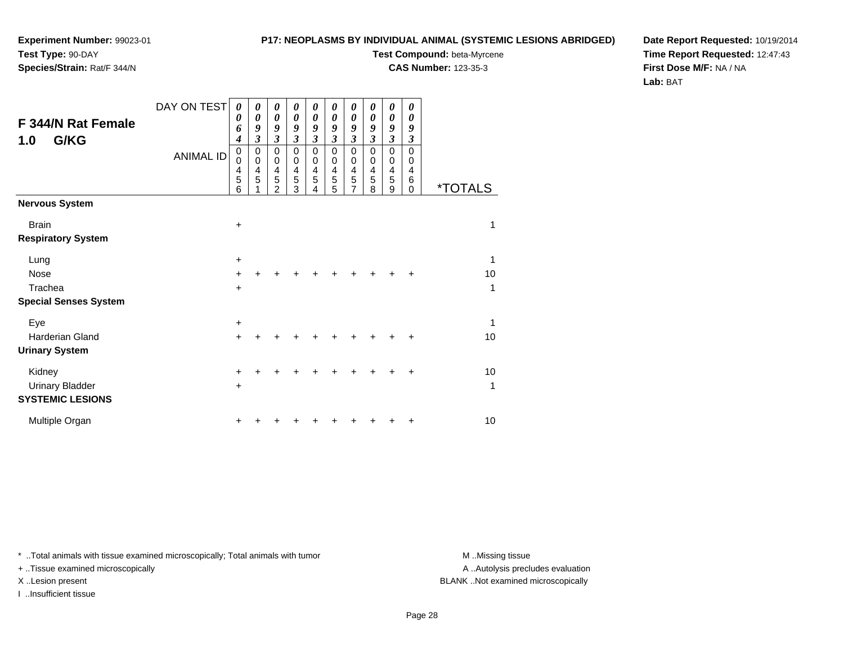# **Species/Strain:** Rat/F 344/N

### **P17: NEOPLASMS BY INDIVIDUAL ANIMAL (SYSTEMIC LESIONS ABRIDGED)**

**Test Compound:** beta-Myrcene

**CAS Number:** 123-35-3

**Date Report Requested:** 10/19/2014**Time Report Requested:** 12:47:43**First Dose M/F:** NA / NA**Lab:** BAT

| <b>F 344/N Rat Female</b><br>G/KG<br>1.0                    | DAY ON TEST<br><b>ANIMAL ID</b> | 0<br>0<br>6<br>$\boldsymbol{4}$<br>$\mathbf 0$<br>$\mathbf 0$<br>4<br>5<br>6 | 0<br>$\boldsymbol{\theta}$<br>9<br>$\mathfrak{z}$<br>0<br>$\mathbf 0$<br>4<br>5 | 0<br>0<br>9<br>$\mathfrak{z}$<br>0<br>0<br>4<br>5<br>$\mathfrak{p}$ | 0<br>0<br>9<br>$\mathfrak{z}$<br>$\mathbf 0$<br>0<br>4<br>5<br>3 | 0<br>$\boldsymbol{\theta}$<br>9<br>$\mathfrak{z}$<br>$\mathbf 0$<br>0<br>4<br>5<br>4 | 0<br>$\boldsymbol{\theta}$<br>9<br>$\mathfrak{z}$<br>$\mathbf 0$<br>0<br>4<br>5<br>5 | $\boldsymbol{\theta}$<br>0<br>9<br>$\mathfrak{z}$<br>$\mathbf 0$<br>0<br>$\overline{4}$<br>5<br>$\overline{7}$ | 0<br>0<br>9<br>$\mathfrak{z}$<br>$\mathbf 0$<br>0<br>4<br>5<br>8 | $\theta$<br>0<br>9<br>$\mathfrak{z}$<br>$\mathbf 0$<br>0<br>4<br>5<br>9 | 0<br>$\boldsymbol{\theta}$<br>9<br>3<br>$\mathbf 0$<br>0<br>$\overline{4}$<br>6<br>$\Omega$ | <i><b>*TOTALS</b></i> |
|-------------------------------------------------------------|---------------------------------|------------------------------------------------------------------------------|---------------------------------------------------------------------------------|---------------------------------------------------------------------|------------------------------------------------------------------|--------------------------------------------------------------------------------------|--------------------------------------------------------------------------------------|----------------------------------------------------------------------------------------------------------------|------------------------------------------------------------------|-------------------------------------------------------------------------|---------------------------------------------------------------------------------------------|-----------------------|
| <b>Nervous System</b>                                       |                                 |                                                                              |                                                                                 |                                                                     |                                                                  |                                                                                      |                                                                                      |                                                                                                                |                                                                  |                                                                         |                                                                                             |                       |
| <b>Brain</b><br><b>Respiratory System</b>                   |                                 | $\ddot{}$                                                                    |                                                                                 |                                                                     |                                                                  |                                                                                      |                                                                                      |                                                                                                                |                                                                  |                                                                         |                                                                                             | 1                     |
| Lung<br>Nose<br>Trachea                                     |                                 | $\ddot{}$<br>$\ddot{}$<br>$\ddot{}$                                          |                                                                                 |                                                                     |                                                                  |                                                                                      |                                                                                      |                                                                                                                |                                                                  |                                                                         | $\ddot{}$                                                                                   | 1<br>10<br>1          |
| <b>Special Senses System</b>                                |                                 |                                                                              |                                                                                 |                                                                     |                                                                  |                                                                                      |                                                                                      |                                                                                                                |                                                                  |                                                                         |                                                                                             |                       |
| Eye<br><b>Harderian Gland</b><br><b>Urinary System</b>      |                                 | +<br>$\ddot{}$                                                               |                                                                                 |                                                                     |                                                                  |                                                                                      |                                                                                      |                                                                                                                |                                                                  |                                                                         | $\ddot{}$                                                                                   | 1<br>10               |
| Kidney<br><b>Urinary Bladder</b><br><b>SYSTEMIC LESIONS</b> |                                 | $\pm$<br>$\ddot{}$                                                           |                                                                                 |                                                                     |                                                                  |                                                                                      |                                                                                      |                                                                                                                |                                                                  | +                                                                       | +                                                                                           | 10<br>1               |
| Multiple Organ                                              |                                 | +                                                                            |                                                                                 |                                                                     |                                                                  |                                                                                      |                                                                                      |                                                                                                                |                                                                  |                                                                         | +                                                                                           | 10                    |

\* ..Total animals with tissue examined microscopically; Total animals with tumor **M** . Missing tissue M ..Missing tissue

+ ..Tissue examined microscopically

I ..Insufficient tissue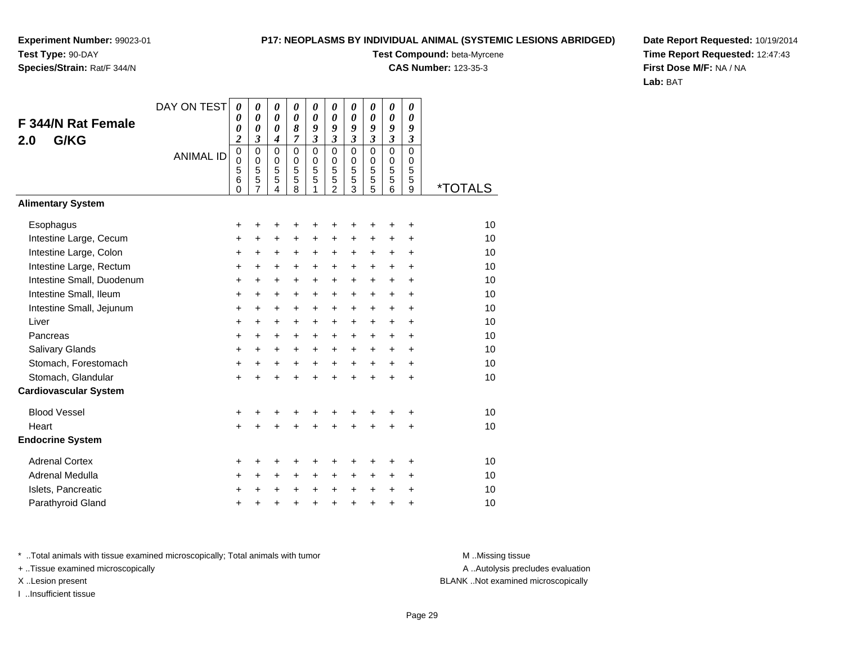## **Species/Strain:** Rat/F 344/N

### **P17: NEOPLASMS BY INDIVIDUAL ANIMAL (SYSTEMIC LESIONS ABRIDGED)**

**Test Compound:** beta-Myrcene

**CAS Number:** 123-35-3

**Date Report Requested:** 10/19/2014**Time Report Requested:** 12:47:43**First Dose M/F:** NA / NA**Lab:** BAT

|                                                      | DAY ON TEST      | $\boldsymbol{\theta}$              | 0                          | 0                          | 0                          | 0                          | 0                                    | 0                       | 0                                 | 0                                    | 0                           |                       |
|------------------------------------------------------|------------------|------------------------------------|----------------------------|----------------------------|----------------------------|----------------------------|--------------------------------------|-------------------------|-----------------------------------|--------------------------------------|-----------------------------|-----------------------|
| <b>F 344/N Rat Female</b>                            |                  | 0<br>0                             | 0<br>0                     | 0<br>0                     | $\boldsymbol{\theta}$<br>8 | 0<br>9                     | 0<br>9                               | 0<br>9                  | $\boldsymbol{\theta}$<br>9        | 0<br>9                               | $\boldsymbol{\theta}$<br>9  |                       |
| G/KG<br>2.0                                          |                  | $\overline{\mathbf{c}}$            | 3                          | 4                          | 7                          | $\overline{\mathbf{3}}$    | $\overline{\mathbf{3}}$              | $\overline{\mathbf{3}}$ | $\overline{\mathbf{3}}$           | $\overline{\mathbf{3}}$              | $\boldsymbol{\mathfrak{z}}$ |                       |
|                                                      | <b>ANIMAL ID</b> | $\pmb{0}$<br>$\mathbf 0$<br>5<br>6 | $\mathbf 0$<br>0<br>5<br>5 | $\mathbf 0$<br>0<br>5<br>5 | $\mathbf 0$<br>0<br>5<br>5 | $\mathbf 0$<br>0<br>5<br>5 | $\mathbf 0$<br>$\mathbf 0$<br>5<br>5 | 0<br>0<br>5<br>5        | $\mathbf 0$<br>$\Omega$<br>5<br>5 | $\mathbf 0$<br>$\mathbf 0$<br>5<br>5 | $\mathbf 0$<br>0<br>5<br>5  |                       |
| <b>Alimentary System</b>                             |                  | $\Omega$                           | $\overline{7}$             | 4                          | 8                          | 1                          | $\overline{2}$                       | 3                       | 5                                 | 6                                    | 9                           | <i><b>*TOTALS</b></i> |
|                                                      |                  |                                    |                            |                            |                            |                            |                                      |                         |                                   |                                      |                             |                       |
| Esophagus                                            |                  | +                                  | +                          | +                          | +                          | +                          | +                                    | +                       |                                   |                                      | +                           | 10                    |
| Intestine Large, Cecum                               |                  | +                                  | +                          | +                          | +                          | +                          | +                                    | +                       | +                                 | +                                    | +                           | 10<br>10              |
| Intestine Large, Colon                               |                  | $\ddot{}$                          | +                          | +                          | +                          | +                          | +                                    | +                       | $\ddot{}$                         | $\ddot{}$                            | +                           | 10                    |
| Intestine Large, Rectum<br>Intestine Small, Duodenum |                  | +<br>$\ddot{}$                     | +<br>$\ddot{}$             | +<br>$\ddot{}$             | +<br>$\ddot{}$             | +<br>+                     | +<br>$\ddot{}$                       | +<br>+                  | $\ddot{}$<br>$\ddot{}$            | $\ddot{}$<br>$\ddot{}$               | +<br>$\ddot{}$              | 10                    |
| Intestine Small, Ileum                               |                  | $\ddot{}$                          | +                          | +                          | +                          | +                          | +                                    | +                       | $\ddot{}$                         | $\ddot{}$                            | $\ddot{}$                   | 10                    |
| Intestine Small, Jejunum                             |                  | $\ddot{}$                          | +                          | +                          | $\ddot{}$                  | $\ddot{}$                  | $\ddot{}$                            | $\ddot{}$               | $\ddot{}$                         | $\ddot{}$                            | $\ddot{}$                   | 10                    |
| Liver                                                |                  | $\ddot{}$                          | $\ddot{}$                  | +                          | $\ddot{}$                  | $\ddot{}$                  | +                                    | +                       | $\ddot{}$                         | $\ddot{}$                            | $\ddot{}$                   | 10                    |
| Pancreas                                             |                  | +                                  | +                          | +                          | $\ddot{}$                  | $\ddot{}$                  | $\pm$                                | $\pm$                   | $\ddot{}$                         | $\ddot{}$                            | +                           | 10                    |
| <b>Salivary Glands</b>                               |                  | +                                  | +                          | +                          | +                          | +                          | +                                    | +                       | $\ddot{}$                         | +                                    | +                           | 10                    |
| Stomach, Forestomach                                 |                  | $\ddot{}$                          | $\ddot{}$                  | +                          | $\ddot{}$                  | $\ddot{}$                  | $\ddot{}$                            | $\ddot{}$               | $\ddot{}$                         | $+$                                  | $\ddot{}$                   | 10                    |
| Stomach, Glandular                                   |                  | +                                  | $\ddot{}$                  | $\ddot{}$                  | $\ddot{}$                  | $\ddot{}$                  | $\ddot{}$                            | $\ddot{}$               | $\ddot{}$                         | $\ddot{}$                            | $\ddot{}$                   | 10                    |
| <b>Cardiovascular System</b>                         |                  |                                    |                            |                            |                            |                            |                                      |                         |                                   |                                      |                             |                       |
| <b>Blood Vessel</b>                                  |                  | +                                  | +                          | +                          | +                          |                            | +                                    | +                       |                                   |                                      | +                           | 10                    |
| Heart                                                |                  | $\ddot{}$                          | ÷                          | $\ddot{}$                  | $\ddot{}$                  | $\ddot{}$                  | $\ddot{}$                            | $\ddot{}$               | $\ddot{}$                         | +                                    | +                           | 10                    |
| <b>Endocrine System</b>                              |                  |                                    |                            |                            |                            |                            |                                      |                         |                                   |                                      |                             |                       |
| <b>Adrenal Cortex</b>                                |                  | +                                  | +                          | +                          | +                          |                            | +                                    | +                       |                                   |                                      | ٠                           | 10                    |
| Adrenal Medulla                                      |                  | +                                  | $\ddot{}$                  | $\ddot{}$                  | $\ddot{}$                  | $\ddot{}$                  | +                                    | +                       | +                                 | +                                    | +                           | 10                    |
| Islets, Pancreatic                                   |                  | +                                  | +                          | +                          | +                          | $\pm$                      | $\pm$                                | $\pm$                   | $\ddot{}$                         | $\pm$                                | +                           | 10                    |
| Parathyroid Gland                                    |                  | +                                  | +                          | +                          | +                          | +                          | +                                    | +                       | +                                 | $\ddot{}$                            | +                           | 10                    |

\* ..Total animals with tissue examined microscopically; Total animals with tumor **M** . Missing tissue M ..Missing tissue

+ ..Tissue examined microscopically

I ..Insufficient tissue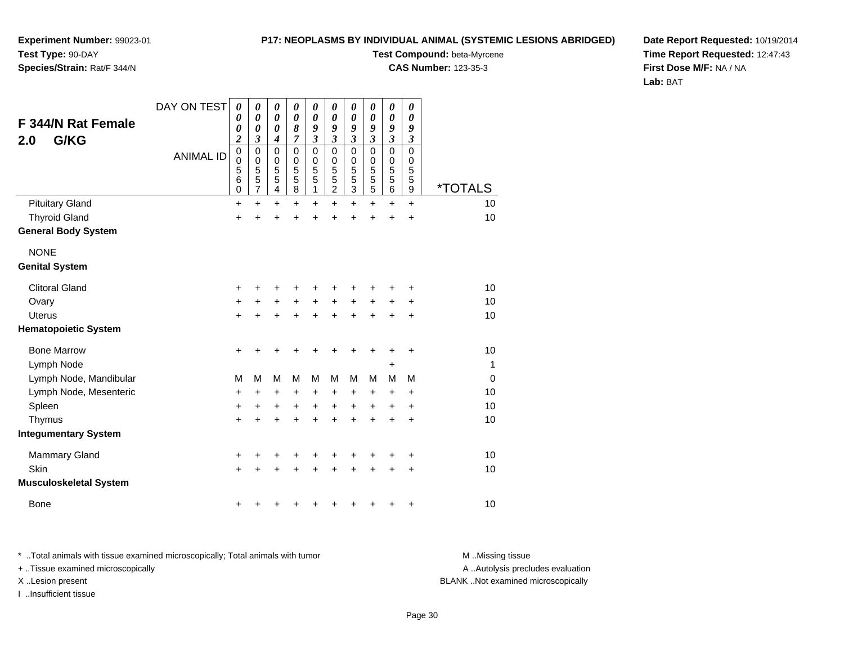### **P17: NEOPLASMS BY INDIVIDUAL ANIMAL (SYSTEMIC LESIONS ABRIDGED)**

**Experiment Number:** 99023-01**Test Type:** 90-DAY

**Species/Strain:** Rat/F 344/N

**Test Compound:** beta-Myrcene

**CAS Number:** 123-35-3

**Date Report Requested:** 10/19/2014**Time Report Requested:** 12:47:43**First Dose M/F:** NA / NA**Lab:** BAT

| <b>F 344/N Rat Female</b><br>G/KG<br>2.0 | DAY ON TEST<br><b>ANIMAL ID</b> | $\boldsymbol{\theta}$<br>0<br>0<br>$\overline{\mathbf{c}}$<br>$\boldsymbol{0}$<br>0<br>5<br>$\,6$<br>$\mathbf 0$ | 0<br>0<br>0<br>3<br>0<br>$\mathbf 0$<br>5<br>5<br>7 | 0<br>$\boldsymbol{\theta}$<br>0<br>$\boldsymbol{4}$<br>$\mathbf 0$<br>$\mathbf 0$<br>5<br>5<br>$\overline{\mathbf{4}}$ | $\boldsymbol{\theta}$<br>$\boldsymbol{\theta}$<br>8<br>7<br>$\Omega$<br>0<br>5<br>5<br>8 | $\boldsymbol{\theta}$<br>$\boldsymbol{\theta}$<br>9<br>$\mathfrak{z}$<br>$\mathbf 0$<br>0<br>5<br>5<br>1 | 0<br>0<br>9<br>$\mathfrak{z}$<br>$\Omega$<br>0<br>5<br>5<br>$\overline{2}$ | 0<br>$\boldsymbol{\theta}$<br>9<br>$\boldsymbol{\mathfrak{z}}$<br>$\mathbf 0$<br>$\pmb{0}$<br>$\overline{5}$<br>$\frac{5}{3}$ | 0<br>0<br>9<br>$\mathfrak{z}$<br>$\Omega$<br>0<br>5<br>5<br>5 | 0<br>0<br>9<br>$\boldsymbol{\mathfrak{z}}$<br>$\mathbf 0$<br>0<br>5<br>$\frac{5}{6}$ | 0<br>0<br>9<br>$\boldsymbol{\mathfrak{z}}$<br>$\Omega$<br>$\mathbf 0$<br>5<br>5<br>9 | <i><b>*TOTALS</b></i> |
|------------------------------------------|---------------------------------|------------------------------------------------------------------------------------------------------------------|-----------------------------------------------------|------------------------------------------------------------------------------------------------------------------------|------------------------------------------------------------------------------------------|----------------------------------------------------------------------------------------------------------|----------------------------------------------------------------------------|-------------------------------------------------------------------------------------------------------------------------------|---------------------------------------------------------------|--------------------------------------------------------------------------------------|--------------------------------------------------------------------------------------|-----------------------|
| <b>Pituitary Gland</b>                   |                                 | $\ddot{}$                                                                                                        | $\ddot{}$                                           | $\ddot{}$                                                                                                              | $\ddot{}$                                                                                | $\ddot{}$                                                                                                | $\ddot{}$                                                                  | $\ddot{}$                                                                                                                     | $\ddot{}$                                                     | $\ddot{}$                                                                            | $+$                                                                                  | 10                    |
| <b>Thyroid Gland</b>                     |                                 | +                                                                                                                | +                                                   | +                                                                                                                      | +                                                                                        | +                                                                                                        | +                                                                          | +                                                                                                                             | +                                                             | $\ddot{}$                                                                            | $\ddot{}$                                                                            | 10                    |
| <b>General Body System</b>               |                                 |                                                                                                                  |                                                     |                                                                                                                        |                                                                                          |                                                                                                          |                                                                            |                                                                                                                               |                                                               |                                                                                      |                                                                                      |                       |
| <b>NONE</b>                              |                                 |                                                                                                                  |                                                     |                                                                                                                        |                                                                                          |                                                                                                          |                                                                            |                                                                                                                               |                                                               |                                                                                      |                                                                                      |                       |
| <b>Genital System</b>                    |                                 |                                                                                                                  |                                                     |                                                                                                                        |                                                                                          |                                                                                                          |                                                                            |                                                                                                                               |                                                               |                                                                                      |                                                                                      |                       |
| <b>Clitoral Gland</b>                    |                                 | +                                                                                                                | ٠                                                   | +                                                                                                                      | +                                                                                        | +                                                                                                        |                                                                            | +                                                                                                                             | ٠                                                             | +                                                                                    | ٠                                                                                    | 10                    |
| Ovary                                    |                                 | +                                                                                                                | +                                                   | +                                                                                                                      | $\ddot{}$                                                                                | $\ddot{}$                                                                                                | +                                                                          | +                                                                                                                             | $\ddot{}$                                                     | +                                                                                    | +                                                                                    | 10                    |
| Uterus                                   |                                 | +                                                                                                                | +                                                   | +                                                                                                                      | +                                                                                        | +                                                                                                        | +                                                                          | +                                                                                                                             | +                                                             | +                                                                                    | +                                                                                    | 10                    |
| <b>Hematopoietic System</b>              |                                 |                                                                                                                  |                                                     |                                                                                                                        |                                                                                          |                                                                                                          |                                                                            |                                                                                                                               |                                                               |                                                                                      |                                                                                      |                       |
| <b>Bone Marrow</b>                       |                                 | $\ddot{}$                                                                                                        | +                                                   | +                                                                                                                      | +                                                                                        | +                                                                                                        |                                                                            | +                                                                                                                             | +                                                             | +                                                                                    | +                                                                                    | 10                    |
| Lymph Node                               |                                 |                                                                                                                  |                                                     |                                                                                                                        |                                                                                          |                                                                                                          |                                                                            |                                                                                                                               |                                                               | +                                                                                    |                                                                                      | $\mathbf{1}$          |
| Lymph Node, Mandibular                   |                                 | M                                                                                                                | M                                                   | M                                                                                                                      | M                                                                                        | M                                                                                                        | M                                                                          | M                                                                                                                             | M                                                             | M                                                                                    | M                                                                                    | $\mathbf 0$           |
| Lymph Node, Mesenteric                   |                                 | +                                                                                                                | +                                                   | +                                                                                                                      | +                                                                                        | +                                                                                                        | +                                                                          | +                                                                                                                             | $\ddot{}$                                                     | +                                                                                    | +                                                                                    | 10                    |
| Spleen                                   |                                 | +                                                                                                                | +                                                   | +                                                                                                                      | +                                                                                        | +                                                                                                        | +                                                                          | +                                                                                                                             | +                                                             | +                                                                                    | +                                                                                    | 10                    |
| Thymus                                   |                                 | +                                                                                                                | +                                                   | +                                                                                                                      | +                                                                                        | +                                                                                                        | +                                                                          | +                                                                                                                             | $\ddot{}$                                                     | +                                                                                    | $\ddot{}$                                                                            | 10                    |
| <b>Integumentary System</b>              |                                 |                                                                                                                  |                                                     |                                                                                                                        |                                                                                          |                                                                                                          |                                                                            |                                                                                                                               |                                                               |                                                                                      |                                                                                      |                       |
| <b>Mammary Gland</b>                     |                                 | +                                                                                                                | +                                                   | +                                                                                                                      | +                                                                                        | +                                                                                                        | +                                                                          | +                                                                                                                             | +                                                             | +                                                                                    | +                                                                                    | 10                    |
| Skin                                     |                                 | +                                                                                                                |                                                     | +                                                                                                                      | +                                                                                        | +                                                                                                        |                                                                            |                                                                                                                               |                                                               | +                                                                                    | +                                                                                    | 10                    |
| <b>Musculoskeletal System</b>            |                                 |                                                                                                                  |                                                     |                                                                                                                        |                                                                                          |                                                                                                          |                                                                            |                                                                                                                               |                                                               |                                                                                      |                                                                                      |                       |
| <b>Bone</b>                              |                                 | +                                                                                                                |                                                     |                                                                                                                        |                                                                                          |                                                                                                          |                                                                            |                                                                                                                               | +                                                             | +                                                                                    | +                                                                                    | 10                    |

\* ..Total animals with tissue examined microscopically; Total animals with tumor **M** . Missing tissue M ..Missing tissue + ..Tissue examined microscopically X ..Lesion present BLANK ..Not examined microscopically

I ..Insufficient tissue

A ..Autolysis precludes evaluation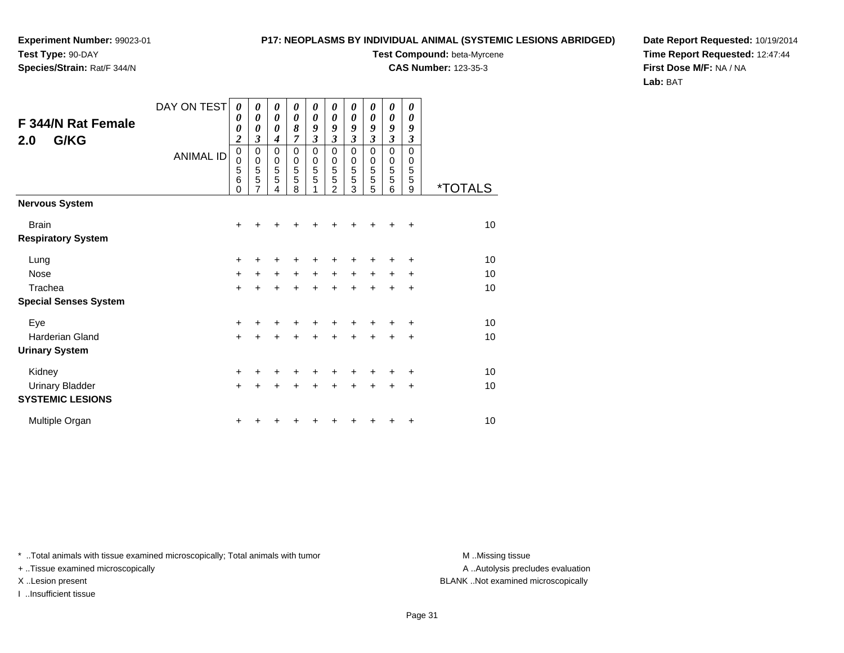# **Species/Strain:** Rat/F 344/N

### **P17: NEOPLASMS BY INDIVIDUAL ANIMAL (SYSTEMIC LESIONS ABRIDGED)**

**Test Compound:** beta-Myrcene

**CAS Number:** 123-35-3

**Date Report Requested:** 10/19/2014**Time Report Requested:** 12:47:44**First Dose M/F:** NA / NA**Lab:** BAT

| F 344/N Rat Female<br>G/KG<br>2.0         | DAY ON TEST<br><b>ANIMAL ID</b> | 0<br>0<br>0<br>$\overline{\mathbf{c}}$<br>$\pmb{0}$<br>0<br>5<br>6<br>0 | 0<br>0<br>0<br>3<br>0<br>$\mathbf 0$<br>5<br>5<br>7 | 0<br>0<br>0<br>$\boldsymbol{4}$<br>0<br>$\begin{array}{c} 0 \\ 5 \\ 5 \end{array}$<br>4 | 0<br>0<br>8<br>$\overline{7}$<br>0<br>$\mathbf 0$<br>5<br>5<br>8 | 0<br>0<br>9<br>$\overline{\mathbf{3}}$<br>$\mathbf 0$<br>$\pmb{0}$<br>5<br>$\overline{5}$ | 0<br>0<br>9<br>$\overline{\mathbf{3}}$<br>$\mathbf 0$<br>$\mathbf 0$<br>5<br>5<br>$\mathfrak{p}$ | 0<br>$\boldsymbol{\theta}$<br>9<br>$\overline{\mathbf{3}}$<br>$\mathbf 0$<br>$\mathbf 0$<br>5<br>5<br>3 | 0<br>0<br>9<br>$\overline{\mathbf{3}}$<br>$\mathbf 0$<br>$\mathbf 0$<br>5<br>5<br>5 | 0<br>0<br>9<br>3<br>$\mathbf 0$<br>0<br>5<br>5<br>6 | 0<br>$\boldsymbol{\theta}$<br>9<br>$\mathfrak{z}$<br>$\Omega$<br>$\mathbf 0$<br>5<br>5<br>9 | <i><b>*TOTALS</b></i> |
|-------------------------------------------|---------------------------------|-------------------------------------------------------------------------|-----------------------------------------------------|-----------------------------------------------------------------------------------------|------------------------------------------------------------------|-------------------------------------------------------------------------------------------|--------------------------------------------------------------------------------------------------|---------------------------------------------------------------------------------------------------------|-------------------------------------------------------------------------------------|-----------------------------------------------------|---------------------------------------------------------------------------------------------|-----------------------|
| <b>Nervous System</b>                     |                                 |                                                                         |                                                     |                                                                                         |                                                                  |                                                                                           |                                                                                                  |                                                                                                         |                                                                                     |                                                     |                                                                                             |                       |
| <b>Brain</b><br><b>Respiratory System</b> |                                 | +                                                                       |                                                     |                                                                                         |                                                                  |                                                                                           |                                                                                                  |                                                                                                         |                                                                                     |                                                     | ÷                                                                                           | 10                    |
| Lung                                      |                                 | +                                                                       |                                                     |                                                                                         |                                                                  |                                                                                           |                                                                                                  |                                                                                                         |                                                                                     |                                                     | ÷                                                                                           | 10                    |
| <b>Nose</b>                               |                                 | $\ddot{}$                                                               | +                                                   | $\pm$                                                                                   | $\ddot{}$                                                        | $\ddot{}$                                                                                 | $\ddot{}$                                                                                        | $\ddot{}$                                                                                               | $+$                                                                                 | $\pm$                                               | ÷                                                                                           | 10                    |
| Trachea                                   |                                 | $\ddot{}$                                                               | $\ddot{}$                                           | $\ddot{}$                                                                               | $\ddot{}$                                                        | $\ddot{}$                                                                                 | $\ddot{}$                                                                                        | $\ddot{}$                                                                                               | $\ddot{}$                                                                           | $\ddot{}$                                           | $\ddot{}$                                                                                   | 10                    |
| <b>Special Senses System</b>              |                                 |                                                                         |                                                     |                                                                                         |                                                                  |                                                                                           |                                                                                                  |                                                                                                         |                                                                                     |                                                     |                                                                                             |                       |
| Eye                                       |                                 | $\ddot{}$                                                               |                                                     |                                                                                         |                                                                  |                                                                                           |                                                                                                  |                                                                                                         |                                                                                     |                                                     | ÷                                                                                           | 10                    |
| Harderian Gland                           |                                 | $\ddot{}$                                                               | $\ddot{}$                                           | $\ddot{}$                                                                               | +                                                                | $\ddot{}$                                                                                 | $\ddot{}$                                                                                        | $\ddot{}$                                                                                               | $\ddot{}$                                                                           | $\pm$                                               | +                                                                                           | 10                    |
| <b>Urinary System</b>                     |                                 |                                                                         |                                                     |                                                                                         |                                                                  |                                                                                           |                                                                                                  |                                                                                                         |                                                                                     |                                                     |                                                                                             |                       |
| Kidney                                    |                                 | $\ddot{}$                                                               |                                                     |                                                                                         |                                                                  |                                                                                           |                                                                                                  |                                                                                                         |                                                                                     |                                                     | $\ddot{}$                                                                                   | 10                    |
| <b>Urinary Bladder</b>                    |                                 | $\ddot{}$                                                               | +                                                   | $\ddot{}$                                                                               | $\ddot{}$                                                        | $\ddot{}$                                                                                 | $\ddot{}$                                                                                        | $\ddot{}$                                                                                               | $\ddot{}$                                                                           | $\pm$                                               | +                                                                                           | 10                    |
| <b>SYSTEMIC LESIONS</b>                   |                                 |                                                                         |                                                     |                                                                                         |                                                                  |                                                                                           |                                                                                                  |                                                                                                         |                                                                                     |                                                     |                                                                                             |                       |
| Multiple Organ                            |                                 | +                                                                       |                                                     |                                                                                         |                                                                  |                                                                                           |                                                                                                  |                                                                                                         |                                                                                     |                                                     | +                                                                                           | 10                    |

\* ..Total animals with tissue examined microscopically; Total animals with tumor **M** . Missing tissue M ..Missing tissue

+ ..Tissue examined microscopically

I ..Insufficient tissue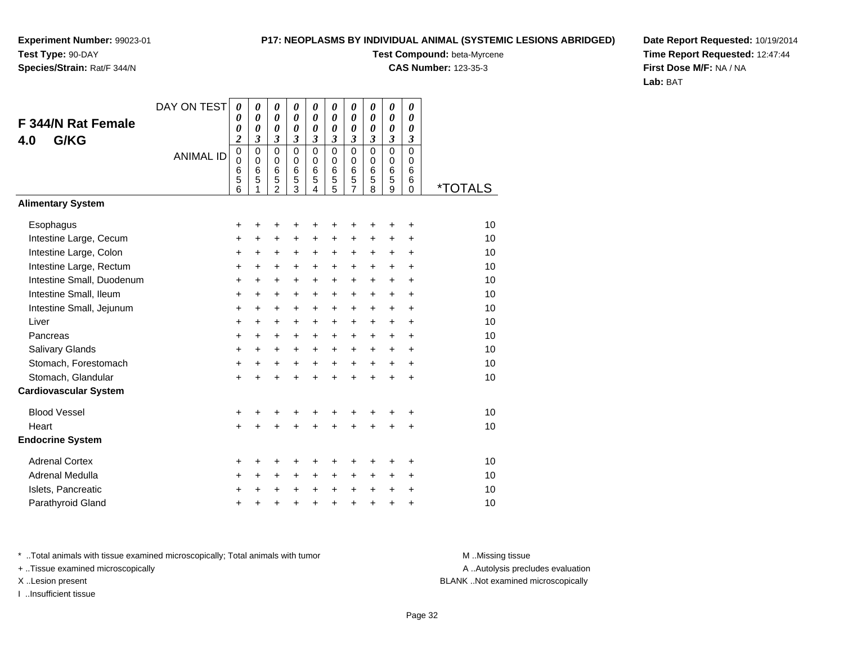# **Species/Strain:** Rat/F 344/N

### **P17: NEOPLASMS BY INDIVIDUAL ANIMAL (SYSTEMIC LESIONS ABRIDGED)**

**Test Compound:** beta-Myrcene

**CAS Number:** 123-35-3

**Date Report Requested:** 10/19/2014**Time Report Requested:** 12:47:44**First Dose M/F:** NA / NA**Lab:** BAT

|                              | DAY ON TEST      | 0                | 0                          | 0              | 0                          | 0                          | 0                          | 0                          | 0                          | 0                                              | 0                          |                       |
|------------------------------|------------------|------------------|----------------------------|----------------|----------------------------|----------------------------|----------------------------|----------------------------|----------------------------|------------------------------------------------|----------------------------|-----------------------|
| <b>F 344/N Rat Female</b>    |                  | 0<br>0           | 0<br>$\boldsymbol{\theta}$ | $\theta$<br>0  | 0<br>$\boldsymbol{\theta}$ | $\boldsymbol{\theta}$<br>0 | 0<br>$\boldsymbol{\theta}$ | $\boldsymbol{\theta}$<br>0 | 0<br>0                     | $\boldsymbol{\theta}$<br>$\boldsymbol{\theta}$ | 0<br>0                     |                       |
| G/KG<br>4.0                  |                  | $\boldsymbol{2}$ | $\mathfrak{z}$             | $\mathfrak{z}$ | $\mathfrak{z}$             | $\mathfrak{z}$             | $\mathfrak{z}$             | 3                          | 3                          | $\mathfrak{z}$                                 | 3                          |                       |
|                              | <b>ANIMAL ID</b> | 0<br>$\mathbf 0$ | $\mathbf 0$<br>$\pmb{0}$   | 0<br>0         | $\Omega$<br>$\mathbf 0$    | $\mathbf 0$<br>0           | $\mathbf 0$<br>$\mathbf 0$ | $\mathsf 0$<br>$\mathbf 0$ | $\mathbf 0$<br>$\mathbf 0$ | $\mathbf 0$<br>0                               | $\mathbf 0$<br>$\mathbf 0$ |                       |
|                              |                  | 6                | $6\phantom{1}6$            | 6              | $6\phantom{1}6$            | 6                          | $6\phantom{1}6$            | 6                          | 6                          | 6                                              | 6                          |                       |
|                              |                  | $\frac{5}{6}$    | 5                          | $\frac{5}{2}$  | 5<br>3                     | 5<br>4                     | 5<br>5                     | $\frac{5}{7}$              | 5<br>8                     | 5<br>9                                         | 6<br>0                     | <i><b>*TOTALS</b></i> |
| <b>Alimentary System</b>     |                  |                  |                            |                |                            |                            |                            |                            |                            |                                                |                            |                       |
| Esophagus                    |                  | +                | +                          | +              | +                          | +                          |                            | ٠                          | +                          | +                                              | +                          | 10                    |
| Intestine Large, Cecum       |                  | $\ddot{}$        | $\ddot{}$                  | $\ddot{}$      | $\ddot{}$                  | $\ddot{}$                  | $\ddot{}$                  | $\ddot{}$                  | +                          | $\ddot{}$                                      | +                          | 10                    |
| Intestine Large, Colon       |                  | +                | +                          | +              | +                          | +                          | $\pm$                      | $\ddot{}$                  | +                          | +                                              | +                          | 10                    |
| Intestine Large, Rectum      |                  | +                | $\ddot{}$                  | $\ddot{}$      | $\ddot{}$                  | $\ddot{}$                  | $\ddot{}$                  | $\ddot{}$                  | $\ddot{}$                  | $\ddot{}$                                      | $\ddot{}$                  | 10                    |
| Intestine Small, Duodenum    |                  | +                | $\ddot{}$                  | $\ddot{}$      | $\ddot{}$                  | $\ddot{}$                  | $\ddot{}$                  | $+$                        | $\ddot{}$                  | $\ddot{}$                                      | $\ddot{}$                  | 10                    |
| Intestine Small, Ileum       |                  | +                | +                          | +              | +                          | +                          | $\pm$                      | $\pm$                      | $\ddot{}$                  | +                                              | +                          | 10                    |
| Intestine Small, Jejunum     |                  | +                | $\ddot{}$                  | +              | $\ddot{}$                  | +                          | +                          | $\ddot{}$                  | $\ddot{}$                  | +                                              | $\ddot{}$                  | 10                    |
| Liver                        |                  | +                | $\ddot{}$                  | $\ddot{}$      | $\ddot{}$                  | $\ddot{}$                  | $\ddot{}$                  | $\ddot{}$                  | $\ddot{}$                  | $\ddot{}$                                      | $\ddot{}$                  | 10                    |
| Pancreas                     |                  | $\ddot{}$        | $\ddot{}$                  | $\ddot{}$      | +                          | $\ddot{}$                  | $\ddot{}$                  | $+$                        | $\ddot{}$                  | $\ddot{}$                                      | +                          | 10                    |
| Salivary Glands              |                  | +                | +                          | +              | +                          | +                          | +                          | $\ddot{}$                  | +                          | +                                              | +                          | 10                    |
| Stomach, Forestomach         |                  | $\ddot{}$        | $\ddot{}$                  | $\ddot{}$      | $\ddot{}$                  | $\ddot{}$                  | $+$                        | $\ddot{}$                  | $\ddot{}$                  | $\ddot{}$                                      | $\ddot{}$                  | 10                    |
| Stomach, Glandular           |                  | $\ddot{}$        | $\ddot{}$                  | $\ddot{}$      | $\ddot{}$                  | $\ddot{}$                  | $\ddot{}$                  | $\ddot{}$                  | ÷                          | $\ddot{}$                                      | $\ddot{}$                  | 10                    |
| <b>Cardiovascular System</b> |                  |                  |                            |                |                            |                            |                            |                            |                            |                                                |                            |                       |
| <b>Blood Vessel</b>          |                  | +                |                            | +              | +                          | +                          |                            |                            |                            | +                                              | +                          | 10                    |
| Heart                        |                  | $\ddot{}$        | ÷                          | $\ddot{}$      | $\ddot{}$                  | $\ddot{}$                  | $\ddot{}$                  | $\ddot{}$                  | ÷                          | $\ddot{}$                                      | $\ddot{}$                  | 10                    |
| <b>Endocrine System</b>      |                  |                  |                            |                |                            |                            |                            |                            |                            |                                                |                            |                       |
| <b>Adrenal Cortex</b>        |                  | +                | +                          | +              | +                          | +                          |                            |                            |                            | +                                              | +                          | 10                    |
| Adrenal Medulla              |                  | +                | $\ddot{}$                  | $\ddot{}$      | $\ddot{}$                  | $\ddot{}$                  | $\ddot{}$                  | $\ddot{}$                  | $\ddot{}$                  | $\ddot{}$                                      | +                          | 10                    |
| Islets, Pancreatic           |                  | +                | +                          | +              | +                          | +                          | $\ddot{}$                  | $\pm$                      | +                          | +                                              | +                          | 10                    |
| Parathyroid Gland            |                  | +                | +                          | +              | +                          | +                          | $\ddot{}$                  | +                          | +                          | $\ddot{}$                                      | +                          | 10                    |

\* ..Total animals with tissue examined microscopically; Total animals with tumor **M** . Missing tissue M ..Missing tissue

+ ..Tissue examined microscopically

I ..Insufficient tissue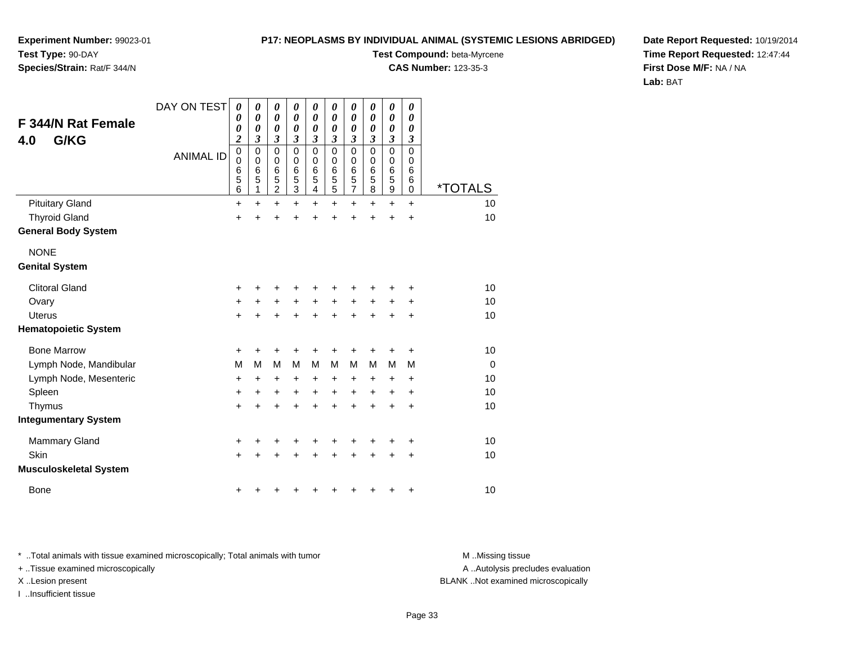### **P17: NEOPLASMS BY INDIVIDUAL ANIMAL (SYSTEMIC LESIONS ABRIDGED)**

**Test Compound:** beta-Myrcene**CAS Number:** 123-35-3

**Experiment Number:** 99023-01**Test Type:** 90-DAY

## **Species/Strain:** Rat/F 344/N

**Date Report Requested:** 10/19/2014**Time Report Requested:** 12:47:44**First Dose M/F:** NA / NA**Lab:** BAT

| <b>F 344/N Rat Female</b><br>G/KG<br>4.0<br><b>Pituitary Gland</b> | DAY ON TEST<br><b>ANIMAL ID</b> | $\boldsymbol{\theta}$<br>0<br>0<br>$\overline{\mathbf{c}}$<br>$\mathbf 0$<br>$\mathbf 0$<br>6<br>$\frac{5}{6}$<br>$\ddot{}$ | $\boldsymbol{\theta}$<br>0<br>0<br>3<br>$\mathbf 0$<br>0<br>6<br>5<br>$\ddot{}$ | 0<br>$\boldsymbol{\theta}$<br>$\boldsymbol{\theta}$<br>3<br>$\mathbf 0$<br>$\pmb{0}$<br>6<br>5<br>$\overline{c}$<br>$\ddot{}$ | $\boldsymbol{\theta}$<br>$\boldsymbol{\theta}$<br>$\boldsymbol{\theta}$<br>$\boldsymbol{\beta}$<br>$\mathbf 0$<br>$\mathbf 0$<br>6<br>5<br>3<br>$+$ | 0<br>0<br>0<br>$\overline{\mathbf{3}}$<br>$\mathbf 0$<br>0<br>6<br>5<br>4<br>$\ddot{}$ | $\boldsymbol{\theta}$<br>$\boldsymbol{\theta}$<br>$\boldsymbol{\theta}$<br>$\mathfrak{z}$<br>$\mathbf 0$<br>0<br>6<br>5<br>5<br>$\ddot{}$ | 0<br>$\boldsymbol{\theta}$<br>$\boldsymbol{\theta}$<br>$\overline{\mathbf{3}}$<br>$\mathbf 0$<br>0<br>6<br>5<br>$\overline{7}$ | 0<br>0<br>0<br>$\boldsymbol{\mathfrak{z}}$<br>$\mathbf 0$<br>$\pmb{0}$<br>$\,6$<br>$\sqrt{5}$<br>8 | $\boldsymbol{\theta}$<br>$\boldsymbol{\theta}$<br>$\boldsymbol{\theta}$<br>$\mathfrak{z}$<br>$\mathbf 0$<br>0<br>6<br>5<br>9<br>$\ddot{}$ | $\boldsymbol{\theta}$<br>$\boldsymbol{\theta}$<br>$\boldsymbol{\theta}$<br>$\mathfrak{z}$<br>$\mathbf 0$<br>0<br>6<br>6<br>$\mathbf 0$<br>$\ddot{}$ | <i><b>*TOTALS</b></i><br>10 |
|--------------------------------------------------------------------|---------------------------------|-----------------------------------------------------------------------------------------------------------------------------|---------------------------------------------------------------------------------|-------------------------------------------------------------------------------------------------------------------------------|-----------------------------------------------------------------------------------------------------------------------------------------------------|----------------------------------------------------------------------------------------|-------------------------------------------------------------------------------------------------------------------------------------------|--------------------------------------------------------------------------------------------------------------------------------|----------------------------------------------------------------------------------------------------|-------------------------------------------------------------------------------------------------------------------------------------------|-----------------------------------------------------------------------------------------------------------------------------------------------------|-----------------------------|
| <b>Thyroid Gland</b>                                               |                                 | $\ddot{}$                                                                                                                   | $\ddot{}$                                                                       | $\ddot{}$                                                                                                                     | $\ddot{}$                                                                                                                                           | $\ddot{}$                                                                              | $\ddot{}$                                                                                                                                 | $\ddot{}$<br>$\ddot{}$                                                                                                         | $\ddot{}$<br>$\ddot{}$                                                                             | $\ddot{}$                                                                                                                                 | $\ddot{}$                                                                                                                                           | 10                          |
| <b>General Body System</b>                                         |                                 |                                                                                                                             |                                                                                 |                                                                                                                               |                                                                                                                                                     |                                                                                        |                                                                                                                                           |                                                                                                                                |                                                                                                    |                                                                                                                                           |                                                                                                                                                     |                             |
| <b>NONE</b><br><b>Genital System</b>                               |                                 |                                                                                                                             |                                                                                 |                                                                                                                               |                                                                                                                                                     |                                                                                        |                                                                                                                                           |                                                                                                                                |                                                                                                    |                                                                                                                                           |                                                                                                                                                     |                             |
| <b>Clitoral Gland</b>                                              |                                 | $\ddot{}$                                                                                                                   | +                                                                               | +                                                                                                                             |                                                                                                                                                     | +                                                                                      | +                                                                                                                                         | +                                                                                                                              | +                                                                                                  | +                                                                                                                                         | +                                                                                                                                                   | 10                          |
| Ovary                                                              |                                 | $\ddot{}$                                                                                                                   | +                                                                               | $\pm$                                                                                                                         | $\ddot{}$                                                                                                                                           | $\ddot{}$                                                                              | $\ddot{}$                                                                                                                                 | $\ddot{}$                                                                                                                      | $\ddot{}$                                                                                          | $\pm$                                                                                                                                     | $\ddot{}$                                                                                                                                           | 10                          |
| <b>Uterus</b>                                                      |                                 | $\ddot{}$                                                                                                                   |                                                                                 |                                                                                                                               |                                                                                                                                                     | $\ddot{}$                                                                              | $\ddot{}$                                                                                                                                 | $\ddot{}$                                                                                                                      | $\pm$                                                                                              | +                                                                                                                                         | +                                                                                                                                                   | 10                          |
| <b>Hematopoietic System</b>                                        |                                 |                                                                                                                             |                                                                                 |                                                                                                                               |                                                                                                                                                     |                                                                                        |                                                                                                                                           |                                                                                                                                |                                                                                                    |                                                                                                                                           |                                                                                                                                                     |                             |
| <b>Bone Marrow</b>                                                 |                                 | +                                                                                                                           | ٠                                                                               | ٠                                                                                                                             |                                                                                                                                                     | +                                                                                      | ٠                                                                                                                                         | $\ddot{}$                                                                                                                      | +                                                                                                  | ٠                                                                                                                                         | $\ddot{}$                                                                                                                                           | 10                          |
| Lymph Node, Mandibular                                             |                                 | M                                                                                                                           | M                                                                               | M                                                                                                                             | M                                                                                                                                                   | M                                                                                      | M                                                                                                                                         | M                                                                                                                              | M                                                                                                  | M                                                                                                                                         | M                                                                                                                                                   | $\mathbf 0$                 |
| Lymph Node, Mesenteric                                             |                                 | $\ddot{}$                                                                                                                   | $\pm$                                                                           | +                                                                                                                             | $\ddot{}$                                                                                                                                           | +                                                                                      | +                                                                                                                                         | +                                                                                                                              | +                                                                                                  | $\ddot{}$                                                                                                                                 | +                                                                                                                                                   | 10                          |
| Spleen                                                             |                                 | +                                                                                                                           | $\ddot{}$                                                                       | +                                                                                                                             | $\ddot{}$                                                                                                                                           | +                                                                                      | $\ddot{}$                                                                                                                                 | $\ddot{}$                                                                                                                      | +                                                                                                  | $\ddot{}$                                                                                                                                 | $\ddot{}$                                                                                                                                           | 10                          |
| Thymus                                                             |                                 | $\ddot{}$                                                                                                                   | $\ddot{}$                                                                       | $\ddot{}$                                                                                                                     | $\ddot{}$                                                                                                                                           | $\ddot{}$                                                                              | $\ddot{}$                                                                                                                                 | $\ddot{}$                                                                                                                      | $\ddot{}$                                                                                          | $\ddot{}$                                                                                                                                 | +                                                                                                                                                   | 10                          |
| <b>Integumentary System</b>                                        |                                 |                                                                                                                             |                                                                                 |                                                                                                                               |                                                                                                                                                     |                                                                                        |                                                                                                                                           |                                                                                                                                |                                                                                                    |                                                                                                                                           |                                                                                                                                                     |                             |
| <b>Mammary Gland</b>                                               |                                 | +                                                                                                                           |                                                                                 |                                                                                                                               |                                                                                                                                                     |                                                                                        | +                                                                                                                                         | +                                                                                                                              | +                                                                                                  | +                                                                                                                                         | +                                                                                                                                                   | 10                          |
| Skin                                                               |                                 | $\ddot{}$                                                                                                                   |                                                                                 | $\ddot{}$                                                                                                                     | +                                                                                                                                                   | $\ddot{}$                                                                              | $\ddot{}$                                                                                                                                 | $\ddot{}$                                                                                                                      | $\ddot{}$                                                                                          | $\ddot{}$                                                                                                                                 | $\ddot{}$                                                                                                                                           | 10                          |
| <b>Musculoskeletal System</b>                                      |                                 |                                                                                                                             |                                                                                 |                                                                                                                               |                                                                                                                                                     |                                                                                        |                                                                                                                                           |                                                                                                                                |                                                                                                    |                                                                                                                                           |                                                                                                                                                     |                             |
| <b>Bone</b>                                                        |                                 | +                                                                                                                           | ٠                                                                               |                                                                                                                               |                                                                                                                                                     |                                                                                        | +                                                                                                                                         | +                                                                                                                              | +                                                                                                  | +                                                                                                                                         | +                                                                                                                                                   | 10                          |

\* ..Total animals with tissue examined microscopically; Total animals with tumor **M** . Missing tissue M ..Missing tissue

+ ..Tissue examined microscopically

I ..Insufficient tissue